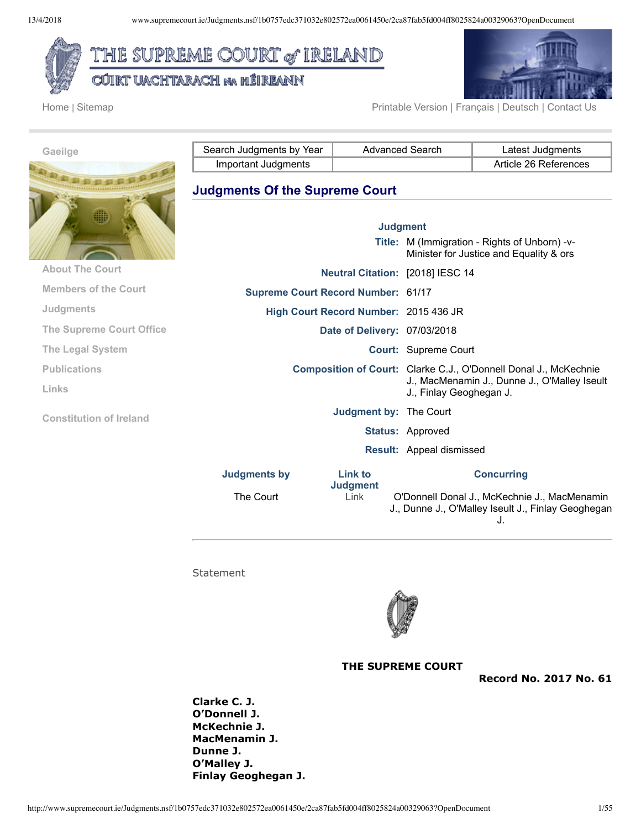

CÚIRT UACHTARACH na hÉIREANN





Home | Sitemap Printable Version | Français | Deutsch | Contact Us

| Gaeilge                         | Search Judgments by Year                  | <b>Advanced Search</b> |                             | Latest Judgments                                                                                                 |
|---------------------------------|-------------------------------------------|------------------------|-----------------------------|------------------------------------------------------------------------------------------------------------------|
|                                 | Important Judgments                       |                        |                             | Article 26 References                                                                                            |
|                                 | <b>Judgments Of the Supreme Court</b>     |                        |                             |                                                                                                                  |
|                                 | <b>Judgment</b>                           |                        |                             |                                                                                                                  |
|                                 |                                           |                        |                             | Title: M (Immigration - Rights of Unborn) -v-<br>Minister for Justice and Equality & ors                         |
| <b>About The Court</b>          | Neutral Citation: [2018] IESC 14          |                        |                             |                                                                                                                  |
| <b>Members of the Court</b>     | <b>Supreme Court Record Number: 61/17</b> |                        |                             |                                                                                                                  |
| <b>Judgments</b>                | High Court Record Number: 2015 436 JR     |                        |                             |                                                                                                                  |
| <b>The Supreme Court Office</b> | Date of Delivery: 07/03/2018              |                        |                             |                                                                                                                  |
| <b>The Legal System</b>         |                                           |                        | <b>Court: Supreme Court</b> |                                                                                                                  |
| <b>Publications</b>             |                                           |                        |                             | Composition of Court: Clarke C.J., O'Donnell Donal J., McKechnie<br>J., MacMenamin J., Dunne J., O'Malley Iseult |
| Links                           |                                           |                        | J., Finlay Geoghegan J.     |                                                                                                                  |

**Constitution of Ireland**

**Judgments by Link to**

**Concurring**

The Court Link O'Donnell Donal J., McKechnie J., MacMenamin J., Dunne J., O'Malley Iseult J., Finlay Geoghegan J.

**Statement** 



**Judgment by:** The Court

**Judgment**

**Status:** Approved

**Result:** Appeal dismissed

**THE SUPREME COURT**

**Record No. 2017 No. 61**

**Clarke C. J. O'Donnell J. McKechnie J. MacMenamin J. Dunne J. O'Malley J. Finlay Geoghegan J.**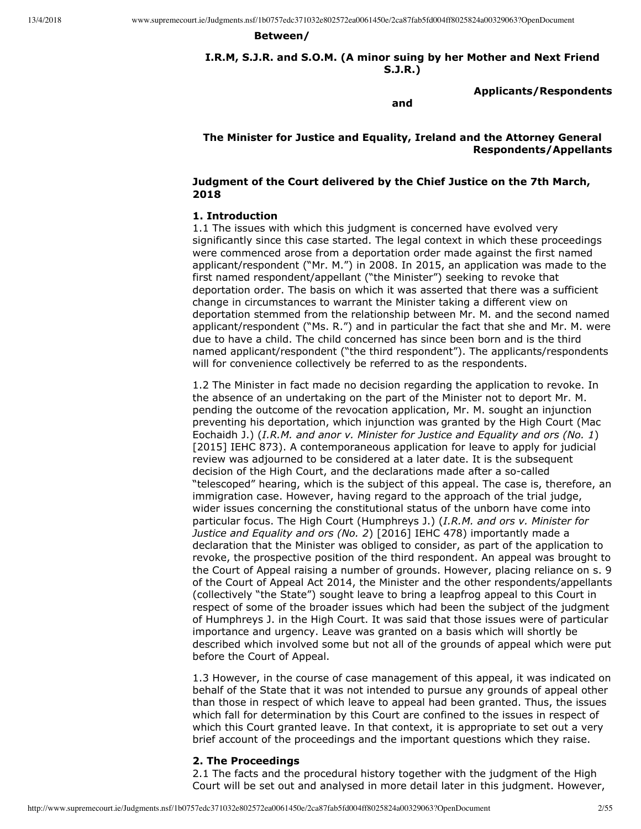#### **Between/**

**I.R.M, S.J.R. and S.O.M. (A minor suing by her Mother and Next Friend S.J.R.)**

**Applicants/Respondents**

**and**

# **The Minister for Justice and Equality, Ireland and the Attorney General Respondents/Appellants**

### **Judgment of the Court delivered by the Chief Justice on the 7th March, 2018**

#### **1. Introduction**

1.1 The issues with which this judgment is concerned have evolved very significantly since this case started. The legal context in which these proceedings were commenced arose from a deportation order made against the first named applicant/respondent ("Mr. M.") in 2008. In 2015, an application was made to the first named respondent/appellant ("the Minister") seeking to revoke that deportation order. The basis on which it was asserted that there was a sufficient change in circumstances to warrant the Minister taking a different view on deportation stemmed from the relationship between Mr. M. and the second named applicant/respondent ("Ms. R.") and in particular the fact that she and Mr. M. were due to have a child. The child concerned has since been born and is the third named applicant/respondent ("the third respondent"). The applicants/respondents will for convenience collectively be referred to as the respondents.

1.2 The Minister in fact made no decision regarding the application to revoke. In the absence of an undertaking on the part of the Minister not to deport Mr. M. pending the outcome of the revocation application, Mr. M. sought an injunction preventing his deportation, which injunction was granted by the High Court (Mac Eochaidh J.) (*I.R.M. and anor v. Minister for Justice and Equality and ors (No. 1*) [2015] IEHC 873). A contemporaneous application for leave to apply for judicial review was adjourned to be considered at a later date. It is the subsequent decision of the High Court, and the declarations made after a so-called "telescoped" hearing, which is the subject of this appeal. The case is, therefore, an immigration case. However, having regard to the approach of the trial judge, wider issues concerning the constitutional status of the unborn have come into particular focus. The High Court (Humphreys J.) (*I.R.M. and ors v. Minister for Justice and Equality and ors (No. 2*) [2016] IEHC 478) importantly made a declaration that the Minister was obliged to consider, as part of the application to revoke, the prospective position of the third respondent. An appeal was brought to the Court of Appeal raising a number of grounds. However, placing reliance on s. 9 of the Court of Appeal Act 2014, the Minister and the other respondents/appellants (collectively "the State") sought leave to bring a leapfrog appeal to this Court in respect of some of the broader issues which had been the subject of the judgment of Humphreys J. in the High Court. It was said that those issues were of particular importance and urgency. Leave was granted on a basis which will shortly be described which involved some but not all of the grounds of appeal which were put before the Court of Appeal.

1.3 However, in the course of case management of this appeal, it was indicated on behalf of the State that it was not intended to pursue any grounds of appeal other than those in respect of which leave to appeal had been granted. Thus, the issues which fall for determination by this Court are confined to the issues in respect of which this Court granted leave. In that context, it is appropriate to set out a very brief account of the proceedings and the important questions which they raise.

## **2. The Proceedings**

2.1 The facts and the procedural history together with the judgment of the High Court will be set out and analysed in more detail later in this judgment. However,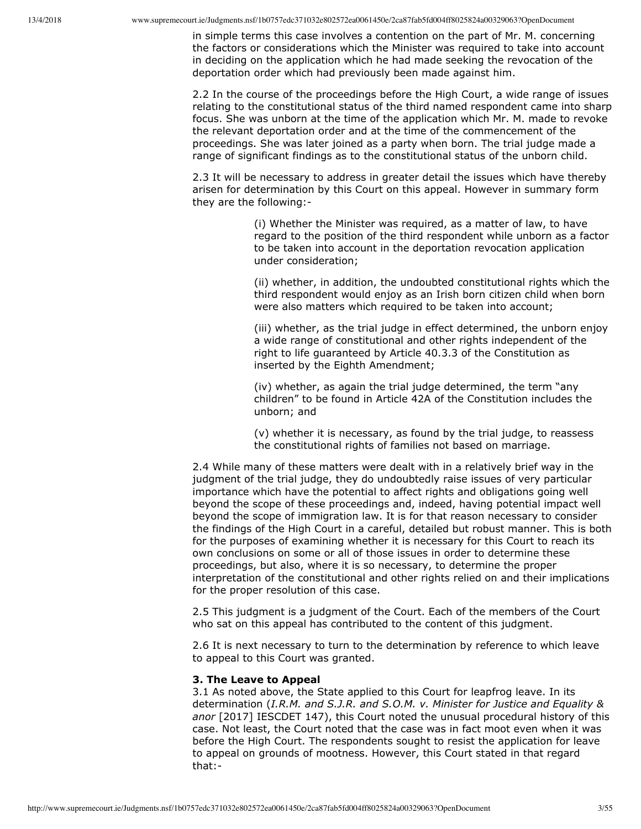in simple terms this case involves a contention on the part of Mr. M. concerning the factors or considerations which the Minister was required to take into account in deciding on the application which he had made seeking the revocation of the deportation order which had previously been made against him.

2.2 In the course of the proceedings before the High Court, a wide range of issues relating to the constitutional status of the third named respondent came into sharp focus. She was unborn at the time of the application which Mr. M. made to revoke the relevant deportation order and at the time of the commencement of the proceedings. She was later joined as a party when born. The trial judge made a range of significant findings as to the constitutional status of the unborn child.

2.3 It will be necessary to address in greater detail the issues which have thereby arisen for determination by this Court on this appeal. However in summary form they are the following:

> (i) Whether the Minister was required, as a matter of law, to have regard to the position of the third respondent while unborn as a factor to be taken into account in the deportation revocation application under consideration;

> (ii) whether, in addition, the undoubted constitutional rights which the third respondent would enjoy as an Irish born citizen child when born were also matters which required to be taken into account;

> (iii) whether, as the trial judge in effect determined, the unborn enjoy a wide range of constitutional and other rights independent of the right to life guaranteed by Article 40.3.3 of the Constitution as inserted by the Eighth Amendment;

(iv) whether, as again the trial judge determined, the term "any children" to be found in Article 42A of the Constitution includes the unborn; and

(v) whether it is necessary, as found by the trial judge, to reassess the constitutional rights of families not based on marriage.

2.4 While many of these matters were dealt with in a relatively brief way in the judgment of the trial judge, they do undoubtedly raise issues of very particular importance which have the potential to affect rights and obligations going well beyond the scope of these proceedings and, indeed, having potential impact well beyond the scope of immigration law. It is for that reason necessary to consider the findings of the High Court in a careful, detailed but robust manner. This is both for the purposes of examining whether it is necessary for this Court to reach its own conclusions on some or all of those issues in order to determine these proceedings, but also, where it is so necessary, to determine the proper interpretation of the constitutional and other rights relied on and their implications for the proper resolution of this case.

2.5 This judgment is a judgment of the Court. Each of the members of the Court who sat on this appeal has contributed to the content of this judgment.

2.6 It is next necessary to turn to the determination by reference to which leave to appeal to this Court was granted.

## **3. The Leave to Appeal**

3.1 As noted above, the State applied to this Court for leapfrog leave. In its determination (*I.R.M. and S.J.R. and S.O.M. v. Minister for Justice and Equality & anor* [2017] IESCDET 147), this Court noted the unusual procedural history of this case. Not least, the Court noted that the case was in fact moot even when it was before the High Court. The respondents sought to resist the application for leave to appeal on grounds of mootness. However, this Court stated in that regard that: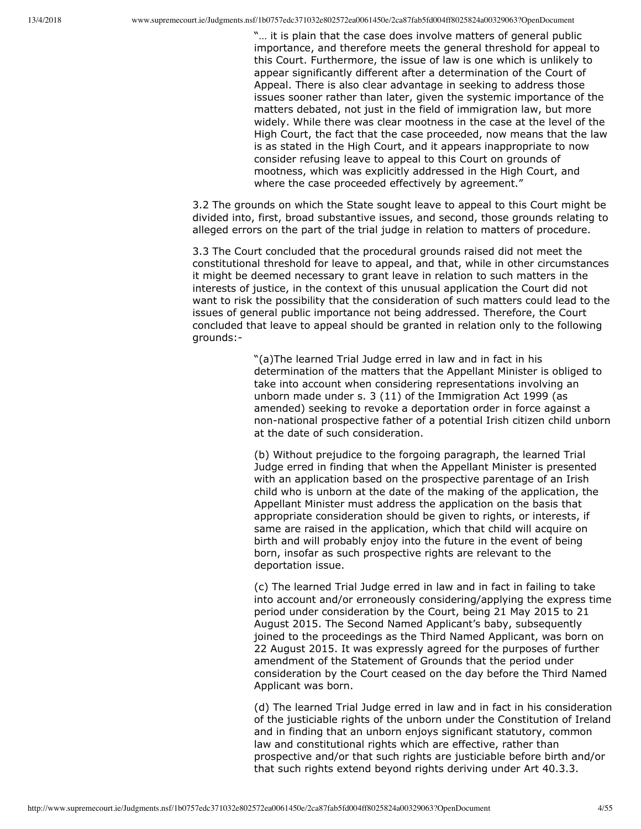"… it is plain that the case does involve matters of general public importance, and therefore meets the general threshold for appeal to this Court. Furthermore, the issue of law is one which is unlikely to appear significantly different after a determination of the Court of Appeal. There is also clear advantage in seeking to address those issues sooner rather than later, given the systemic importance of the matters debated, not just in the field of immigration law, but more widely. While there was clear mootness in the case at the level of the High Court, the fact that the case proceeded, now means that the law is as stated in the High Court, and it appears inappropriate to now consider refusing leave to appeal to this Court on grounds of mootness, which was explicitly addressed in the High Court, and where the case proceeded effectively by agreement."

3.2 The grounds on which the State sought leave to appeal to this Court might be divided into, first, broad substantive issues, and second, those grounds relating to alleged errors on the part of the trial judge in relation to matters of procedure.

3.3 The Court concluded that the procedural grounds raised did not meet the constitutional threshold for leave to appeal, and that, while in other circumstances it might be deemed necessary to grant leave in relation to such matters in the interests of justice, in the context of this unusual application the Court did not want to risk the possibility that the consideration of such matters could lead to the issues of general public importance not being addressed. Therefore, the Court concluded that leave to appeal should be granted in relation only to the following grounds:

> "(a)The learned Trial Judge erred in law and in fact in his determination of the matters that the Appellant Minister is obliged to take into account when considering representations involving an unborn made under s. 3 (11) of the Immigration Act 1999 (as amended) seeking to revoke a deportation order in force against a non-national prospective father of a potential Irish citizen child unborn at the date of such consideration.

(b) Without prejudice to the forgoing paragraph, the learned Trial Judge erred in finding that when the Appellant Minister is presented with an application based on the prospective parentage of an Irish child who is unborn at the date of the making of the application, the Appellant Minister must address the application on the basis that appropriate consideration should be given to rights, or interests, if same are raised in the application, which that child will acquire on birth and will probably enjoy into the future in the event of being born, insofar as such prospective rights are relevant to the deportation issue.

(c) The learned Trial Judge erred in law and in fact in failing to take into account and/or erroneously considering/applying the express time period under consideration by the Court, being 21 May 2015 to 21 August 2015. The Second Named Applicant's baby, subsequently joined to the proceedings as the Third Named Applicant, was born on 22 August 2015. It was expressly agreed for the purposes of further amendment of the Statement of Grounds that the period under consideration by the Court ceased on the day before the Third Named Applicant was born.

(d) The learned Trial Judge erred in law and in fact in his consideration of the justiciable rights of the unborn under the Constitution of Ireland and in finding that an unborn enjoys significant statutory, common law and constitutional rights which are effective, rather than prospective and/or that such rights are justiciable before birth and/or that such rights extend beyond rights deriving under Art 40.3.3.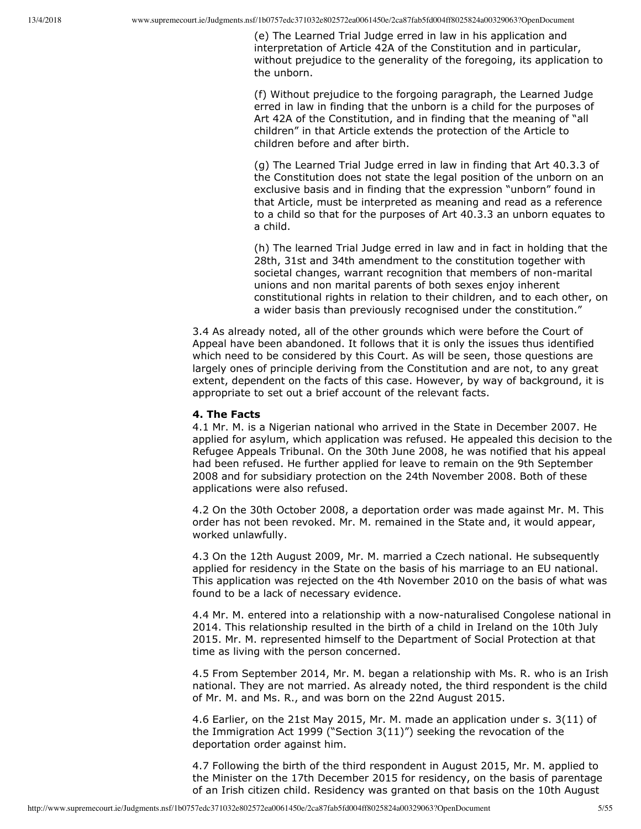(e) The Learned Trial Judge erred in law in his application and interpretation of Article 42A of the Constitution and in particular, without prejudice to the generality of the foregoing, its application to the unborn.

(f) Without prejudice to the forgoing paragraph, the Learned Judge erred in law in finding that the unborn is a child for the purposes of Art 42A of the Constitution, and in finding that the meaning of "all children" in that Article extends the protection of the Article to children before and after birth.

(g) The Learned Trial Judge erred in law in finding that Art 40.3.3 of the Constitution does not state the legal position of the unborn on an exclusive basis and in finding that the expression "unborn" found in that Article, must be interpreted as meaning and read as a reference to a child so that for the purposes of Art 40.3.3 an unborn equates to a child.

(h) The learned Trial Judge erred in law and in fact in holding that the 28th, 31st and 34th amendment to the constitution together with societal changes, warrant recognition that members of non-marital unions and non marital parents of both sexes enjoy inherent constitutional rights in relation to their children, and to each other, on a wider basis than previously recognised under the constitution."

3.4 As already noted, all of the other grounds which were before the Court of Appeal have been abandoned. It follows that it is only the issues thus identified which need to be considered by this Court. As will be seen, those questions are largely ones of principle deriving from the Constitution and are not, to any great extent, dependent on the facts of this case. However, by way of background, it is appropriate to set out a brief account of the relevant facts.

#### **4. The Facts**

4.1 Mr. M. is a Nigerian national who arrived in the State in December 2007. He applied for asylum, which application was refused. He appealed this decision to the Refugee Appeals Tribunal. On the 30th June 2008, he was notified that his appeal had been refused. He further applied for leave to remain on the 9th September 2008 and for subsidiary protection on the 24th November 2008. Both of these applications were also refused.

4.2 On the 30th October 2008, a deportation order was made against Mr. M. This order has not been revoked. Mr. M. remained in the State and, it would appear, worked unlawfully.

4.3 On the 12th August 2009, Mr. M. married a Czech national. He subsequently applied for residency in the State on the basis of his marriage to an EU national. This application was rejected on the 4th November 2010 on the basis of what was found to be a lack of necessary evidence.

4.4 Mr. M. entered into a relationship with a now-naturalised Congolese national in 2014. This relationship resulted in the birth of a child in Ireland on the 10th July 2015. Mr. M. represented himself to the Department of Social Protection at that time as living with the person concerned.

4.5 From September 2014, Mr. M. began a relationship with Ms. R. who is an Irish national. They are not married. As already noted, the third respondent is the child of Mr. M. and Ms. R., and was born on the 22nd August 2015.

4.6 Earlier, on the 21st May 2015, Mr. M. made an application under s. 3(11) of the Immigration Act 1999 ("Section 3(11)") seeking the revocation of the deportation order against him.

4.7 Following the birth of the third respondent in August 2015, Mr. M. applied to the Minister on the 17th December 2015 for residency, on the basis of parentage of an Irish citizen child. Residency was granted on that basis on the 10th August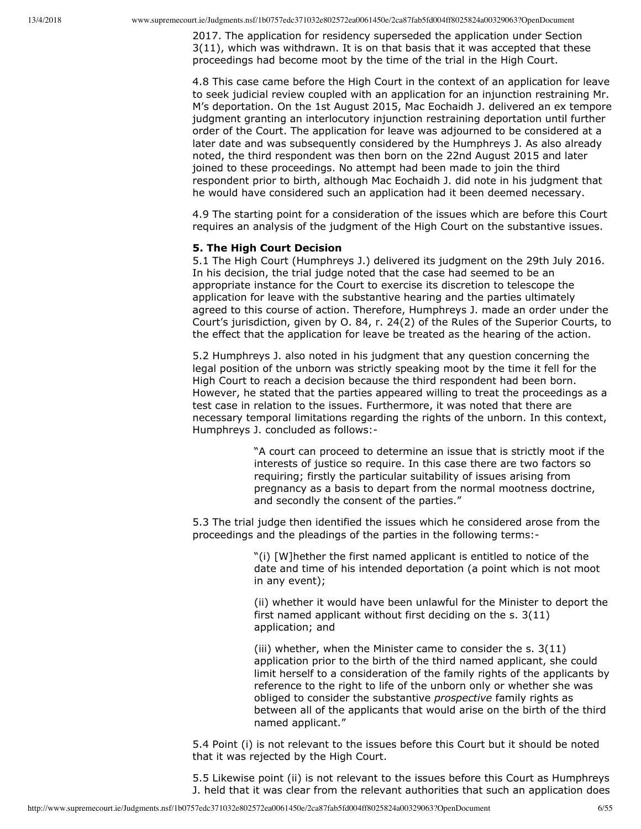2017. The application for residency superseded the application under Section 3(11), which was withdrawn. It is on that basis that it was accepted that these proceedings had become moot by the time of the trial in the High Court.

4.8 This case came before the High Court in the context of an application for leave to seek judicial review coupled with an application for an injunction restraining Mr. M's deportation. On the 1st August 2015, Mac Eochaidh J. delivered an ex tempore judgment granting an interlocutory injunction restraining deportation until further order of the Court. The application for leave was adjourned to be considered at a later date and was subsequently considered by the Humphreys J. As also already noted, the third respondent was then born on the 22nd August 2015 and later joined to these proceedings. No attempt had been made to join the third respondent prior to birth, although Mac Eochaidh J. did note in his judgment that he would have considered such an application had it been deemed necessary.

4.9 The starting point for a consideration of the issues which are before this Court requires an analysis of the judgment of the High Court on the substantive issues.

#### **5. The High Court Decision**

5.1 The High Court (Humphreys J.) delivered its judgment on the 29th July 2016. In his decision, the trial judge noted that the case had seemed to be an appropriate instance for the Court to exercise its discretion to telescope the application for leave with the substantive hearing and the parties ultimately agreed to this course of action. Therefore, Humphreys J. made an order under the Court's jurisdiction, given by O. 84, r. 24(2) of the Rules of the Superior Courts, to the effect that the application for leave be treated as the hearing of the action.

5.2 Humphreys J. also noted in his judgment that any question concerning the legal position of the unborn was strictly speaking moot by the time it fell for the High Court to reach a decision because the third respondent had been born. However, he stated that the parties appeared willing to treat the proceedings as a test case in relation to the issues. Furthermore, it was noted that there are necessary temporal limitations regarding the rights of the unborn. In this context, Humphreys J. concluded as follows:

> "A court can proceed to determine an issue that is strictly moot if the interests of justice so require. In this case there are two factors so requiring; firstly the particular suitability of issues arising from pregnancy as a basis to depart from the normal mootness doctrine, and secondly the consent of the parties."

5.3 The trial judge then identified the issues which he considered arose from the proceedings and the pleadings of the parties in the following terms:

> "(i) [W]hether the first named applicant is entitled to notice of the date and time of his intended deportation (a point which is not moot in any event);

(ii) whether it would have been unlawful for the Minister to deport the first named applicant without first deciding on the s. 3(11) application; and

(iii) whether, when the Minister came to consider the s. 3(11) application prior to the birth of the third named applicant, she could limit herself to a consideration of the family rights of the applicants by reference to the right to life of the unborn only or whether she was obliged to consider the substantive *prospective* family rights as between all of the applicants that would arise on the birth of the third named applicant."

5.4 Point (i) is not relevant to the issues before this Court but it should be noted that it was rejected by the High Court.

5.5 Likewise point (ii) is not relevant to the issues before this Court as Humphreys J. held that it was clear from the relevant authorities that such an application does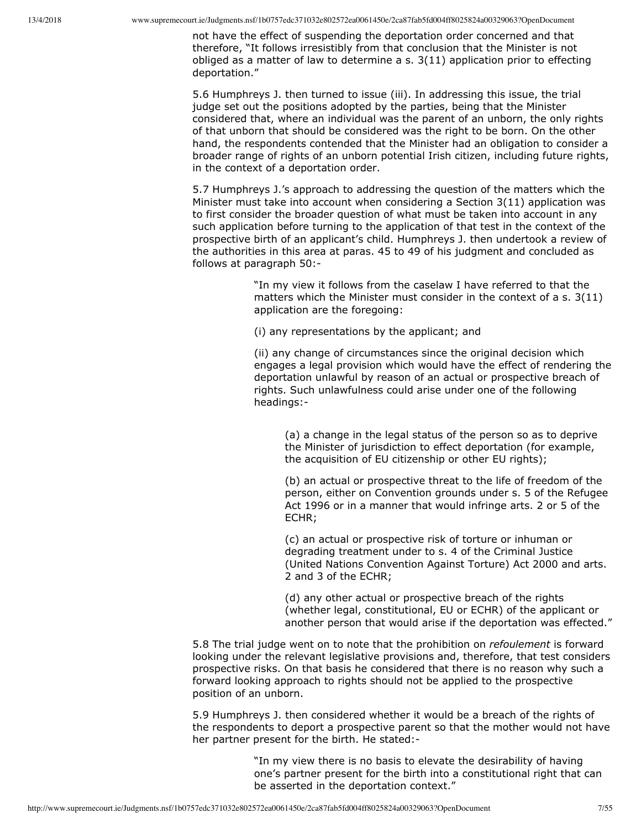not have the effect of suspending the deportation order concerned and that therefore, "It follows irresistibly from that conclusion that the Minister is not obliged as a matter of law to determine  $a \simeq 3(11)$  application prior to effecting deportation."

5.6 Humphreys J. then turned to issue (iii). In addressing this issue, the trial judge set out the positions adopted by the parties, being that the Minister considered that, where an individual was the parent of an unborn, the only rights of that unborn that should be considered was the right to be born. On the other hand, the respondents contended that the Minister had an obligation to consider a broader range of rights of an unborn potential Irish citizen, including future rights, in the context of a deportation order.

5.7 Humphreys J.'s approach to addressing the question of the matters which the Minister must take into account when considering a Section 3(11) application was to first consider the broader question of what must be taken into account in any such application before turning to the application of that test in the context of the prospective birth of an applicant's child. Humphreys J. then undertook a review of the authorities in this area at paras. 45 to 49 of his judgment and concluded as follows at paragraph 50:

> "In my view it follows from the caselaw I have referred to that the matters which the Minister must consider in the context of a s. 3(11) application are the foregoing:

(i) any representations by the applicant; and

(ii) any change of circumstances since the original decision which engages a legal provision which would have the effect of rendering the deportation unlawful by reason of an actual or prospective breach of rights. Such unlawfulness could arise under one of the following headings:

(a) a change in the legal status of the person so as to deprive the Minister of jurisdiction to effect deportation (for example, the acquisition of EU citizenship or other EU rights);

(b) an actual or prospective threat to the life of freedom of the person, either on Convention grounds under s. 5 of the Refugee Act 1996 or in a manner that would infringe arts. 2 or 5 of the ECHR;

(c) an actual or prospective risk of torture or inhuman or degrading treatment under to s. 4 of the Criminal Justice (United Nations Convention Against Torture) Act 2000 and arts. 2 and 3 of the ECHR;

(d) any other actual or prospective breach of the rights (whether legal, constitutional, EU or ECHR) of the applicant or another person that would arise if the deportation was effected."

5.8 The trial judge went on to note that the prohibition on *refoulement* is forward looking under the relevant legislative provisions and, therefore, that test considers prospective risks. On that basis he considered that there is no reason why such a forward looking approach to rights should not be applied to the prospective position of an unborn.

5.9 Humphreys J. then considered whether it would be a breach of the rights of the respondents to deport a prospective parent so that the mother would not have her partner present for the birth. He stated:

> "In my view there is no basis to elevate the desirability of having one's partner present for the birth into a constitutional right that can be asserted in the deportation context."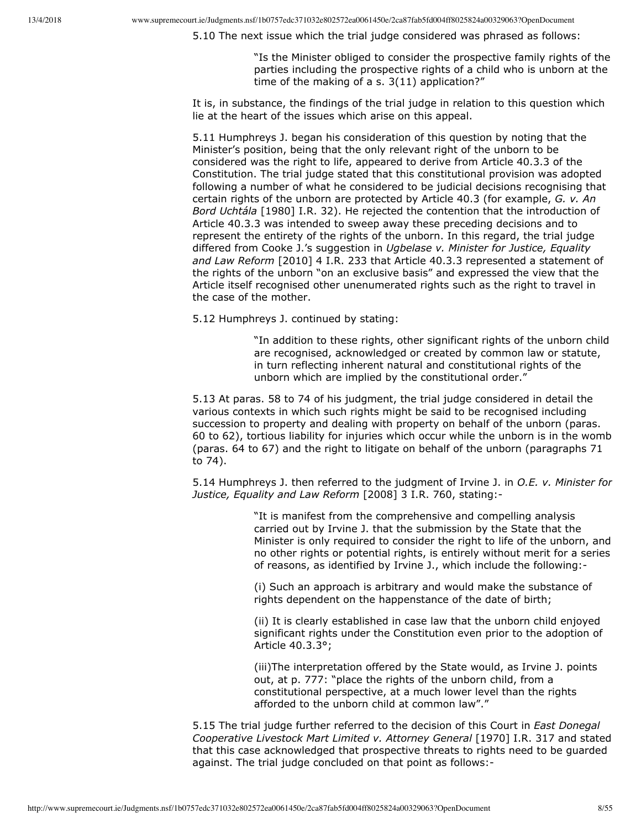5.10 The next issue which the trial judge considered was phrased as follows:

"Is the Minister obliged to consider the prospective family rights of the parties including the prospective rights of a child who is unborn at the time of the making of a s. 3(11) application?"

It is, in substance, the findings of the trial judge in relation to this question which lie at the heart of the issues which arise on this appeal.

5.11 Humphreys J. began his consideration of this question by noting that the Minister's position, being that the only relevant right of the unborn to be considered was the right to life, appeared to derive from Article 40.3.3 of the Constitution. The trial judge stated that this constitutional provision was adopted following a number of what he considered to be judicial decisions recognising that certain rights of the unborn are protected by Article 40.3 (for example, *G. v. An Bord Uchtála* [1980] I.R. 32). He rejected the contention that the introduction of Article 40.3.3 was intended to sweep away these preceding decisions and to represent the entirety of the rights of the unborn. In this regard, the trial judge differed from Cooke J.'s suggestion in *Ugbelase v. Minister for Justice, Equality and Law Reform* [2010] 4 I.R. 233 that Article 40.3.3 represented a statement of the rights of the unborn "on an exclusive basis" and expressed the view that the Article itself recognised other unenumerated rights such as the right to travel in the case of the mother.

5.12 Humphreys J. continued by stating:

"In addition to these rights, other significant rights of the unborn child are recognised, acknowledged or created by common law or statute, in turn reflecting inherent natural and constitutional rights of the unborn which are implied by the constitutional order."

5.13 At paras. 58 to 74 of his judgment, the trial judge considered in detail the various contexts in which such rights might be said to be recognised including succession to property and dealing with property on behalf of the unborn (paras. 60 to 62), tortious liability for injuries which occur while the unborn is in the womb (paras. 64 to 67) and the right to litigate on behalf of the unborn (paragraphs 71 to 74).

5.14 Humphreys J. then referred to the judgment of Irvine J. in *O.E. v. Minister for Justice, Equality and Law Reform* [2008] 3 I.R. 760, stating:

> "It is manifest from the comprehensive and compelling analysis carried out by Irvine J. that the submission by the State that the Minister is only required to consider the right to life of the unborn, and no other rights or potential rights, is entirely without merit for a series of reasons, as identified by Irvine J., which include the following:

(i) Such an approach is arbitrary and would make the substance of rights dependent on the happenstance of the date of birth;

(ii) It is clearly established in case law that the unborn child enjoyed significant rights under the Constitution even prior to the adoption of Article 40.3.3°;

(iii)The interpretation offered by the State would, as Irvine J. points out, at p. 777: "place the rights of the unborn child, from a constitutional perspective, at a much lower level than the rights afforded to the unborn child at common law"."

5.15 The trial judge further referred to the decision of this Court in *East Donegal Cooperative Livestock Mart Limited v. Attorney General* [1970] I.R. 317 and stated that this case acknowledged that prospective threats to rights need to be guarded against. The trial judge concluded on that point as follows: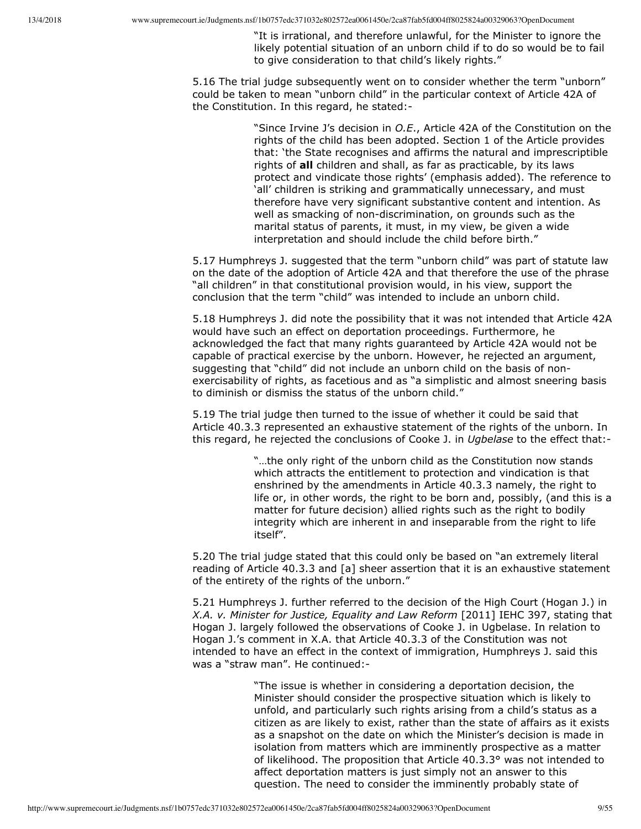"It is irrational, and therefore unlawful, for the Minister to ignore the likely potential situation of an unborn child if to do so would be to fail to give consideration to that child's likely rights."

5.16 The trial judge subsequently went on to consider whether the term "unborn" could be taken to mean "unborn child" in the particular context of Article 42A of the Constitution. In this regard, he stated:

> "Since Irvine J's decision in *O.E*., Article 42A of the Constitution on the rights of the child has been adopted. Section 1 of the Article provides that: 'the State recognises and affirms the natural and imprescriptible rights of **all** children and shall, as far as practicable, by its laws protect and vindicate those rights' (emphasis added). The reference to 'all' children is striking and grammatically unnecessary, and must therefore have very significant substantive content and intention. As well as smacking of non-discrimination, on grounds such as the marital status of parents, it must, in my view, be given a wide interpretation and should include the child before birth."

5.17 Humphreys J. suggested that the term "unborn child" was part of statute law on the date of the adoption of Article 42A and that therefore the use of the phrase "all children" in that constitutional provision would, in his view, support the conclusion that the term "child" was intended to include an unborn child.

5.18 Humphreys J. did note the possibility that it was not intended that Article 42A would have such an effect on deportation proceedings. Furthermore, he acknowledged the fact that many rights guaranteed by Article 42A would not be capable of practical exercise by the unborn. However, he rejected an argument, suggesting that "child" did not include an unborn child on the basis of nonexercisability of rights, as facetious and as "a simplistic and almost sneering basis to diminish or dismiss the status of the unborn child."

5.19 The trial judge then turned to the issue of whether it could be said that Article 40.3.3 represented an exhaustive statement of the rights of the unborn. In this regard, he rejected the conclusions of Cooke J. in *Ugbelase* to the effect that:

> "…the only right of the unborn child as the Constitution now stands which attracts the entitlement to protection and vindication is that enshrined by the amendments in Article 40.3.3 namely, the right to life or, in other words, the right to be born and, possibly, (and this is a matter for future decision) allied rights such as the right to bodily integrity which are inherent in and inseparable from the right to life itself".

5.20 The trial judge stated that this could only be based on "an extremely literal reading of Article 40.3.3 and [a] sheer assertion that it is an exhaustive statement of the entirety of the rights of the unborn."

5.21 Humphreys J. further referred to the decision of the High Court (Hogan J.) in *X.A. v. Minister for Justice, Equality and Law Reform* [2011] IEHC 397, stating that Hogan J. largely followed the observations of Cooke J. in Ugbelase. In relation to Hogan J.'s comment in X.A. that Article 40.3.3 of the Constitution was not intended to have an effect in the context of immigration, Humphreys J. said this was a "straw man". He continued:

> "The issue is whether in considering a deportation decision, the Minister should consider the prospective situation which is likely to unfold, and particularly such rights arising from a child's status as a citizen as are likely to exist, rather than the state of affairs as it exists as a snapshot on the date on which the Minister's decision is made in isolation from matters which are imminently prospective as a matter of likelihood. The proposition that Article 40.3.3° was not intended to affect deportation matters is just simply not an answer to this question. The need to consider the imminently probably state of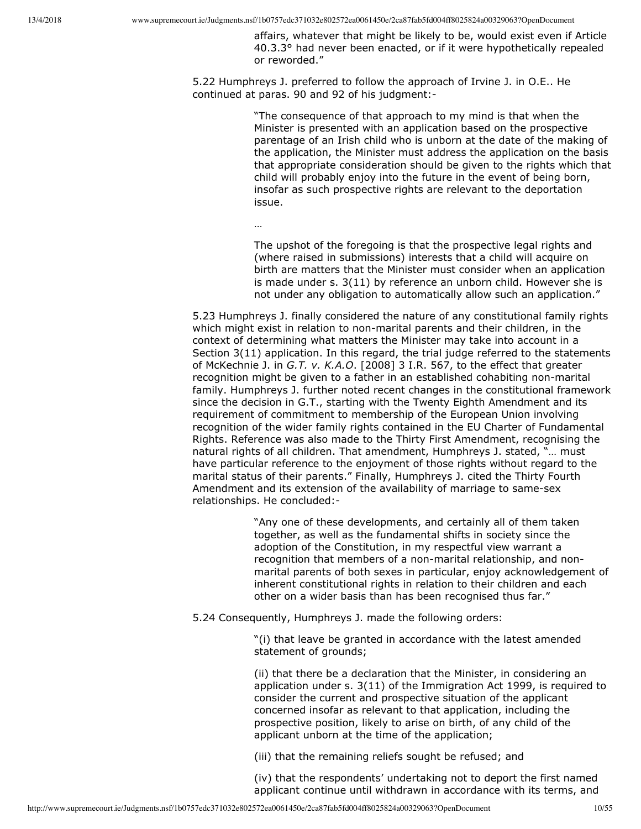affairs, whatever that might be likely to be, would exist even if Article 40.3.3° had never been enacted, or if it were hypothetically repealed or reworded."

5.22 Humphreys J. preferred to follow the approach of Irvine J. in O.E.. He continued at paras. 90 and 92 of his judgment:

> "The consequence of that approach to my mind is that when the Minister is presented with an application based on the prospective parentage of an Irish child who is unborn at the date of the making of the application, the Minister must address the application on the basis that appropriate consideration should be given to the rights which that child will probably enjoy into the future in the event of being born, insofar as such prospective rights are relevant to the deportation issue.

…

The upshot of the foregoing is that the prospective legal rights and (where raised in submissions) interests that a child will acquire on birth are matters that the Minister must consider when an application is made under s. 3(11) by reference an unborn child. However she is not under any obligation to automatically allow such an application."

5.23 Humphreys J. finally considered the nature of any constitutional family rights which might exist in relation to non-marital parents and their children, in the context of determining what matters the Minister may take into account in a Section 3(11) application. In this regard, the trial judge referred to the statements of McKechnie J. in *G.T. v. K.A.O*. [2008] 3 I.R. 567, to the effect that greater recognition might be given to a father in an established cohabiting non-marital family. Humphreys J. further noted recent changes in the constitutional framework since the decision in G.T., starting with the Twenty Eighth Amendment and its requirement of commitment to membership of the European Union involving recognition of the wider family rights contained in the EU Charter of Fundamental Rights. Reference was also made to the Thirty First Amendment, recognising the natural rights of all children. That amendment, Humphreys J. stated, "… must have particular reference to the enjoyment of those rights without regard to the marital status of their parents." Finally, Humphreys J. cited the Thirty Fourth Amendment and its extension of the availability of marriage to same-sex relationships. He concluded:

> "Any one of these developments, and certainly all of them taken together, as well as the fundamental shifts in society since the adoption of the Constitution, in my respectful view warrant a recognition that members of a non-marital relationship, and nonmarital parents of both sexes in particular, enjoy acknowledgement of inherent constitutional rights in relation to their children and each other on a wider basis than has been recognised thus far."

5.24 Consequently, Humphreys J. made the following orders:

"(i) that leave be granted in accordance with the latest amended statement of grounds;

(ii) that there be a declaration that the Minister, in considering an application under s. 3(11) of the Immigration Act 1999, is required to consider the current and prospective situation of the applicant concerned insofar as relevant to that application, including the prospective position, likely to arise on birth, of any child of the applicant unborn at the time of the application;

(iii) that the remaining reliefs sought be refused; and

(iv) that the respondents' undertaking not to deport the first named applicant continue until withdrawn in accordance with its terms, and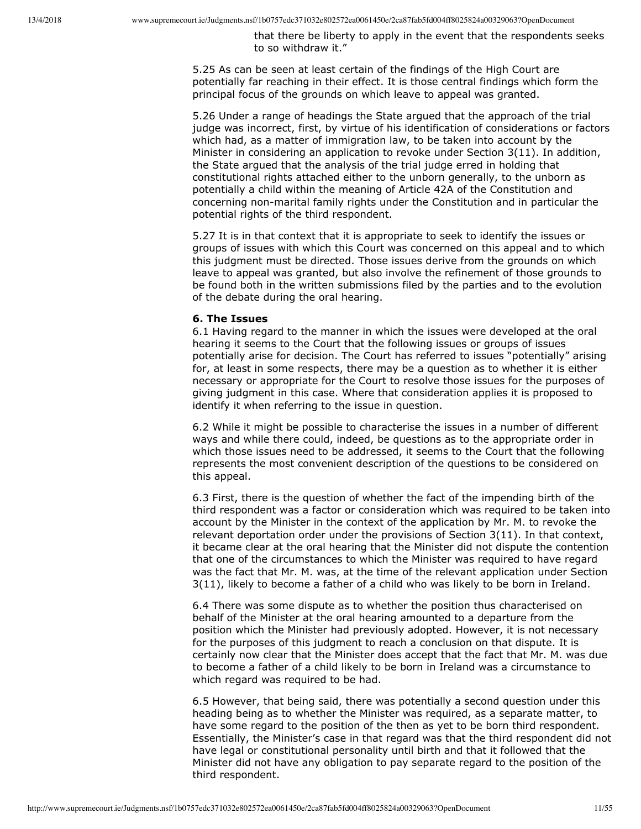that there be liberty to apply in the event that the respondents seeks to so withdraw it."

5.25 As can be seen at least certain of the findings of the High Court are potentially far reaching in their effect. It is those central findings which form the principal focus of the grounds on which leave to appeal was granted.

5.26 Under a range of headings the State argued that the approach of the trial judge was incorrect, first, by virtue of his identification of considerations or factors which had, as a matter of immigration law, to be taken into account by the Minister in considering an application to revoke under Section 3(11). In addition, the State argued that the analysis of the trial judge erred in holding that constitutional rights attached either to the unborn generally, to the unborn as potentially a child within the meaning of Article 42A of the Constitution and concerning non-marital family rights under the Constitution and in particular the potential rights of the third respondent.

5.27 It is in that context that it is appropriate to seek to identify the issues or groups of issues with which this Court was concerned on this appeal and to which this judgment must be directed. Those issues derive from the grounds on which leave to appeal was granted, but also involve the refinement of those grounds to be found both in the written submissions filed by the parties and to the evolution of the debate during the oral hearing.

#### **6. The Issues**

6.1 Having regard to the manner in which the issues were developed at the oral hearing it seems to the Court that the following issues or groups of issues potentially arise for decision. The Court has referred to issues "potentially" arising for, at least in some respects, there may be a question as to whether it is either necessary or appropriate for the Court to resolve those issues for the purposes of giving judgment in this case. Where that consideration applies it is proposed to identify it when referring to the issue in question.

6.2 While it might be possible to characterise the issues in a number of different ways and while there could, indeed, be questions as to the appropriate order in which those issues need to be addressed, it seems to the Court that the following represents the most convenient description of the questions to be considered on this appeal.

6.3 First, there is the question of whether the fact of the impending birth of the third respondent was a factor or consideration which was required to be taken into account by the Minister in the context of the application by Mr. M. to revoke the relevant deportation order under the provisions of Section 3(11). In that context, it became clear at the oral hearing that the Minister did not dispute the contention that one of the circumstances to which the Minister was required to have regard was the fact that Mr. M. was, at the time of the relevant application under Section 3(11), likely to become a father of a child who was likely to be born in Ireland.

6.4 There was some dispute as to whether the position thus characterised on behalf of the Minister at the oral hearing amounted to a departure from the position which the Minister had previously adopted. However, it is not necessary for the purposes of this judgment to reach a conclusion on that dispute. It is certainly now clear that the Minister does accept that the fact that Mr. M. was due to become a father of a child likely to be born in Ireland was a circumstance to which regard was required to be had.

6.5 However, that being said, there was potentially a second question under this heading being as to whether the Minister was required, as a separate matter, to have some regard to the position of the then as yet to be born third respondent. Essentially, the Minister's case in that regard was that the third respondent did not have legal or constitutional personality until birth and that it followed that the Minister did not have any obligation to pay separate regard to the position of the third respondent.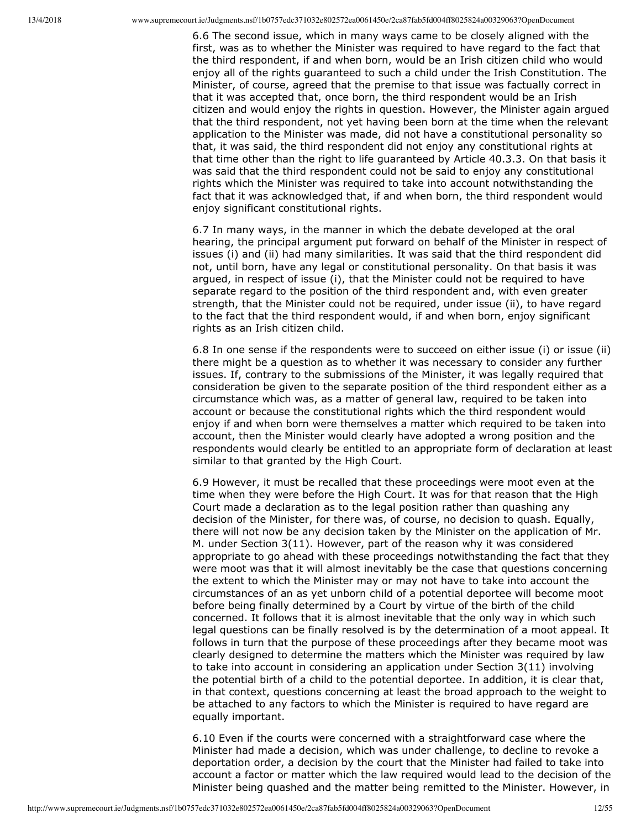6.6 The second issue, which in many ways came to be closely aligned with the first, was as to whether the Minister was required to have regard to the fact that the third respondent, if and when born, would be an Irish citizen child who would enjoy all of the rights guaranteed to such a child under the Irish Constitution. The Minister, of course, agreed that the premise to that issue was factually correct in that it was accepted that, once born, the third respondent would be an Irish citizen and would enjoy the rights in question. However, the Minister again argued that the third respondent, not yet having been born at the time when the relevant application to the Minister was made, did not have a constitutional personality so that, it was said, the third respondent did not enjoy any constitutional rights at that time other than the right to life guaranteed by Article 40.3.3. On that basis it was said that the third respondent could not be said to enjoy any constitutional rights which the Minister was required to take into account notwithstanding the fact that it was acknowledged that, if and when born, the third respondent would enjoy significant constitutional rights.

6.7 In many ways, in the manner in which the debate developed at the oral hearing, the principal argument put forward on behalf of the Minister in respect of issues (i) and (ii) had many similarities. It was said that the third respondent did not, until born, have any legal or constitutional personality. On that basis it was argued, in respect of issue (i), that the Minister could not be required to have separate regard to the position of the third respondent and, with even greater strength, that the Minister could not be required, under issue (ii), to have regard to the fact that the third respondent would, if and when born, enjoy significant rights as an Irish citizen child.

6.8 In one sense if the respondents were to succeed on either issue (i) or issue (ii) there might be a question as to whether it was necessary to consider any further issues. If, contrary to the submissions of the Minister, it was legally required that consideration be given to the separate position of the third respondent either as a circumstance which was, as a matter of general law, required to be taken into account or because the constitutional rights which the third respondent would enjoy if and when born were themselves a matter which required to be taken into account, then the Minister would clearly have adopted a wrong position and the respondents would clearly be entitled to an appropriate form of declaration at least similar to that granted by the High Court.

6.9 However, it must be recalled that these proceedings were moot even at the time when they were before the High Court. It was for that reason that the High Court made a declaration as to the legal position rather than quashing any decision of the Minister, for there was, of course, no decision to quash. Equally, there will not now be any decision taken by the Minister on the application of Mr. M. under Section 3(11). However, part of the reason why it was considered appropriate to go ahead with these proceedings notwithstanding the fact that they were moot was that it will almost inevitably be the case that questions concerning the extent to which the Minister may or may not have to take into account the circumstances of an as yet unborn child of a potential deportee will become moot before being finally determined by a Court by virtue of the birth of the child concerned. It follows that it is almost inevitable that the only way in which such legal questions can be finally resolved is by the determination of a moot appeal. It follows in turn that the purpose of these proceedings after they became moot was clearly designed to determine the matters which the Minister was required by law to take into account in considering an application under Section 3(11) involving the potential birth of a child to the potential deportee. In addition, it is clear that, in that context, questions concerning at least the broad approach to the weight to be attached to any factors to which the Minister is required to have regard are equally important.

6.10 Even if the courts were concerned with a straightforward case where the Minister had made a decision, which was under challenge, to decline to revoke a deportation order, a decision by the court that the Minister had failed to take into account a factor or matter which the law required would lead to the decision of the Minister being quashed and the matter being remitted to the Minister. However, in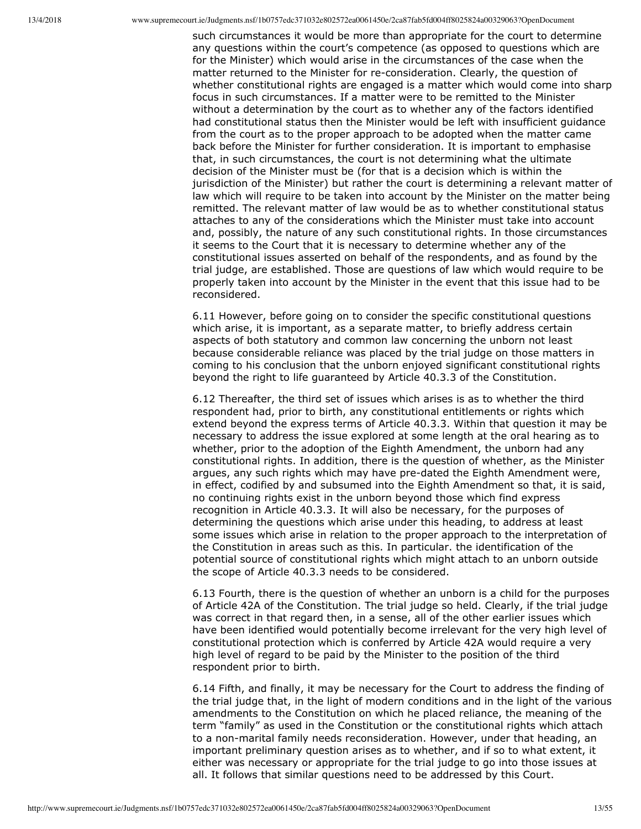such circumstances it would be more than appropriate for the court to determine any questions within the court's competence (as opposed to questions which are for the Minister) which would arise in the circumstances of the case when the matter returned to the Minister for reconsideration. Clearly, the question of whether constitutional rights are engaged is a matter which would come into sharp focus in such circumstances. If a matter were to be remitted to the Minister without a determination by the court as to whether any of the factors identified had constitutional status then the Minister would be left with insufficient guidance from the court as to the proper approach to be adopted when the matter came back before the Minister for further consideration. It is important to emphasise that, in such circumstances, the court is not determining what the ultimate decision of the Minister must be (for that is a decision which is within the jurisdiction of the Minister) but rather the court is determining a relevant matter of law which will require to be taken into account by the Minister on the matter being remitted. The relevant matter of law would be as to whether constitutional status attaches to any of the considerations which the Minister must take into account and, possibly, the nature of any such constitutional rights. In those circumstances it seems to the Court that it is necessary to determine whether any of the constitutional issues asserted on behalf of the respondents, and as found by the trial judge, are established. Those are questions of law which would require to be properly taken into account by the Minister in the event that this issue had to be reconsidered.

6.11 However, before going on to consider the specific constitutional questions which arise, it is important, as a separate matter, to briefly address certain aspects of both statutory and common law concerning the unborn not least because considerable reliance was placed by the trial judge on those matters in coming to his conclusion that the unborn enjoyed significant constitutional rights beyond the right to life guaranteed by Article 40.3.3 of the Constitution.

6.12 Thereafter, the third set of issues which arises is as to whether the third respondent had, prior to birth, any constitutional entitlements or rights which extend beyond the express terms of Article 40.3.3. Within that question it may be necessary to address the issue explored at some length at the oral hearing as to whether, prior to the adoption of the Eighth Amendment, the unborn had any constitutional rights. In addition, there is the question of whether, as the Minister argues, any such rights which may have pre-dated the Eighth Amendment were, in effect, codified by and subsumed into the Eighth Amendment so that, it is said, no continuing rights exist in the unborn beyond those which find express recognition in Article 40.3.3. It will also be necessary, for the purposes of determining the questions which arise under this heading, to address at least some issues which arise in relation to the proper approach to the interpretation of the Constitution in areas such as this. In particular. the identification of the potential source of constitutional rights which might attach to an unborn outside the scope of Article 40.3.3 needs to be considered.

6.13 Fourth, there is the question of whether an unborn is a child for the purposes of Article 42A of the Constitution. The trial judge so held. Clearly, if the trial judge was correct in that regard then, in a sense, all of the other earlier issues which have been identified would potentially become irrelevant for the very high level of constitutional protection which is conferred by Article 42A would require a very high level of regard to be paid by the Minister to the position of the third respondent prior to birth.

6.14 Fifth, and finally, it may be necessary for the Court to address the finding of the trial judge that, in the light of modern conditions and in the light of the various amendments to the Constitution on which he placed reliance, the meaning of the term "family" as used in the Constitution or the constitutional rights which attach to a non-marital family needs reconsideration. However, under that heading, an important preliminary question arises as to whether, and if so to what extent, it either was necessary or appropriate for the trial judge to go into those issues at all. It follows that similar questions need to be addressed by this Court.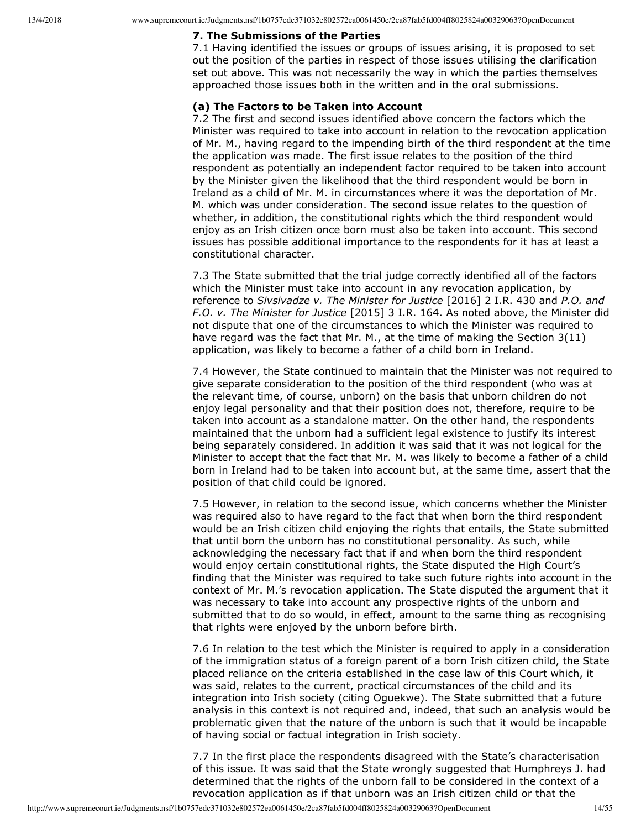# **7. The Submissions of the Parties**

7.1 Having identified the issues or groups of issues arising, it is proposed to set out the position of the parties in respect of those issues utilising the clarification set out above. This was not necessarily the way in which the parties themselves approached those issues both in the written and in the oral submissions.

## **(a) The Factors to be Taken into Account**

7.2 The first and second issues identified above concern the factors which the Minister was required to take into account in relation to the revocation application of Mr. M., having regard to the impending birth of the third respondent at the time the application was made. The first issue relates to the position of the third respondent as potentially an independent factor required to be taken into account by the Minister given the likelihood that the third respondent would be born in Ireland as a child of Mr. M. in circumstances where it was the deportation of Mr. M. which was under consideration. The second issue relates to the question of whether, in addition, the constitutional rights which the third respondent would enjoy as an Irish citizen once born must also be taken into account. This second issues has possible additional importance to the respondents for it has at least a constitutional character.

7.3 The State submitted that the trial judge correctly identified all of the factors which the Minister must take into account in any revocation application, by reference to *Sivsivadze v. The Minister for Justice* [2016] 2 I.R. 430 and *P.O. and F.O. v. The Minister for Justice* [2015] 3 I.R. 164. As noted above, the Minister did not dispute that one of the circumstances to which the Minister was required to have regard was the fact that Mr. M., at the time of making the Section 3(11) application, was likely to become a father of a child born in Ireland.

7.4 However, the State continued to maintain that the Minister was not required to give separate consideration to the position of the third respondent (who was at the relevant time, of course, unborn) on the basis that unborn children do not enjoy legal personality and that their position does not, therefore, require to be taken into account as a standalone matter. On the other hand, the respondents maintained that the unborn had a sufficient legal existence to justify its interest being separately considered. In addition it was said that it was not logical for the Minister to accept that the fact that Mr. M. was likely to become a father of a child born in Ireland had to be taken into account but, at the same time, assert that the position of that child could be ignored.

7.5 However, in relation to the second issue, which concerns whether the Minister was required also to have regard to the fact that when born the third respondent would be an Irish citizen child enjoying the rights that entails, the State submitted that until born the unborn has no constitutional personality. As such, while acknowledging the necessary fact that if and when born the third respondent would enjoy certain constitutional rights, the State disputed the High Court's finding that the Minister was required to take such future rights into account in the context of Mr. M.'s revocation application. The State disputed the argument that it was necessary to take into account any prospective rights of the unborn and submitted that to do so would, in effect, amount to the same thing as recognising that rights were enjoyed by the unborn before birth.

7.6 In relation to the test which the Minister is required to apply in a consideration of the immigration status of a foreign parent of a born Irish citizen child, the State placed reliance on the criteria established in the case law of this Court which, it was said, relates to the current, practical circumstances of the child and its integration into Irish society (citing Oguekwe). The State submitted that a future analysis in this context is not required and, indeed, that such an analysis would be problematic given that the nature of the unborn is such that it would be incapable of having social or factual integration in Irish society.

7.7 In the first place the respondents disagreed with the State's characterisation of this issue. It was said that the State wrongly suggested that Humphreys J. had determined that the rights of the unborn fall to be considered in the context of a revocation application as if that unborn was an Irish citizen child or that the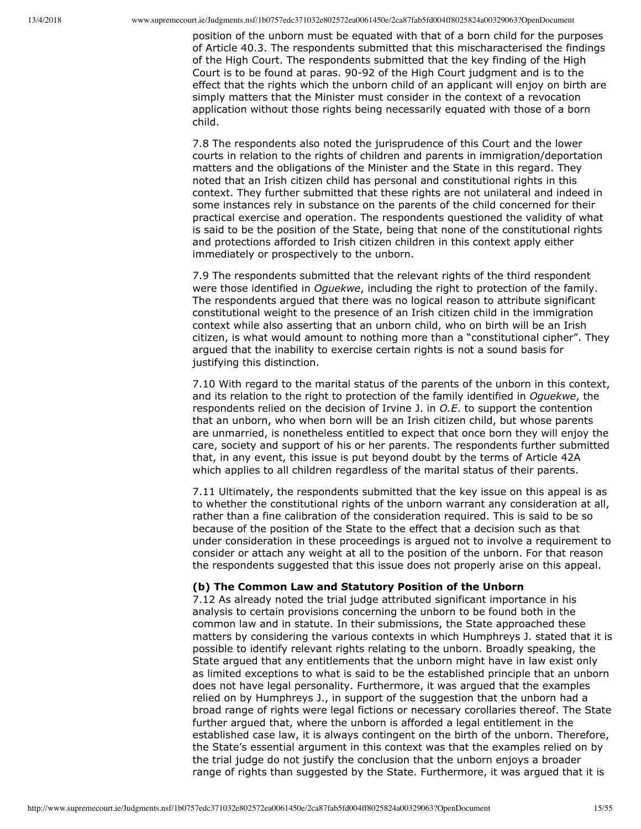position of the unborn must be equated with that of a born child for the purposes of Article 40.3. The respondents submitted that this mischaracterised the findings of the High Court. The respondents submitted that the key finding of the High Court is to be found at paras. 90-92 of the High Court judgment and is to the effect that the rights which the unborn child of an applicant will enjoy on birth are simply matters that the Minister must consider in the context of a revocation application without those rights being necessarily equated with those of a born child.

7.8 The respondents also noted the jurisprudence of this Court and the lower courts in relation to the rights of children and parents in immigration/deportation matters and the obligations of the Minister and the State in this regard. They noted that an Irish citizen child has personal and constitutional rights in this context. They further submitted that these rights are not unilateral and indeed in some instances rely in substance on the parents of the child concerned for their practical exercise and operation. The respondents questioned the validity of what is said to be the position of the State, being that none of the constitutional rights and protections afforded to Irish citizen children in this context apply either immediately or prospectively to the unborn.

7.9 The respondents submitted that the relevant rights of the third respondent were those identified in *Oguekwe*, including the right to protection of the family. The respondents argued that there was no logical reason to attribute significant constitutional weight to the presence of an Irish citizen child in the immigration context while also asserting that an unborn child, who on birth will be an Irish citizen, is what would amount to nothing more than a "constitutional cipher". They argued that the inability to exercise certain rights is not a sound basis for justifying this distinction.

7.10 With regard to the marital status of the parents of the unborn in this context, and its relation to the right to protection of the family identified in *Oguekwe*, the respondents relied on the decision of Irvine J. in *O.E*. to support the contention that an unborn, who when born will be an Irish citizen child, but whose parents are unmarried, is nonetheless entitled to expect that once born they will enjoy the care, society and support of his or her parents. The respondents further submitted that, in any event, this issue is put beyond doubt by the terms of Article 42A which applies to all children regardless of the marital status of their parents.

7.11 Ultimately, the respondents submitted that the key issue on this appeal is as to whether the constitutional rights of the unborn warrant any consideration at all, rather than a fine calibration of the consideration required. This is said to be so because of the position of the State to the effect that a decision such as that under consideration in these proceedings is argued not to involve a requirement to consider or attach any weight at all to the position of the unborn. For that reason the respondents suggested that this issue does not properly arise on this appeal.

## **(b) The Common Law and Statutory Position of the Unborn**

7.12 As already noted the trial judge attributed significant importance in his analysis to certain provisions concerning the unborn to be found both in the common law and in statute. In their submissions, the State approached these matters by considering the various contexts in which Humphreys J. stated that it is possible to identify relevant rights relating to the unborn. Broadly speaking, the State argued that any entitlements that the unborn might have in law exist only as limited exceptions to what is said to be the established principle that an unborn does not have legal personality. Furthermore, it was argued that the examples relied on by Humphreys J., in support of the suggestion that the unborn had a broad range of rights were legal fictions or necessary corollaries thereof. The State further argued that, where the unborn is afforded a legal entitlement in the established case law, it is always contingent on the birth of the unborn. Therefore, the State's essential argument in this context was that the examples relied on by the trial judge do not justify the conclusion that the unborn enjoys a broader range of rights than suggested by the State. Furthermore, it was argued that it is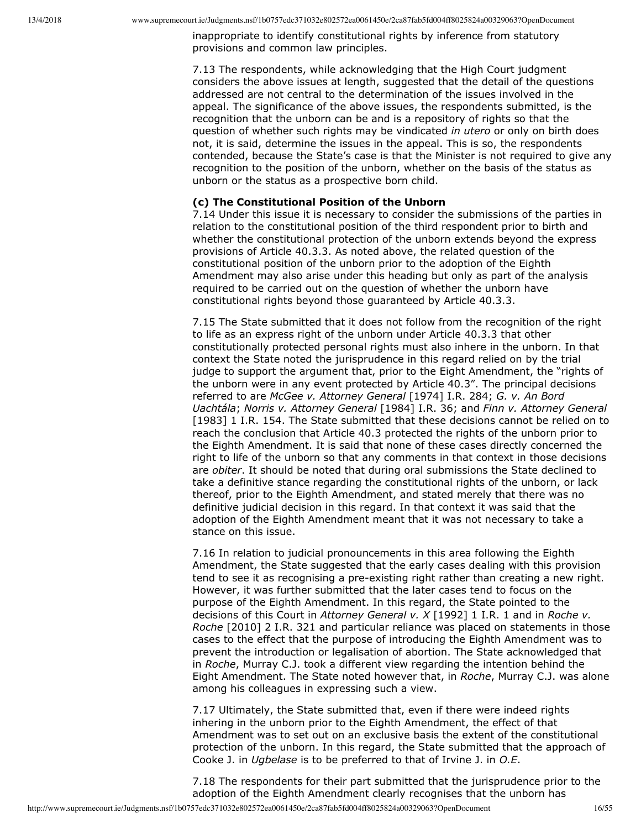inappropriate to identify constitutional rights by inference from statutory provisions and common law principles.

7.13 The respondents, while acknowledging that the High Court judgment considers the above issues at length, suggested that the detail of the questions addressed are not central to the determination of the issues involved in the appeal. The significance of the above issues, the respondents submitted, is the recognition that the unborn can be and is a repository of rights so that the question of whether such rights may be vindicated *in utero* or only on birth does not, it is said, determine the issues in the appeal. This is so, the respondents contended, because the State's case is that the Minister is not required to give any recognition to the position of the unborn, whether on the basis of the status as unborn or the status as a prospective born child.

#### **(c) The Constitutional Position of the Unborn**

7.14 Under this issue it is necessary to consider the submissions of the parties in relation to the constitutional position of the third respondent prior to birth and whether the constitutional protection of the unborn extends beyond the express provisions of Article 40.3.3. As noted above, the related question of the constitutional position of the unborn prior to the adoption of the Eighth Amendment may also arise under this heading but only as part of the analysis required to be carried out on the question of whether the unborn have constitutional rights beyond those guaranteed by Article 40.3.3.

7.15 The State submitted that it does not follow from the recognition of the right to life as an express right of the unborn under Article 40.3.3 that other constitutionally protected personal rights must also inhere in the unborn. In that context the State noted the jurisprudence in this regard relied on by the trial judge to support the argument that, prior to the Eight Amendment, the "rights of the unborn were in any event protected by Article 40.3". The principal decisions referred to are *McGee v. Attorney General* [1974] I.R. 284; *G. v. An Bord Uachtála*; *Norris v. Attorney General* [1984] I.R. 36; and *Finn v. Attorney General* [1983] 1 I.R. 154. The State submitted that these decisions cannot be relied on to reach the conclusion that Article 40.3 protected the rights of the unborn prior to the Eighth Amendment. It is said that none of these cases directly concerned the right to life of the unborn so that any comments in that context in those decisions are *obiter*. It should be noted that during oral submissions the State declined to take a definitive stance regarding the constitutional rights of the unborn, or lack thereof, prior to the Eighth Amendment, and stated merely that there was no definitive judicial decision in this regard. In that context it was said that the adoption of the Eighth Amendment meant that it was not necessary to take a stance on this issue.

7.16 In relation to judicial pronouncements in this area following the Eighth Amendment, the State suggested that the early cases dealing with this provision tend to see it as recognising a pre-existing right rather than creating a new right. However, it was further submitted that the later cases tend to focus on the purpose of the Eighth Amendment. In this regard, the State pointed to the decisions of this Court in *Attorney General v. X* [1992] 1 I.R. 1 and in *Roche v. Roche* [2010] 2 I.R. 321 and particular reliance was placed on statements in those cases to the effect that the purpose of introducing the Eighth Amendment was to prevent the introduction or legalisation of abortion. The State acknowledged that in *Roche*, Murray C.J. took a different view regarding the intention behind the Eight Amendment. The State noted however that, in *Roche*, Murray C.J. was alone among his colleagues in expressing such a view.

7.17 Ultimately, the State submitted that, even if there were indeed rights inhering in the unborn prior to the Eighth Amendment, the effect of that Amendment was to set out on an exclusive basis the extent of the constitutional protection of the unborn. In this regard, the State submitted that the approach of Cooke J. in *Ugbelase* is to be preferred to that of Irvine J. in *O.E*.

7.18 The respondents for their part submitted that the jurisprudence prior to the adoption of the Eighth Amendment clearly recognises that the unborn has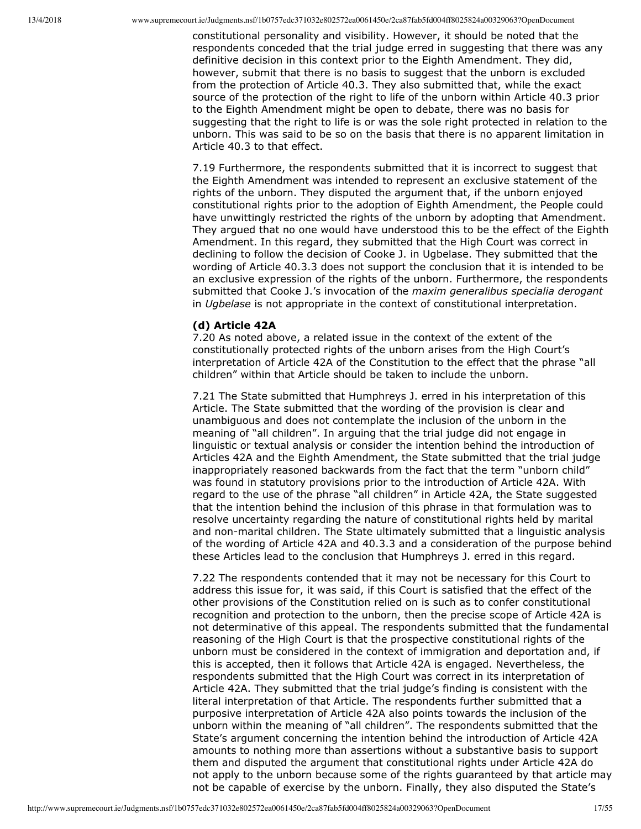constitutional personality and visibility. However, it should be noted that the respondents conceded that the trial judge erred in suggesting that there was any definitive decision in this context prior to the Eighth Amendment. They did, however, submit that there is no basis to suggest that the unborn is excluded from the protection of Article 40.3. They also submitted that, while the exact source of the protection of the right to life of the unborn within Article 40.3 prior to the Eighth Amendment might be open to debate, there was no basis for suggesting that the right to life is or was the sole right protected in relation to the unborn. This was said to be so on the basis that there is no apparent limitation in Article 40.3 to that effect.

7.19 Furthermore, the respondents submitted that it is incorrect to suggest that the Eighth Amendment was intended to represent an exclusive statement of the rights of the unborn. They disputed the argument that, if the unborn enjoyed constitutional rights prior to the adoption of Eighth Amendment, the People could have unwittingly restricted the rights of the unborn by adopting that Amendment. They argued that no one would have understood this to be the effect of the Eighth Amendment. In this regard, they submitted that the High Court was correct in declining to follow the decision of Cooke J. in Ugbelase. They submitted that the wording of Article 40.3.3 does not support the conclusion that it is intended to be an exclusive expression of the rights of the unborn. Furthermore, the respondents submitted that Cooke J.'s invocation of the *maxim generalibus specialia derogant* in *Ugbelase* is not appropriate in the context of constitutional interpretation.

## **(d) Article 42A**

7.20 As noted above, a related issue in the context of the extent of the constitutionally protected rights of the unborn arises from the High Court's interpretation of Article 42A of the Constitution to the effect that the phrase "all children" within that Article should be taken to include the unborn.

7.21 The State submitted that Humphreys J. erred in his interpretation of this Article. The State submitted that the wording of the provision is clear and unambiguous and does not contemplate the inclusion of the unborn in the meaning of "all children". In arguing that the trial judge did not engage in linguistic or textual analysis or consider the intention behind the introduction of Articles 42A and the Eighth Amendment, the State submitted that the trial judge inappropriately reasoned backwards from the fact that the term "unborn child" was found in statutory provisions prior to the introduction of Article 42A. With regard to the use of the phrase "all children" in Article 42A, the State suggested that the intention behind the inclusion of this phrase in that formulation was to resolve uncertainty regarding the nature of constitutional rights held by marital and non-marital children. The State ultimately submitted that a linguistic analysis of the wording of Article 42A and 40.3.3 and a consideration of the purpose behind these Articles lead to the conclusion that Humphreys J. erred in this regard.

7.22 The respondents contended that it may not be necessary for this Court to address this issue for, it was said, if this Court is satisfied that the effect of the other provisions of the Constitution relied on is such as to confer constitutional recognition and protection to the unborn, then the precise scope of Article 42A is not determinative of this appeal. The respondents submitted that the fundamental reasoning of the High Court is that the prospective constitutional rights of the unborn must be considered in the context of immigration and deportation and, if this is accepted, then it follows that Article 42A is engaged. Nevertheless, the respondents submitted that the High Court was correct in its interpretation of Article 42A. They submitted that the trial judge's finding is consistent with the literal interpretation of that Article. The respondents further submitted that a purposive interpretation of Article 42A also points towards the inclusion of the unborn within the meaning of "all children". The respondents submitted that the State's argument concerning the intention behind the introduction of Article 42A amounts to nothing more than assertions without a substantive basis to support them and disputed the argument that constitutional rights under Article 42A do not apply to the unborn because some of the rights guaranteed by that article may not be capable of exercise by the unborn. Finally, they also disputed the State's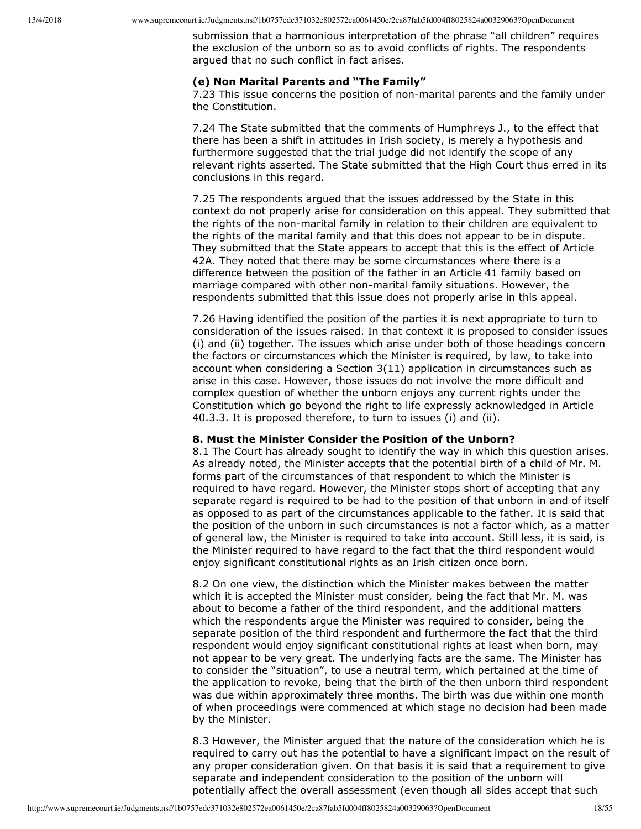submission that a harmonious interpretation of the phrase "all children" requires the exclusion of the unborn so as to avoid conflicts of rights. The respondents argued that no such conflict in fact arises.

#### **(e) Non Marital Parents and "The Family"**

7.23 This issue concerns the position of non-marital parents and the family under the Constitution.

7.24 The State submitted that the comments of Humphreys J., to the effect that there has been a shift in attitudes in Irish society, is merely a hypothesis and furthermore suggested that the trial judge did not identify the scope of any relevant rights asserted. The State submitted that the High Court thus erred in its conclusions in this regard.

7.25 The respondents argued that the issues addressed by the State in this context do not properly arise for consideration on this appeal. They submitted that the rights of the non-marital family in relation to their children are equivalent to the rights of the marital family and that this does not appear to be in dispute. They submitted that the State appears to accept that this is the effect of Article 42A. They noted that there may be some circumstances where there is a difference between the position of the father in an Article 41 family based on marriage compared with other non-marital family situations. However, the respondents submitted that this issue does not properly arise in this appeal.

7.26 Having identified the position of the parties it is next appropriate to turn to consideration of the issues raised. In that context it is proposed to consider issues (i) and (ii) together. The issues which arise under both of those headings concern the factors or circumstances which the Minister is required, by law, to take into account when considering a Section 3(11) application in circumstances such as arise in this case. However, those issues do not involve the more difficult and complex question of whether the unborn enjoys any current rights under the Constitution which go beyond the right to life expressly acknowledged in Article 40.3.3. It is proposed therefore, to turn to issues (i) and (ii).

## **8. Must the Minister Consider the Position of the Unborn?**

8.1 The Court has already sought to identify the way in which this question arises. As already noted, the Minister accepts that the potential birth of a child of Mr. M. forms part of the circumstances of that respondent to which the Minister is required to have regard. However, the Minister stops short of accepting that any separate regard is required to be had to the position of that unborn in and of itself as opposed to as part of the circumstances applicable to the father. It is said that the position of the unborn in such circumstances is not a factor which, as a matter of general law, the Minister is required to take into account. Still less, it is said, is the Minister required to have regard to the fact that the third respondent would enjoy significant constitutional rights as an Irish citizen once born.

8.2 On one view, the distinction which the Minister makes between the matter which it is accepted the Minister must consider, being the fact that Mr. M. was about to become a father of the third respondent, and the additional matters which the respondents argue the Minister was required to consider, being the separate position of the third respondent and furthermore the fact that the third respondent would enjoy significant constitutional rights at least when born, may not appear to be very great. The underlying facts are the same. The Minister has to consider the "situation", to use a neutral term, which pertained at the time of the application to revoke, being that the birth of the then unborn third respondent was due within approximately three months. The birth was due within one month of when proceedings were commenced at which stage no decision had been made by the Minister.

8.3 However, the Minister argued that the nature of the consideration which he is required to carry out has the potential to have a significant impact on the result of any proper consideration given. On that basis it is said that a requirement to give separate and independent consideration to the position of the unborn will potentially affect the overall assessment (even though all sides accept that such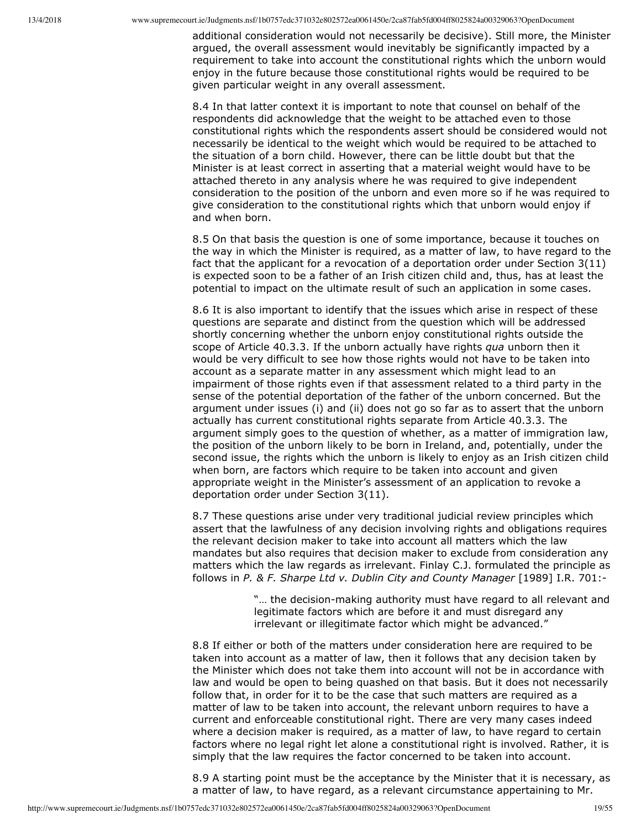additional consideration would not necessarily be decisive). Still more, the Minister argued, the overall assessment would inevitably be significantly impacted by a requirement to take into account the constitutional rights which the unborn would enjoy in the future because those constitutional rights would be required to be given particular weight in any overall assessment.

8.4 In that latter context it is important to note that counsel on behalf of the respondents did acknowledge that the weight to be attached even to those constitutional rights which the respondents assert should be considered would not necessarily be identical to the weight which would be required to be attached to the situation of a born child. However, there can be little doubt but that the Minister is at least correct in asserting that a material weight would have to be attached thereto in any analysis where he was required to give independent consideration to the position of the unborn and even more so if he was required to give consideration to the constitutional rights which that unborn would enjoy if and when born.

8.5 On that basis the question is one of some importance, because it touches on the way in which the Minister is required, as a matter of law, to have regard to the fact that the applicant for a revocation of a deportation order under Section 3(11) is expected soon to be a father of an Irish citizen child and, thus, has at least the potential to impact on the ultimate result of such an application in some cases.

8.6 It is also important to identify that the issues which arise in respect of these questions are separate and distinct from the question which will be addressed shortly concerning whether the unborn enjoy constitutional rights outside the scope of Article 40.3.3. If the unborn actually have rights *qua* unborn then it would be very difficult to see how those rights would not have to be taken into account as a separate matter in any assessment which might lead to an impairment of those rights even if that assessment related to a third party in the sense of the potential deportation of the father of the unborn concerned. But the argument under issues (i) and (ii) does not go so far as to assert that the unborn actually has current constitutional rights separate from Article 40.3.3. The argument simply goes to the question of whether, as a matter of immigration law, the position of the unborn likely to be born in Ireland, and, potentially, under the second issue, the rights which the unborn is likely to enjoy as an Irish citizen child when born, are factors which require to be taken into account and given appropriate weight in the Minister's assessment of an application to revoke a deportation order under Section 3(11).

8.7 These questions arise under very traditional judicial review principles which assert that the lawfulness of any decision involving rights and obligations requires the relevant decision maker to take into account all matters which the law mandates but also requires that decision maker to exclude from consideration any matters which the law regards as irrelevant. Finlay C.J. formulated the principle as follows in *P. & F. Sharpe Ltd v. Dublin City and County Manager* [1989] I.R. 701:

> "... the decision-making authority must have regard to all relevant and legitimate factors which are before it and must disregard any irrelevant or illegitimate factor which might be advanced."

8.8 If either or both of the matters under consideration here are required to be taken into account as a matter of law, then it follows that any decision taken by the Minister which does not take them into account will not be in accordance with law and would be open to being quashed on that basis. But it does not necessarily follow that, in order for it to be the case that such matters are required as a matter of law to be taken into account, the relevant unborn requires to have a current and enforceable constitutional right. There are very many cases indeed where a decision maker is required, as a matter of law, to have regard to certain factors where no legal right let alone a constitutional right is involved. Rather, it is simply that the law requires the factor concerned to be taken into account.

8.9 A starting point must be the acceptance by the Minister that it is necessary, as a matter of law, to have regard, as a relevant circumstance appertaining to Mr.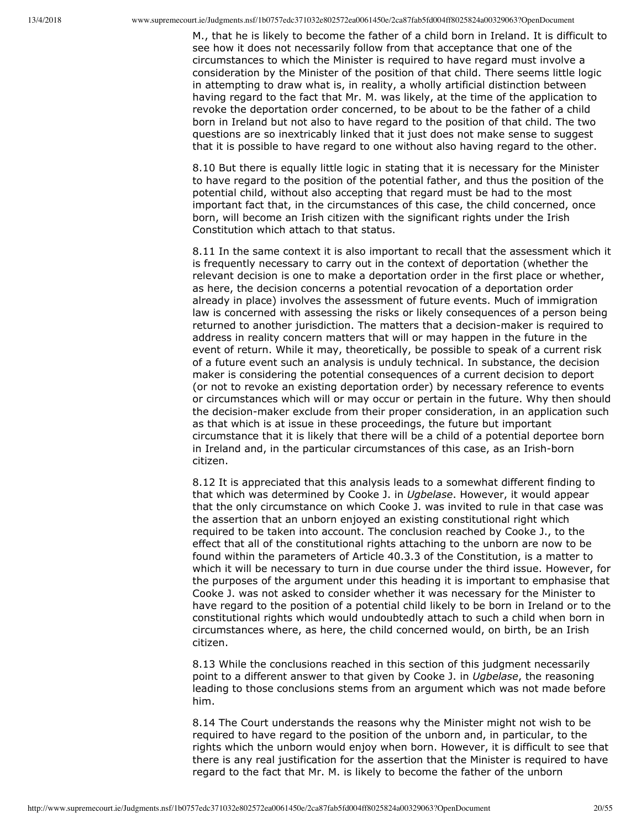M., that he is likely to become the father of a child born in Ireland. It is difficult to see how it does not necessarily follow from that acceptance that one of the circumstances to which the Minister is required to have regard must involve a consideration by the Minister of the position of that child. There seems little logic in attempting to draw what is, in reality, a wholly artificial distinction between having regard to the fact that Mr. M. was likely, at the time of the application to revoke the deportation order concerned, to be about to be the father of a child born in Ireland but not also to have regard to the position of that child. The two questions are so inextricably linked that it just does not make sense to suggest that it is possible to have regard to one without also having regard to the other.

8.10 But there is equally little logic in stating that it is necessary for the Minister to have regard to the position of the potential father, and thus the position of the potential child, without also accepting that regard must be had to the most important fact that, in the circumstances of this case, the child concerned, once born, will become an Irish citizen with the significant rights under the Irish Constitution which attach to that status.

8.11 In the same context it is also important to recall that the assessment which it is frequently necessary to carry out in the context of deportation (whether the relevant decision is one to make a deportation order in the first place or whether, as here, the decision concerns a potential revocation of a deportation order already in place) involves the assessment of future events. Much of immigration law is concerned with assessing the risks or likely consequences of a person being returned to another jurisdiction. The matters that a decision-maker is required to address in reality concern matters that will or may happen in the future in the event of return. While it may, theoretically, be possible to speak of a current risk of a future event such an analysis is unduly technical. In substance, the decision maker is considering the potential consequences of a current decision to deport (or not to revoke an existing deportation order) by necessary reference to events or circumstances which will or may occur or pertain in the future. Why then should the decision-maker exclude from their proper consideration, in an application such as that which is at issue in these proceedings, the future but important circumstance that it is likely that there will be a child of a potential deportee born in Ireland and, in the particular circumstances of this case, as an Irish-born citizen.

8.12 It is appreciated that this analysis leads to a somewhat different finding to that which was determined by Cooke J. in *Ugbelase*. However, it would appear that the only circumstance on which Cooke J. was invited to rule in that case was the assertion that an unborn enjoyed an existing constitutional right which required to be taken into account. The conclusion reached by Cooke J., to the effect that all of the constitutional rights attaching to the unborn are now to be found within the parameters of Article 40.3.3 of the Constitution, is a matter to which it will be necessary to turn in due course under the third issue. However, for the purposes of the argument under this heading it is important to emphasise that Cooke J. was not asked to consider whether it was necessary for the Minister to have regard to the position of a potential child likely to be born in Ireland or to the constitutional rights which would undoubtedly attach to such a child when born in circumstances where, as here, the child concerned would, on birth, be an Irish citizen.

8.13 While the conclusions reached in this section of this judgment necessarily point to a different answer to that given by Cooke J. in *Ugbelase*, the reasoning leading to those conclusions stems from an argument which was not made before him.

8.14 The Court understands the reasons why the Minister might not wish to be required to have regard to the position of the unborn and, in particular, to the rights which the unborn would enjoy when born. However, it is difficult to see that there is any real justification for the assertion that the Minister is required to have regard to the fact that Mr. M. is likely to become the father of the unborn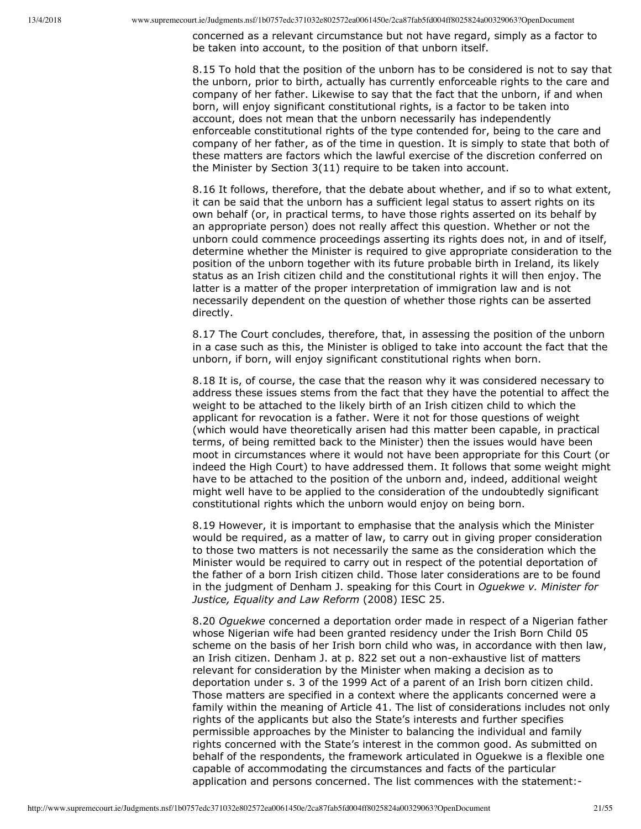concerned as a relevant circumstance but not have regard, simply as a factor to be taken into account, to the position of that unborn itself.

8.15 To hold that the position of the unborn has to be considered is not to say that the unborn, prior to birth, actually has currently enforceable rights to the care and company of her father. Likewise to say that the fact that the unborn, if and when born, will enjoy significant constitutional rights, is a factor to be taken into account, does not mean that the unborn necessarily has independently enforceable constitutional rights of the type contended for, being to the care and company of her father, as of the time in question. It is simply to state that both of these matters are factors which the lawful exercise of the discretion conferred on the Minister by Section 3(11) require to be taken into account.

8.16 It follows, therefore, that the debate about whether, and if so to what extent, it can be said that the unborn has a sufficient legal status to assert rights on its own behalf (or, in practical terms, to have those rights asserted on its behalf by an appropriate person) does not really affect this question. Whether or not the unborn could commence proceedings asserting its rights does not, in and of itself, determine whether the Minister is required to give appropriate consideration to the position of the unborn together with its future probable birth in Ireland, its likely status as an Irish citizen child and the constitutional rights it will then enjoy. The latter is a matter of the proper interpretation of immigration law and is not necessarily dependent on the question of whether those rights can be asserted directly.

8.17 The Court concludes, therefore, that, in assessing the position of the unborn in a case such as this, the Minister is obliged to take into account the fact that the unborn, if born, will enjoy significant constitutional rights when born.

8.18 It is, of course, the case that the reason why it was considered necessary to address these issues stems from the fact that they have the potential to affect the weight to be attached to the likely birth of an Irish citizen child to which the applicant for revocation is a father. Were it not for those questions of weight (which would have theoretically arisen had this matter been capable, in practical terms, of being remitted back to the Minister) then the issues would have been moot in circumstances where it would not have been appropriate for this Court (or indeed the High Court) to have addressed them. It follows that some weight might have to be attached to the position of the unborn and, indeed, additional weight might well have to be applied to the consideration of the undoubtedly significant constitutional rights which the unborn would enjoy on being born.

8.19 However, it is important to emphasise that the analysis which the Minister would be required, as a matter of law, to carry out in giving proper consideration to those two matters is not necessarily the same as the consideration which the Minister would be required to carry out in respect of the potential deportation of the father of a born Irish citizen child. Those later considerations are to be found in the judgment of Denham J. speaking for this Court in *Oguekwe v. Minister for Justice, Equality and Law Reform* (2008) IESC 25.

8.20 *Oguekwe* concerned a deportation order made in respect of a Nigerian father whose Nigerian wife had been granted residency under the Irish Born Child 05 scheme on the basis of her Irish born child who was, in accordance with then law, an Irish citizen. Denham J. at p. 822 set out a nonexhaustive list of matters relevant for consideration by the Minister when making a decision as to deportation under s. 3 of the 1999 Act of a parent of an Irish born citizen child. Those matters are specified in a context where the applicants concerned were a family within the meaning of Article 41. The list of considerations includes not only rights of the applicants but also the State's interests and further specifies permissible approaches by the Minister to balancing the individual and family rights concerned with the State's interest in the common good. As submitted on behalf of the respondents, the framework articulated in Oguekwe is a flexible one capable of accommodating the circumstances and facts of the particular application and persons concerned. The list commences with the statement: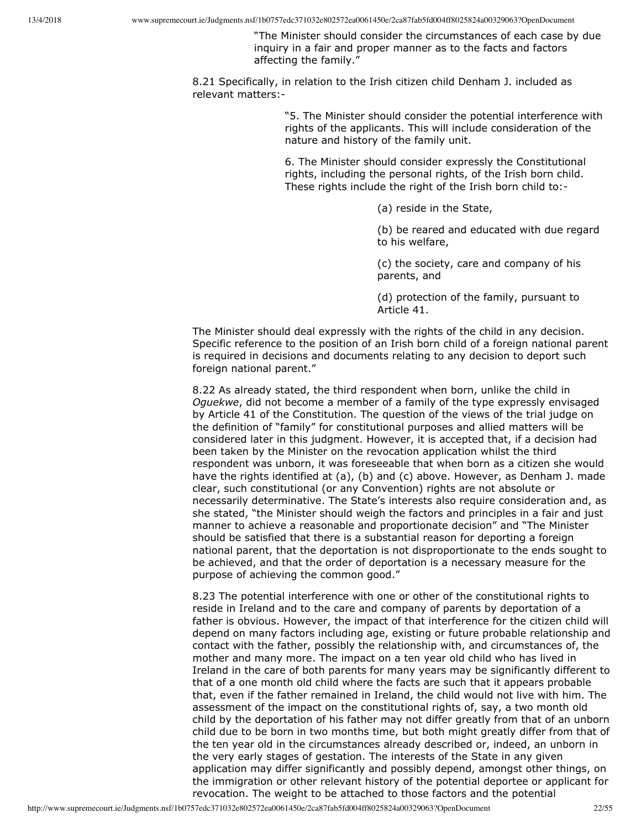"The Minister should consider the circumstances of each case by due inquiry in a fair and proper manner as to the facts and factors affecting the family."

8.21 Specifically, in relation to the Irish citizen child Denham J. included as relevant matters:

> "5. The Minister should consider the potential interference with rights of the applicants. This will include consideration of the nature and history of the family unit.

6. The Minister should consider expressly the Constitutional rights, including the personal rights, of the Irish born child. These rights include the right of the Irish born child to:

(a) reside in the State,

(b) be reared and educated with due regard to his welfare,

(c) the society, care and company of his parents, and

(d) protection of the family, pursuant to Article 41.

The Minister should deal expressly with the rights of the child in any decision. Specific reference to the position of an Irish born child of a foreign national parent is required in decisions and documents relating to any decision to deport such foreign national parent."

8.22 As already stated, the third respondent when born, unlike the child in *Oguekwe*, did not become a member of a family of the type expressly envisaged by Article 41 of the Constitution. The question of the views of the trial judge on the definition of "family" for constitutional purposes and allied matters will be considered later in this judgment. However, it is accepted that, if a decision had been taken by the Minister on the revocation application whilst the third respondent was unborn, it was foreseeable that when born as a citizen she would have the rights identified at (a), (b) and (c) above. However, as Denham J. made clear, such constitutional (or any Convention) rights are not absolute or necessarily determinative. The State's interests also require consideration and, as she stated, "the Minister should weigh the factors and principles in a fair and just manner to achieve a reasonable and proportionate decision" and "The Minister should be satisfied that there is a substantial reason for deporting a foreign national parent, that the deportation is not disproportionate to the ends sought to be achieved, and that the order of deportation is a necessary measure for the purpose of achieving the common good."

8.23 The potential interference with one or other of the constitutional rights to reside in Ireland and to the care and company of parents by deportation of a father is obvious. However, the impact of that interference for the citizen child will depend on many factors including age, existing or future probable relationship and contact with the father, possibly the relationship with, and circumstances of, the mother and many more. The impact on a ten year old child who has lived in Ireland in the care of both parents for many years may be significantly different to that of a one month old child where the facts are such that it appears probable that, even if the father remained in Ireland, the child would not live with him. The assessment of the impact on the constitutional rights of, say, a two month old child by the deportation of his father may not differ greatly from that of an unborn child due to be born in two months time, but both might greatly differ from that of the ten year old in the circumstances already described or, indeed, an unborn in the very early stages of gestation. The interests of the State in any given application may differ significantly and possibly depend, amongst other things, on the immigration or other relevant history of the potential deportee or applicant for revocation. The weight to be attached to those factors and the potential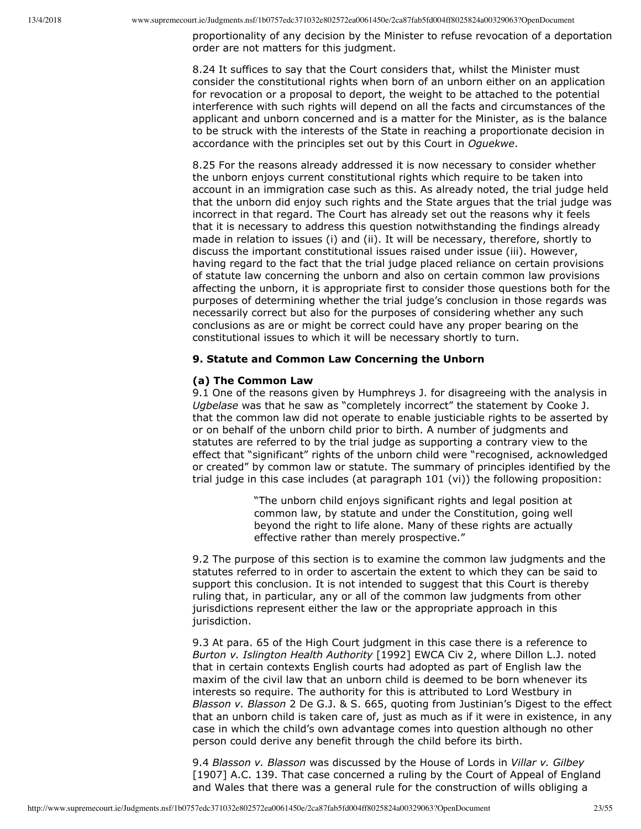proportionality of any decision by the Minister to refuse revocation of a deportation order are not matters for this judgment.

8.24 It suffices to say that the Court considers that, whilst the Minister must consider the constitutional rights when born of an unborn either on an application for revocation or a proposal to deport, the weight to be attached to the potential interference with such rights will depend on all the facts and circumstances of the applicant and unborn concerned and is a matter for the Minister, as is the balance to be struck with the interests of the State in reaching a proportionate decision in accordance with the principles set out by this Court in *Oguekwe*.

8.25 For the reasons already addressed it is now necessary to consider whether the unborn enjoys current constitutional rights which require to be taken into account in an immigration case such as this. As already noted, the trial judge held that the unborn did enjoy such rights and the State argues that the trial judge was incorrect in that regard. The Court has already set out the reasons why it feels that it is necessary to address this question notwithstanding the findings already made in relation to issues (i) and (ii). It will be necessary, therefore, shortly to discuss the important constitutional issues raised under issue (iii). However, having regard to the fact that the trial judge placed reliance on certain provisions of statute law concerning the unborn and also on certain common law provisions affecting the unborn, it is appropriate first to consider those questions both for the purposes of determining whether the trial judge's conclusion in those regards was necessarily correct but also for the purposes of considering whether any such conclusions as are or might be correct could have any proper bearing on the constitutional issues to which it will be necessary shortly to turn.

#### **9. Statute and Common Law Concerning the Unborn**

## **(a) The Common Law**

9.1 One of the reasons given by Humphreys J. for disagreeing with the analysis in *Ugbelase* was that he saw as "completely incorrect" the statement by Cooke J. that the common law did not operate to enable justiciable rights to be asserted by or on behalf of the unborn child prior to birth. A number of judgments and statutes are referred to by the trial judge as supporting a contrary view to the effect that "significant" rights of the unborn child were "recognised, acknowledged or created" by common law or statute. The summary of principles identified by the trial judge in this case includes (at paragraph 101 (vi)) the following proposition:

> "The unborn child enjoys significant rights and legal position at common law, by statute and under the Constitution, going well beyond the right to life alone. Many of these rights are actually effective rather than merely prospective."

9.2 The purpose of this section is to examine the common law judgments and the statutes referred to in order to ascertain the extent to which they can be said to support this conclusion. It is not intended to suggest that this Court is thereby ruling that, in particular, any or all of the common law judgments from other jurisdictions represent either the law or the appropriate approach in this jurisdiction.

9.3 At para. 65 of the High Court judgment in this case there is a reference to *Burton v. Islington Health Authority* [1992] EWCA Civ 2, where Dillon L.J. noted that in certain contexts English courts had adopted as part of English law the maxim of the civil law that an unborn child is deemed to be born whenever its interests so require. The authority for this is attributed to Lord Westbury in *Blasson v. Blasson* 2 De G.J. & S. 665, quoting from Justinian's Digest to the effect that an unborn child is taken care of, just as much as if it were in existence, in any case in which the child's own advantage comes into question although no other person could derive any benefit through the child before its birth.

9.4 *Blasson v. Blasson* was discussed by the House of Lords in *Villar v. Gilbey* [1907] A.C. 139. That case concerned a ruling by the Court of Appeal of England and Wales that there was a general rule for the construction of wills obliging a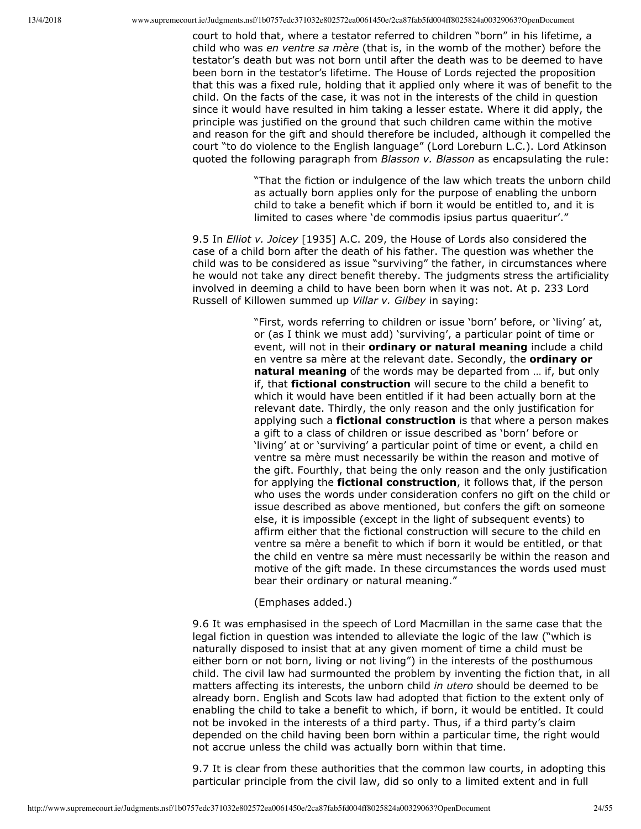court to hold that, where a testator referred to children "born" in his lifetime, a child who was *en ventre sa mère* (that is, in the womb of the mother) before the testator's death but was not born until after the death was to be deemed to have been born in the testator's lifetime. The House of Lords rejected the proposition that this was a fixed rule, holding that it applied only where it was of benefit to the child. On the facts of the case, it was not in the interests of the child in question since it would have resulted in him taking a lesser estate. Where it did apply, the principle was justified on the ground that such children came within the motive and reason for the gift and should therefore be included, although it compelled the court "to do violence to the English language" (Lord Loreburn L.C.). Lord Atkinson quoted the following paragraph from *Blasson v. Blasson* as encapsulating the rule:

> "That the fiction or indulgence of the law which treats the unborn child as actually born applies only for the purpose of enabling the unborn child to take a benefit which if born it would be entitled to, and it is limited to cases where 'de commodis ipsius partus quaeritur'."

9.5 In *Elliot v. Joicey* [1935] A.C. 209, the House of Lords also considered the case of a child born after the death of his father. The question was whether the child was to be considered as issue "surviving" the father, in circumstances where he would not take any direct benefit thereby. The judgments stress the artificiality involved in deeming a child to have been born when it was not. At p. 233 Lord Russell of Killowen summed up *Villar v. Gilbey* in saying:

> "First, words referring to children or issue 'born' before, or 'living' at, or (as I think we must add) 'surviving', a particular point of time or event, will not in their **ordinary or natural meaning** include a child en ventre sa mère at the relevant date. Secondly, the **ordinary or natural meaning** of the words may be departed from … if, but only if, that **fictional construction** will secure to the child a benefit to which it would have been entitled if it had been actually born at the relevant date. Thirdly, the only reason and the only justification for applying such a **fictional construction** is that where a person makes a gift to a class of children or issue described as 'born' before or 'living' at or 'surviving' a particular point of time or event, a child en ventre sa mère must necessarily be within the reason and motive of the gift. Fourthly, that being the only reason and the only justification for applying the **fictional construction**, it follows that, if the person who uses the words under consideration confers no gift on the child or issue described as above mentioned, but confers the gift on someone else, it is impossible (except in the light of subsequent events) to affirm either that the fictional construction will secure to the child en ventre sa mère a benefit to which if born it would be entitled, or that the child en ventre sa mère must necessarily be within the reason and motive of the gift made. In these circumstances the words used must bear their ordinary or natural meaning."

## (Emphases added.)

9.6 It was emphasised in the speech of Lord Macmillan in the same case that the legal fiction in question was intended to alleviate the logic of the law ("which is naturally disposed to insist that at any given moment of time a child must be either born or not born, living or not living") in the interests of the posthumous child. The civil law had surmounted the problem by inventing the fiction that, in all matters affecting its interests, the unborn child *in utero* should be deemed to be already born. English and Scots law had adopted that fiction to the extent only of enabling the child to take a benefit to which, if born, it would be entitled. It could not be invoked in the interests of a third party. Thus, if a third party's claim depended on the child having been born within a particular time, the right would not accrue unless the child was actually born within that time.

9.7 It is clear from these authorities that the common law courts, in adopting this particular principle from the civil law, did so only to a limited extent and in full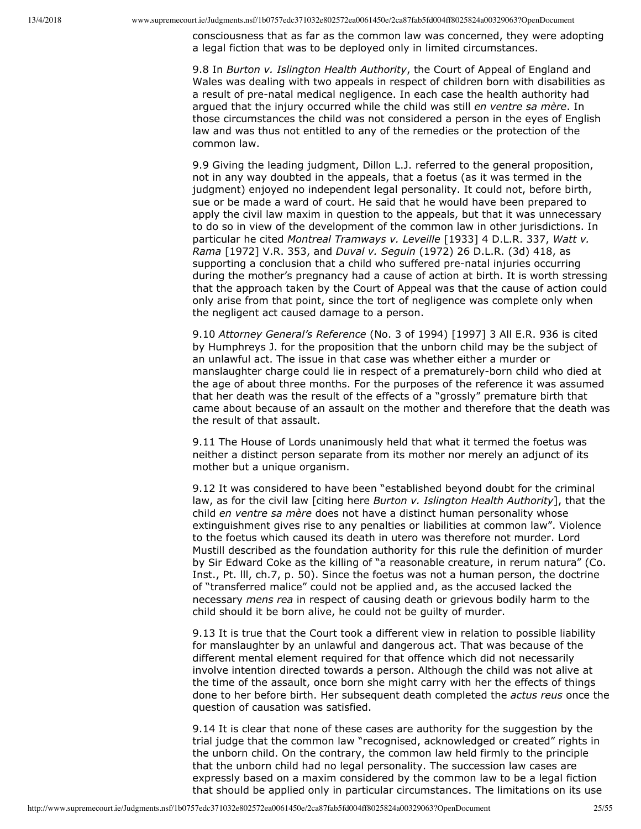consciousness that as far as the common law was concerned, they were adopting a legal fiction that was to be deployed only in limited circumstances.

9.8 In *Burton v. Islington Health Authority*, the Court of Appeal of England and Wales was dealing with two appeals in respect of children born with disabilities as a result of pre-natal medical negligence. In each case the health authority had argued that the injury occurred while the child was still *en ventre sa mère*. In those circumstances the child was not considered a person in the eyes of English law and was thus not entitled to any of the remedies or the protection of the common law.

9.9 Giving the leading judgment, Dillon L.J. referred to the general proposition, not in any way doubted in the appeals, that a foetus (as it was termed in the judgment) enjoyed no independent legal personality. It could not, before birth, sue or be made a ward of court. He said that he would have been prepared to apply the civil law maxim in question to the appeals, but that it was unnecessary to do so in view of the development of the common law in other jurisdictions. In particular he cited *Montreal Tramways v. Leveille* [1933] 4 D.L.R. 337, *Watt v. Rama* [1972] V.R. 353, and *Duval v. Seguin* (1972) 26 D.L.R. (3d) 418, as supporting a conclusion that a child who suffered pre-natal injuries occurring during the mother's pregnancy had a cause of action at birth. It is worth stressing that the approach taken by the Court of Appeal was that the cause of action could only arise from that point, since the tort of negligence was complete only when the negligent act caused damage to a person.

9.10 *Attorney General's Reference* (No. 3 of 1994) [1997] 3 All E.R. 936 is cited by Humphreys J. for the proposition that the unborn child may be the subject of an unlawful act. The issue in that case was whether either a murder or manslaughter charge could lie in respect of a prematurely-born child who died at the age of about three months. For the purposes of the reference it was assumed that her death was the result of the effects of a "grossly" premature birth that came about because of an assault on the mother and therefore that the death was the result of that assault.

9.11 The House of Lords unanimously held that what it termed the foetus was neither a distinct person separate from its mother nor merely an adjunct of its mother but a unique organism.

9.12 It was considered to have been "established beyond doubt for the criminal law, as for the civil law [citing here *Burton v. Islington Health Authority*], that the child *en ventre sa mère* does not have a distinct human personality whose extinguishment gives rise to any penalties or liabilities at common law". Violence to the foetus which caused its death in utero was therefore not murder. Lord Mustill described as the foundation authority for this rule the definition of murder by Sir Edward Coke as the killing of "a reasonable creature, in rerum natura" (Co. Inst., Pt. lll, ch.7, p. 50). Since the foetus was not a human person, the doctrine of "transferred malice" could not be applied and, as the accused lacked the necessary *mens rea* in respect of causing death or grievous bodily harm to the child should it be born alive, he could not be guilty of murder.

9.13 It is true that the Court took a different view in relation to possible liability for manslaughter by an unlawful and dangerous act. That was because of the different mental element required for that offence which did not necessarily involve intention directed towards a person. Although the child was not alive at the time of the assault, once born she might carry with her the effects of things done to her before birth. Her subsequent death completed the *actus reus* once the question of causation was satisfied.

9.14 It is clear that none of these cases are authority for the suggestion by the trial judge that the common law "recognised, acknowledged or created" rights in the unborn child. On the contrary, the common law held firmly to the principle that the unborn child had no legal personality. The succession law cases are expressly based on a maxim considered by the common law to be a legal fiction that should be applied only in particular circumstances. The limitations on its use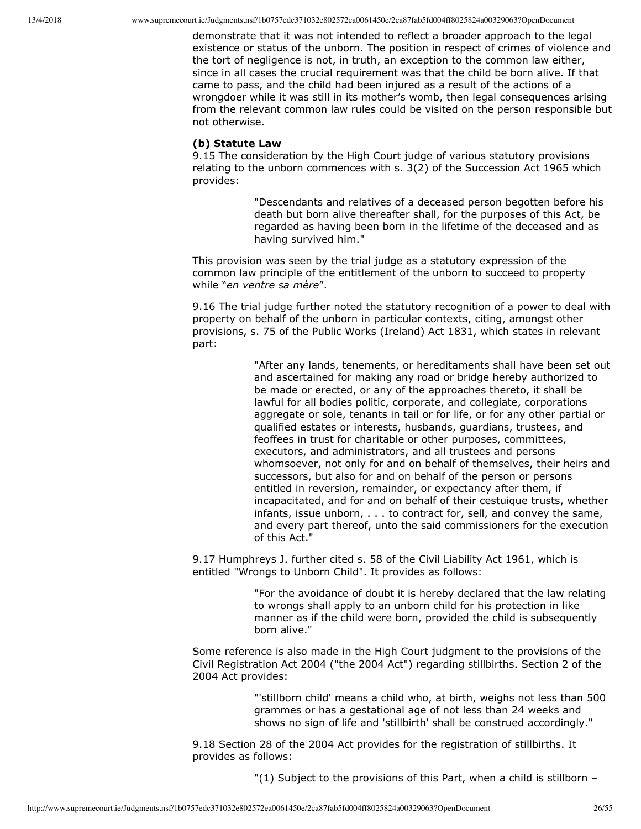demonstrate that it was not intended to reflect a broader approach to the legal existence or status of the unborn. The position in respect of crimes of violence and the tort of negligence is not, in truth, an exception to the common law either, since in all cases the crucial requirement was that the child be born alive. If that came to pass, and the child had been injured as a result of the actions of a wrongdoer while it was still in its mother's womb, then legal consequences arising from the relevant common law rules could be visited on the person responsible but not otherwise.

#### **(b) Statute Law**

9.15 The consideration by the High Court judge of various statutory provisions relating to the unborn commences with s. 3(2) of the Succession Act 1965 which provides:

> "Descendants and relatives of a deceased person begotten before his death but born alive thereafter shall, for the purposes of this Act, be regarded as having been born in the lifetime of the deceased and as having survived him."

This provision was seen by the trial judge as a statutory expression of the common law principle of the entitlement of the unborn to succeed to property while "*en ventre sa mère*".

9.16 The trial judge further noted the statutory recognition of a power to deal with property on behalf of the unborn in particular contexts, citing, amongst other provisions, s. 75 of the Public Works (Ireland) Act 1831, which states in relevant part:

> "After any lands, tenements, or hereditaments shall have been set out and ascertained for making any road or bridge hereby authorized to be made or erected, or any of the approaches thereto, it shall be lawful for all bodies politic, corporate, and collegiate, corporations aggregate or sole, tenants in tail or for life, or for any other partial or qualified estates or interests, husbands, guardians, trustees, and feoffees in trust for charitable or other purposes, committees, executors, and administrators, and all trustees and persons whomsoever, not only for and on behalf of themselves, their heirs and successors, but also for and on behalf of the person or persons entitled in reversion, remainder, or expectancy after them, if incapacitated, and for and on behalf of their cestuique trusts, whether infants, issue unborn, . . . to contract for, sell, and convey the same, and every part thereof, unto the said commissioners for the execution of this Act."

9.17 Humphreys J. further cited s. 58 of the Civil Liability Act 1961, which is entitled "Wrongs to Unborn Child". It provides as follows:

> "For the avoidance of doubt it is hereby declared that the law relating to wrongs shall apply to an unborn child for his protection in like manner as if the child were born, provided the child is subsequently born alive."

Some reference is also made in the High Court judgment to the provisions of the Civil Registration Act 2004 ("the 2004 Act") regarding stillbirths. Section 2 of the 2004 Act provides:

> "'stillborn child' means a child who, at birth, weighs not less than 500 grammes or has a gestational age of not less than 24 weeks and shows no sign of life and 'stillbirth' shall be construed accordingly."

9.18 Section 28 of the 2004 Act provides for the registration of stillbirths. It provides as follows:

"(1) Subject to the provisions of this Part, when a child is stillborn –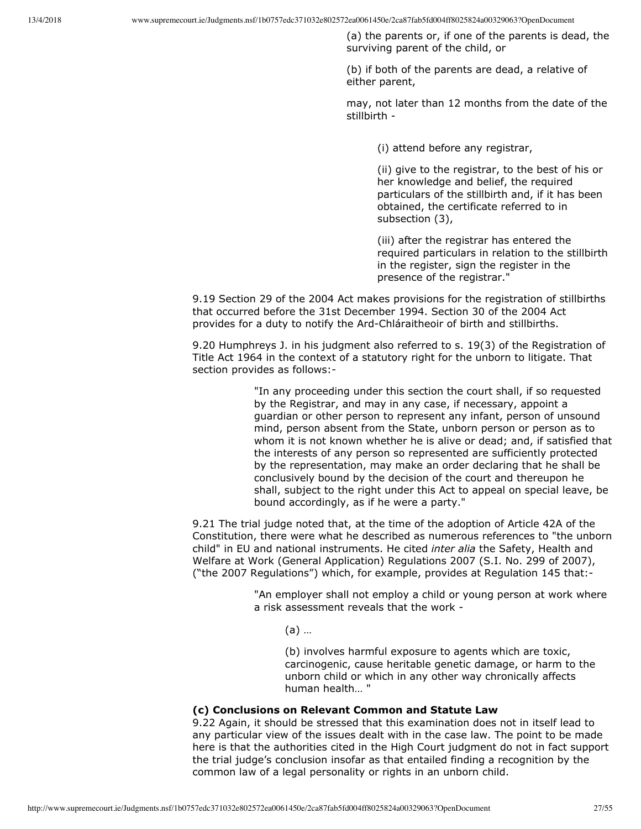(a) the parents or, if one of the parents is dead, the surviving parent of the child, or

(b) if both of the parents are dead, a relative of either parent,

may, not later than 12 months from the date of the stillbirth

(i) attend before any registrar,

(ii) give to the registrar, to the best of his or her knowledge and belief, the required particulars of the stillbirth and, if it has been obtained, the certificate referred to in subsection (3),

(iii) after the registrar has entered the required particulars in relation to the stillbirth in the register, sign the register in the presence of the registrar."

9.19 Section 29 of the 2004 Act makes provisions for the registration of stillbirths that occurred before the 31st December 1994. Section 30 of the 2004 Act provides for a duty to notify the Ard-Chláraitheoir of birth and stillbirths.

9.20 Humphreys J. in his judgment also referred to s. 19(3) of the Registration of Title Act 1964 in the context of a statutory right for the unborn to litigate. That section provides as follows:

> "In any proceeding under this section the court shall, if so requested by the Registrar, and may in any case, if necessary, appoint a guardian or other person to represent any infant, person of unsound mind, person absent from the State, unborn person or person as to whom it is not known whether he is alive or dead; and, if satisfied that the interests of any person so represented are sufficiently protected by the representation, may make an order declaring that he shall be conclusively bound by the decision of the court and thereupon he shall, subject to the right under this Act to appeal on special leave, be bound accordingly, as if he were a party."

9.21 The trial judge noted that, at the time of the adoption of Article 42A of the Constitution, there were what he described as numerous references to "the unborn child" in EU and national instruments. He cited *inter alia* the Safety, Health and Welfare at Work (General Application) Regulations 2007 (S.I. No. 299 of 2007), ("the 2007 Regulations") which, for example, provides at Regulation 145 that:

> "An employer shall not employ a child or young person at work where a risk assessment reveals that the work

(a) …

(b) involves harmful exposure to agents which are toxic, carcinogenic, cause heritable genetic damage, or harm to the unborn child or which in any other way chronically affects human health… "

#### **(c) Conclusions on Relevant Common and Statute Law**

9.22 Again, it should be stressed that this examination does not in itself lead to any particular view of the issues dealt with in the case law. The point to be made here is that the authorities cited in the High Court judgment do not in fact support the trial judge's conclusion insofar as that entailed finding a recognition by the common law of a legal personality or rights in an unborn child.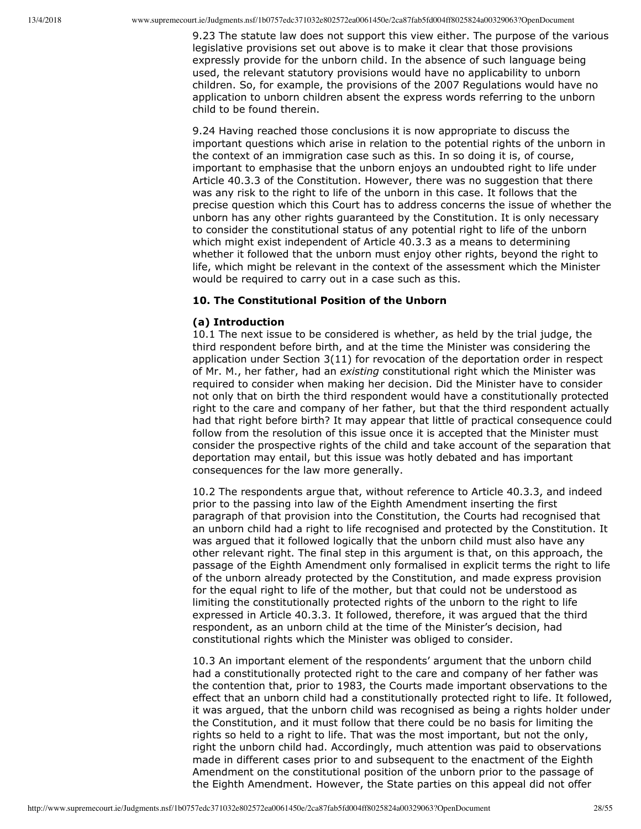9.23 The statute law does not support this view either. The purpose of the various legislative provisions set out above is to make it clear that those provisions expressly provide for the unborn child. In the absence of such language being used, the relevant statutory provisions would have no applicability to unborn children. So, for example, the provisions of the 2007 Regulations would have no application to unborn children absent the express words referring to the unborn child to be found therein.

9.24 Having reached those conclusions it is now appropriate to discuss the important questions which arise in relation to the potential rights of the unborn in the context of an immigration case such as this. In so doing it is, of course, important to emphasise that the unborn enjoys an undoubted right to life under Article 40.3.3 of the Constitution. However, there was no suggestion that there was any risk to the right to life of the unborn in this case. It follows that the precise question which this Court has to address concerns the issue of whether the unborn has any other rights guaranteed by the Constitution. It is only necessary to consider the constitutional status of any potential right to life of the unborn which might exist independent of Article 40.3.3 as a means to determining whether it followed that the unborn must enjoy other rights, beyond the right to life, which might be relevant in the context of the assessment which the Minister would be required to carry out in a case such as this.

## **10. The Constitutional Position of the Unborn**

#### **(a) Introduction**

10.1 The next issue to be considered is whether, as held by the trial judge, the third respondent before birth, and at the time the Minister was considering the application under Section 3(11) for revocation of the deportation order in respect of Mr. M., her father, had an *existing* constitutional right which the Minister was required to consider when making her decision. Did the Minister have to consider not only that on birth the third respondent would have a constitutionally protected right to the care and company of her father, but that the third respondent actually had that right before birth? It may appear that little of practical consequence could follow from the resolution of this issue once it is accepted that the Minister must consider the prospective rights of the child and take account of the separation that deportation may entail, but this issue was hotly debated and has important consequences for the law more generally.

10.2 The respondents argue that, without reference to Article 40.3.3, and indeed prior to the passing into law of the Eighth Amendment inserting the first paragraph of that provision into the Constitution, the Courts had recognised that an unborn child had a right to life recognised and protected by the Constitution. It was argued that it followed logically that the unborn child must also have any other relevant right. The final step in this argument is that, on this approach, the passage of the Eighth Amendment only formalised in explicit terms the right to life of the unborn already protected by the Constitution, and made express provision for the equal right to life of the mother, but that could not be understood as limiting the constitutionally protected rights of the unborn to the right to life expressed in Article 40.3.3. It followed, therefore, it was argued that the third respondent, as an unborn child at the time of the Minister's decision, had constitutional rights which the Minister was obliged to consider.

10.3 An important element of the respondents' argument that the unborn child had a constitutionally protected right to the care and company of her father was the contention that, prior to 1983, the Courts made important observations to the effect that an unborn child had a constitutionally protected right to life. It followed, it was argued, that the unborn child was recognised as being a rights holder under the Constitution, and it must follow that there could be no basis for limiting the rights so held to a right to life. That was the most important, but not the only, right the unborn child had. Accordingly, much attention was paid to observations made in different cases prior to and subsequent to the enactment of the Eighth Amendment on the constitutional position of the unborn prior to the passage of the Eighth Amendment. However, the State parties on this appeal did not offer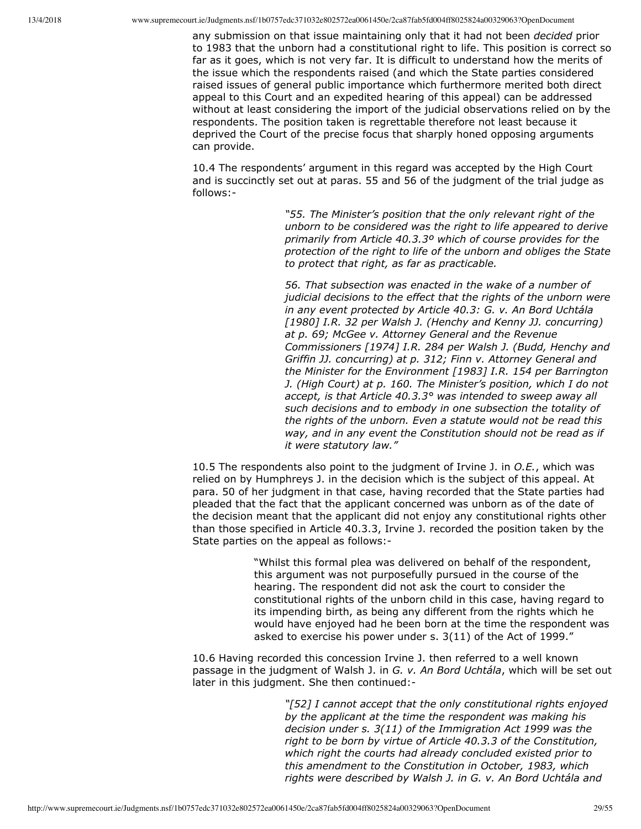any submission on that issue maintaining only that it had not been *decided* prior to 1983 that the unborn had a constitutional right to life. This position is correct so far as it goes, which is not very far. It is difficult to understand how the merits of the issue which the respondents raised (and which the State parties considered raised issues of general public importance which furthermore merited both direct appeal to this Court and an expedited hearing of this appeal) can be addressed without at least considering the import of the judicial observations relied on by the respondents. The position taken is regrettable therefore not least because it deprived the Court of the precise focus that sharply honed opposing arguments can provide.

10.4 The respondents' argument in this regard was accepted by the High Court and is succinctly set out at paras. 55 and 56 of the judgment of the trial judge as follows:

> *"55. The Minister's position that the only relevant right of the unborn to be considered was the right to life appeared to derive primarily from Article 40.3.3º which of course provides for the protection of the right to life of the unborn and obliges the State to protect that right, as far as practicable.*

> *56. That subsection was enacted in the wake of a number of judicial decisions to the effect that the rights of the unborn were in any event protected by Article 40.3: G. v. An Bord Uchtála [1980] I.R. 32 per Walsh J. (Henchy and Kenny JJ. concurring) at p. 69; McGee v. Attorney General and the Revenue Commissioners [1974] I.R. 284 per Walsh J. (Budd, Henchy and Griffin JJ. concurring) at p. 312; Finn v. Attorney General and the Minister for the Environment [1983] I.R. 154 per Barrington J. (High Court) at p. 160. The Minister's position, which I do not accept, is that Article 40.3.3° was intended to sweep away all such decisions and to embody in one subsection the totality of the rights of the unborn. Even a statute would not be read this way, and in any event the Constitution should not be read as if it were statutory law."*

10.5 The respondents also point to the judgment of Irvine J. in *O.E.*, which was relied on by Humphreys J. in the decision which is the subject of this appeal. At para. 50 of her judgment in that case, having recorded that the State parties had pleaded that the fact that the applicant concerned was unborn as of the date of the decision meant that the applicant did not enjoy any constitutional rights other than those specified in Article 40.3.3, Irvine J. recorded the position taken by the State parties on the appeal as follows:

> "Whilst this formal plea was delivered on behalf of the respondent, this argument was not purposefully pursued in the course of the hearing. The respondent did not ask the court to consider the constitutional rights of the unborn child in this case, having regard to its impending birth, as being any different from the rights which he would have enjoyed had he been born at the time the respondent was asked to exercise his power under s. 3(11) of the Act of 1999."

10.6 Having recorded this concession Irvine J. then referred to a well known passage in the judgment of Walsh J. in *G. v. An Bord Uchtála*, which will be set out later in this judgment. She then continued:

> *"[52] I cannot accept that the only constitutional rights enjoyed by the applicant at the time the respondent was making his decision under s. 3(11) of the Immigration Act 1999 was the right to be born by virtue of Article 40.3.3 of the Constitution, which right the courts had already concluded existed prior to this amendment to the Constitution in October, 1983, which rights were described by Walsh J. in G. v. An Bord Uchtála and*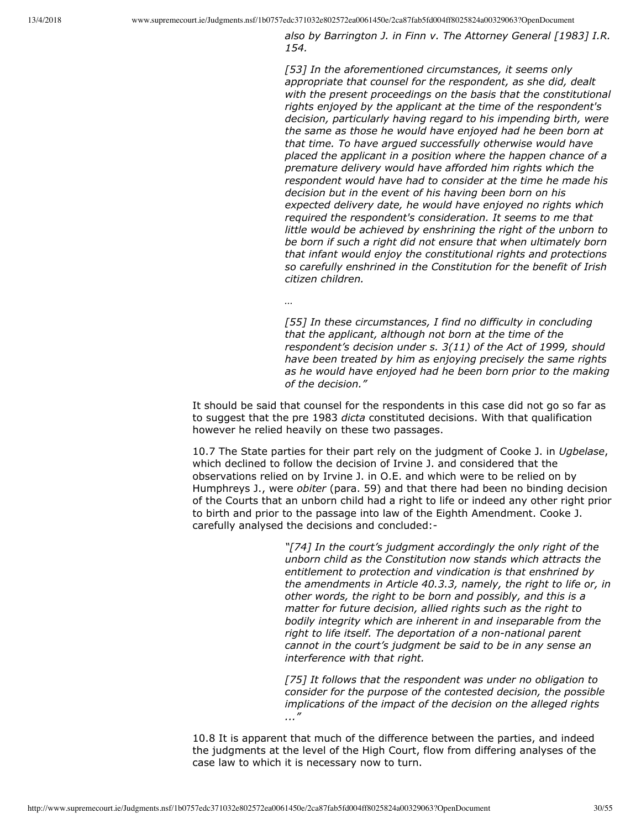*also by Barrington J. in Finn v. The Attorney General [1983] I.R. 154.*

*[53] In the aforementioned circumstances, it seems only appropriate that counsel for the respondent, as she did, dealt with the present proceedings on the basis that the constitutional rights enjoyed by the applicant at the time of the respondent's decision, particularly having regard to his impending birth, were the same as those he would have enjoyed had he been born at that time. To have argued successfully otherwise would have placed the applicant in a position where the happen chance of a premature delivery would have afforded him rights which the respondent would have had to consider at the time he made his decision but in the event of his having been born on his expected delivery date, he would have enjoyed no rights which required the respondent's consideration. It seems to me that little would be achieved by enshrining the right of the unborn to be born if such a right did not ensure that when ultimately born that infant would enjoy the constitutional rights and protections so carefully enshrined in the Constitution for the benefit of Irish citizen children.*

*…*

*[55] In these circumstances, I find no difficulty in concluding that the applicant, although not born at the time of the respondent's decision under s. 3(11) of the Act of 1999, should have been treated by him as enjoying precisely the same rights as he would have enjoyed had he been born prior to the making of the decision."*

It should be said that counsel for the respondents in this case did not go so far as to suggest that the pre 1983 *dicta* constituted decisions. With that qualification however he relied heavily on these two passages.

10.7 The State parties for their part rely on the judgment of Cooke J. in *Ugbelase*, which declined to follow the decision of Irvine J. and considered that the observations relied on by Irvine J. in O.E. and which were to be relied on by Humphreys J., were *obiter* (para. 59) and that there had been no binding decision of the Courts that an unborn child had a right to life or indeed any other right prior to birth and prior to the passage into law of the Eighth Amendment. Cooke J. carefully analysed the decisions and concluded:

> *"[74] In the court's judgment accordingly the only right of the unborn child as the Constitution now stands which attracts the entitlement to protection and vindication is that enshrined by the amendments in Article 40.3.3, namely, the right to life or, in other words, the right to be born and possibly, and this is a matter for future decision, allied rights such as the right to bodily integrity which are inherent in and inseparable from the* right to life itself. The deportation of a non-national parent *cannot in the court's judgment be said to be in any sense an interference with that right.*

*[75] It follows that the respondent was under no obligation to consider for the purpose of the contested decision, the possible implications of the impact of the decision on the alleged rights ..."*

10.8 It is apparent that much of the difference between the parties, and indeed the judgments at the level of the High Court, flow from differing analyses of the case law to which it is necessary now to turn.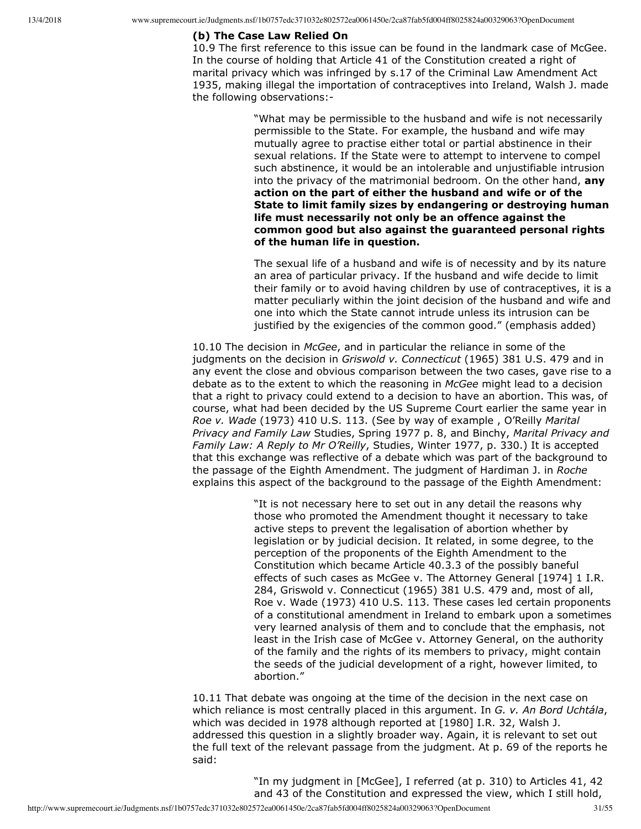#### **(b) The Case Law Relied On**

10.9 The first reference to this issue can be found in the landmark case of McGee. In the course of holding that Article 41 of the Constitution created a right of marital privacy which was infringed by s.17 of the Criminal Law Amendment Act 1935, making illegal the importation of contraceptives into Ireland, Walsh J. made the following observations:

> "What may be permissible to the husband and wife is not necessarily permissible to the State. For example, the husband and wife may mutually agree to practise either total or partial abstinence in their sexual relations. If the State were to attempt to intervene to compel such abstinence, it would be an intolerable and unjustifiable intrusion into the privacy of the matrimonial bedroom. On the other hand, **any action on the part of either the husband and wife or of the State to limit family sizes by endangering or destroying human life must necessarily not only be an offence against the common good but also against the guaranteed personal rights of the human life in question.**

> The sexual life of a husband and wife is of necessity and by its nature an area of particular privacy. If the husband and wife decide to limit their family or to avoid having children by use of contraceptives, it is a matter peculiarly within the joint decision of the husband and wife and one into which the State cannot intrude unless its intrusion can be justified by the exigencies of the common good." (emphasis added)

10.10 The decision in *McGee*, and in particular the reliance in some of the judgments on the decision in *Griswold v. Connecticut* (1965) 381 U.S. 479 and in any event the close and obvious comparison between the two cases, gave rise to a debate as to the extent to which the reasoning in *McGee* might lead to a decision that a right to privacy could extend to a decision to have an abortion. This was, of course, what had been decided by the US Supreme Court earlier the same year in *Roe v. Wade* (1973) 410 U.S. 113. (See by way of example , O'Reilly *Marital Privacy and Family Law* Studies, Spring 1977 p. 8, and Binchy, *Marital Privacy and Family Law: A Reply to Mr O'Reilly*, Studies, Winter 1977, p. 330.) It is accepted that this exchange was reflective of a debate which was part of the background to the passage of the Eighth Amendment. The judgment of Hardiman J. in *Roche* explains this aspect of the background to the passage of the Eighth Amendment:

> "It is not necessary here to set out in any detail the reasons why those who promoted the Amendment thought it necessary to take active steps to prevent the legalisation of abortion whether by legislation or by judicial decision. It related, in some degree, to the perception of the proponents of the Eighth Amendment to the Constitution which became Article 40.3.3 of the possibly baneful effects of such cases as McGee v. The Attorney General [1974] 1 I.R. 284, Griswold v. Connecticut (1965) 381 U.S. 479 and, most of all, Roe v. Wade (1973) 410 U.S. 113. These cases led certain proponents of a constitutional amendment in Ireland to embark upon a sometimes very learned analysis of them and to conclude that the emphasis, not least in the Irish case of McGee v. Attorney General, on the authority of the family and the rights of its members to privacy, might contain the seeds of the judicial development of a right, however limited, to abortion."

10.11 That debate was ongoing at the time of the decision in the next case on which reliance is most centrally placed in this argument. In *G. v. An Bord Uchtála*, which was decided in 1978 although reported at [1980] I.R. 32, Walsh J. addressed this question in a slightly broader way. Again, it is relevant to set out the full text of the relevant passage from the judgment. At p. 69 of the reports he said:

> "In my judgment in [McGee], I referred (at p. 310) to Articles 41, 42 and 43 of the Constitution and expressed the view, which I still hold,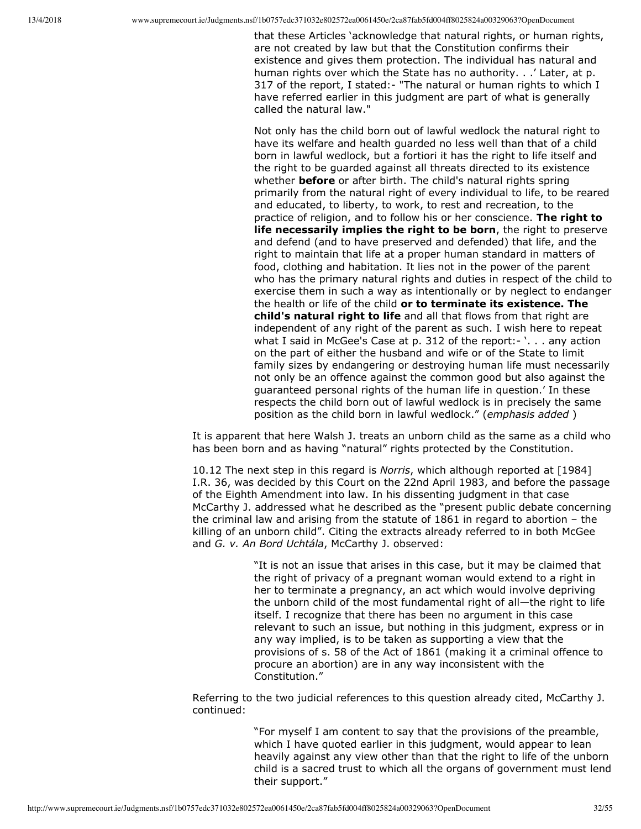that these Articles 'acknowledge that natural rights, or human rights, are not created by law but that the Constitution confirms their existence and gives them protection. The individual has natural and human rights over which the State has no authority. . .' Later, at p. 317 of the report, I stated: - "The natural or human rights to which I have referred earlier in this judgment are part of what is generally called the natural law."

Not only has the child born out of lawful wedlock the natural right to have its welfare and health guarded no less well than that of a child born in lawful wedlock, but a fortiori it has the right to life itself and the right to be guarded against all threats directed to its existence whether **before** or after birth. The child's natural rights spring primarily from the natural right of every individual to life, to be reared and educated, to liberty, to work, to rest and recreation, to the practice of religion, and to follow his or her conscience. **The right to life necessarily implies the right to be born**, the right to preserve and defend (and to have preserved and defended) that life, and the right to maintain that life at a proper human standard in matters of food, clothing and habitation. It lies not in the power of the parent who has the primary natural rights and duties in respect of the child to exercise them in such a way as intentionally or by neglect to endanger the health or life of the child **or to terminate its existence. The child's natural right to life** and all that flows from that right are independent of any right of the parent as such. I wish here to repeat what I said in McGee's Case at p. 312 of the report:- '. . . any action on the part of either the husband and wife or of the State to limit family sizes by endangering or destroying human life must necessarily not only be an offence against the common good but also against the guaranteed personal rights of the human life in question.' In these respects the child born out of lawful wedlock is in precisely the same position as the child born in lawful wedlock." (*emphasis added* )

It is apparent that here Walsh J. treats an unborn child as the same as a child who has been born and as having "natural" rights protected by the Constitution.

10.12 The next step in this regard is *Norris*, which although reported at [1984] I.R. 36, was decided by this Court on the 22nd April 1983, and before the passage of the Eighth Amendment into law. In his dissenting judgment in that case McCarthy J. addressed what he described as the "present public debate concerning the criminal law and arising from the statute of 1861 in regard to abortion – the killing of an unborn child". Citing the extracts already referred to in both McGee and *G. v. An Bord Uchtála*, McCarthy J. observed:

> "It is not an issue that arises in this case, but it may be claimed that the right of privacy of a pregnant woman would extend to a right in her to terminate a pregnancy, an act which would involve depriving the unborn child of the most fundamental right of all—the right to life itself. I recognize that there has been no argument in this case relevant to such an issue, but nothing in this judgment, express or in any way implied, is to be taken as supporting a view that the provisions of s. 58 of the Act of 1861 (making it a criminal offence to procure an abortion) are in any way inconsistent with the Constitution."

Referring to the two judicial references to this question already cited, McCarthy J. continued:

> "For myself I am content to say that the provisions of the preamble, which I have quoted earlier in this judgment, would appear to lean heavily against any view other than that the right to life of the unborn child is a sacred trust to which all the organs of government must lend their support."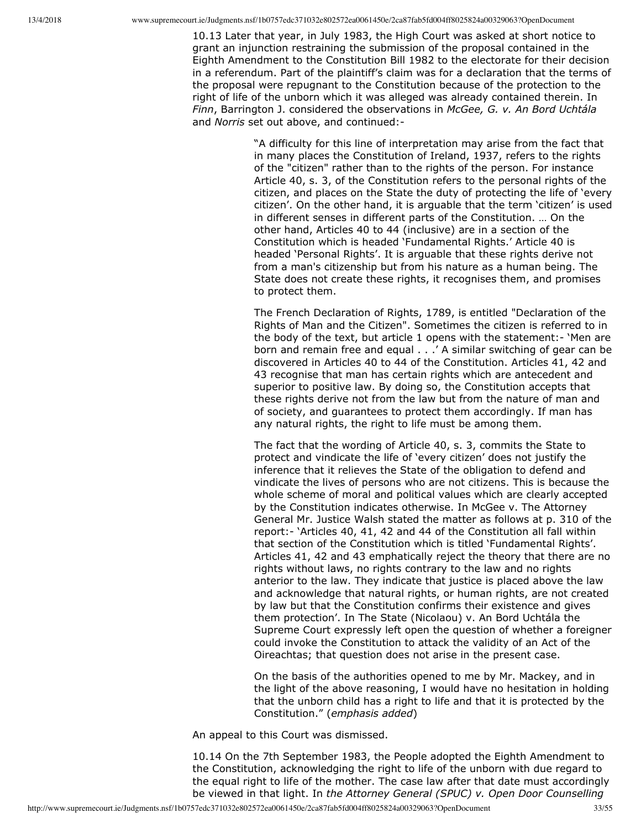10.13 Later that year, in July 1983, the High Court was asked at short notice to grant an injunction restraining the submission of the proposal contained in the Eighth Amendment to the Constitution Bill 1982 to the electorate for their decision in a referendum. Part of the plaintiff's claim was for a declaration that the terms of the proposal were repugnant to the Constitution because of the protection to the right of life of the unborn which it was alleged was already contained therein. In *Finn*, Barrington J. considered the observations in *McGee, G. v. An Bord Uchtála* and *Norris* set out above, and continued:

> "A difficulty for this line of interpretation may arise from the fact that in many places the Constitution of Ireland, 1937, refers to the rights of the "citizen" rather than to the rights of the person. For instance Article 40, s. 3, of the Constitution refers to the personal rights of the citizen, and places on the State the duty of protecting the life of 'every citizen'. On the other hand, it is arguable that the term 'citizen' is used in different senses in different parts of the Constitution. … On the other hand, Articles 40 to 44 (inclusive) are in a section of the Constitution which is headed 'Fundamental Rights.' Article 40 is headed 'Personal Rights'. It is arguable that these rights derive not from a man's citizenship but from his nature as a human being. The State does not create these rights, it recognises them, and promises to protect them.

> The French Declaration of Rights, 1789, is entitled "Declaration of the Rights of Man and the Citizen". Sometimes the citizen is referred to in the body of the text, but article 1 opens with the statement: 'Men are born and remain free and equal . . .' A similar switching of gear can be discovered in Articles 40 to 44 of the Constitution. Articles 41, 42 and 43 recognise that man has certain rights which are antecedent and superior to positive law. By doing so, the Constitution accepts that these rights derive not from the law but from the nature of man and of society, and guarantees to protect them accordingly. If man has any natural rights, the right to life must be among them.

> The fact that the wording of Article 40, s. 3, commits the State to protect and vindicate the life of 'every citizen' does not justify the inference that it relieves the State of the obligation to defend and vindicate the lives of persons who are not citizens. This is because the whole scheme of moral and political values which are clearly accepted by the Constitution indicates otherwise. In McGee v. The Attorney General Mr. Justice Walsh stated the matter as follows at p. 310 of the report: 'Articles 40, 41, 42 and 44 of the Constitution all fall within that section of the Constitution which is titled 'Fundamental Rights'. Articles 41, 42 and 43 emphatically reject the theory that there are no rights without laws, no rights contrary to the law and no rights anterior to the law. They indicate that justice is placed above the law and acknowledge that natural rights, or human rights, are not created by law but that the Constitution confirms their existence and gives them protection'. In The State (Nicolaou) v. An Bord Uchtála the Supreme Court expressly left open the question of whether a foreigner could invoke the Constitution to attack the validity of an Act of the Oireachtas; that question does not arise in the present case.

> On the basis of the authorities opened to me by Mr. Mackey, and in the light of the above reasoning, I would have no hesitation in holding that the unborn child has a right to life and that it is protected by the Constitution." (*emphasis added*)

An appeal to this Court was dismissed.

10.14 On the 7th September 1983, the People adopted the Eighth Amendment to the Constitution, acknowledging the right to life of the unborn with due regard to the equal right to life of the mother. The case law after that date must accordingly be viewed in that light. In *the Attorney General (SPUC) v. Open Door Counselling*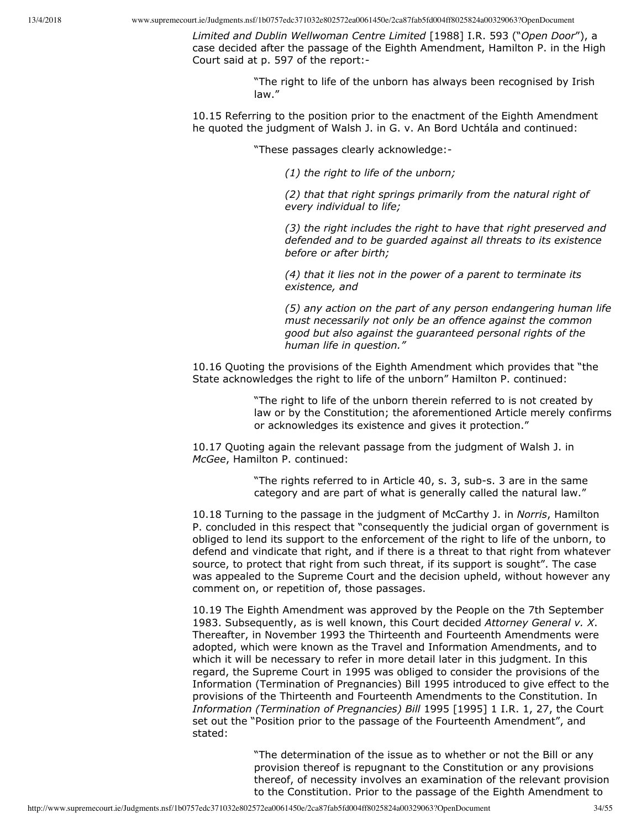*Limited and Dublin Wellwoman Centre Limited* [1988] I.R. 593 ("*Open Door*"), a case decided after the passage of the Eighth Amendment, Hamilton P. in the High Court said at p. 597 of the report:

> "The right to life of the unborn has always been recognised by Irish law."

10.15 Referring to the position prior to the enactment of the Eighth Amendment he quoted the judgment of Walsh J. in G. v. An Bord Uchtála and continued:

"These passages clearly acknowledge:

*(1) the right to life of the unborn;*

*(2) that that right springs primarily from the natural right of every individual to life;*

*(3) the right includes the right to have that right preserved and defended and to be guarded against all threats to its existence before or after birth;*

*(4) that it lies not in the power of a parent to terminate its existence, and*

*(5) any action on the part of any person endangering human life must necessarily not only be an offence against the common good but also against the guaranteed personal rights of the human life in question."*

10.16 Quoting the provisions of the Eighth Amendment which provides that "the State acknowledges the right to life of the unborn" Hamilton P. continued:

> "The right to life of the unborn therein referred to is not created by law or by the Constitution; the aforementioned Article merely confirms or acknowledges its existence and gives it protection."

10.17 Quoting again the relevant passage from the judgment of Walsh J. in *McGee*, Hamilton P. continued:

> "The rights referred to in Article 40, s. 3, sub-s. 3 are in the same category and are part of what is generally called the natural law."

10.18 Turning to the passage in the judgment of McCarthy J. in *Norris*, Hamilton P. concluded in this respect that "consequently the judicial organ of government is obliged to lend its support to the enforcement of the right to life of the unborn, to defend and vindicate that right, and if there is a threat to that right from whatever source, to protect that right from such threat, if its support is sought". The case was appealed to the Supreme Court and the decision upheld, without however any comment on, or repetition of, those passages.

10.19 The Eighth Amendment was approved by the People on the 7th September 1983. Subsequently, as is well known, this Court decided *Attorney General v. X*. Thereafter, in November 1993 the Thirteenth and Fourteenth Amendments were adopted, which were known as the Travel and Information Amendments, and to which it will be necessary to refer in more detail later in this judgment. In this regard, the Supreme Court in 1995 was obliged to consider the provisions of the Information (Termination of Pregnancies) Bill 1995 introduced to give effect to the provisions of the Thirteenth and Fourteenth Amendments to the Constitution. In *Information (Termination of Pregnancies) Bill* 1995 [1995] 1 I.R. 1, 27, the Court set out the "Position prior to the passage of the Fourteenth Amendment", and stated:

> "The determination of the issue as to whether or not the Bill or any provision thereof is repugnant to the Constitution or any provisions thereof, of necessity involves an examination of the relevant provision to the Constitution. Prior to the passage of the Eighth Amendment to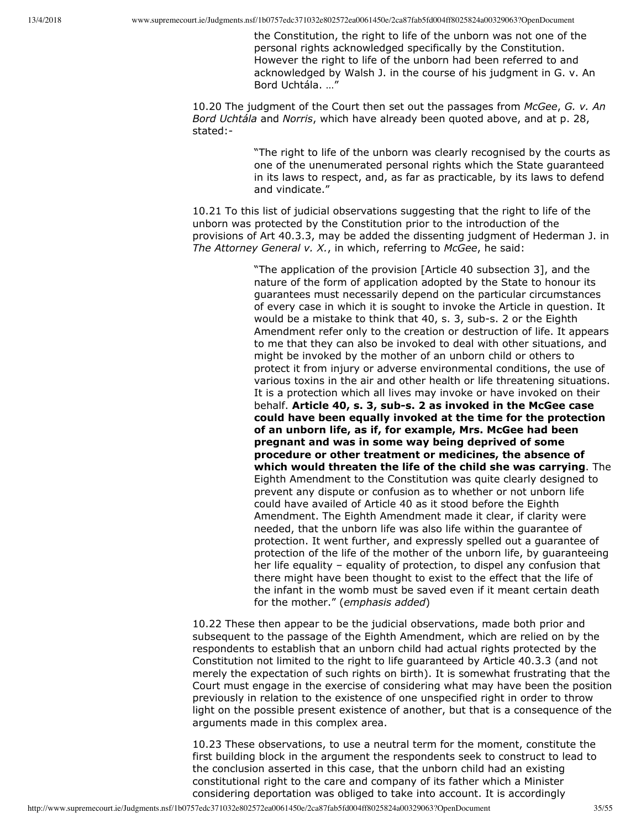the Constitution, the right to life of the unborn was not one of the personal rights acknowledged specifically by the Constitution. However the right to life of the unborn had been referred to and acknowledged by Walsh J. in the course of his judgment in G. v. An Bord Uchtála. …"

10.20 The judgment of the Court then set out the passages from *McGee*, *G. v. An Bord Uchtála* and *Norris*, which have already been quoted above, and at p. 28, stated:

> "The right to life of the unborn was clearly recognised by the courts as one of the unenumerated personal rights which the State guaranteed in its laws to respect, and, as far as practicable, by its laws to defend and vindicate."

10.21 To this list of judicial observations suggesting that the right to life of the unborn was protected by the Constitution prior to the introduction of the provisions of Art 40.3.3, may be added the dissenting judgment of Hederman J. in *The Attorney General v. X.*, in which, referring to *McGee*, he said:

> "The application of the provision [Article 40 subsection 3], and the nature of the form of application adopted by the State to honour its guarantees must necessarily depend on the particular circumstances of every case in which it is sought to invoke the Article in question. It would be a mistake to think that 40, s. 3, sub-s. 2 or the Eighth Amendment refer only to the creation or destruction of life. It appears to me that they can also be invoked to deal with other situations, and might be invoked by the mother of an unborn child or others to protect it from injury or adverse environmental conditions, the use of various toxins in the air and other health or life threatening situations. It is a protection which all lives may invoke or have invoked on their behalf. Article 40, s. 3, sub-s. 2 as invoked in the McGee case **could have been equally invoked at the time for the protection of an unborn life, as if, for example, Mrs. McGee had been pregnant and was in some way being deprived of some procedure or other treatment or medicines, the absence of which would threaten the life of the child she was carrying**. The Eighth Amendment to the Constitution was quite clearly designed to prevent any dispute or confusion as to whether or not unborn life could have availed of Article 40 as it stood before the Eighth Amendment. The Eighth Amendment made it clear, if clarity were needed, that the unborn life was also life within the guarantee of protection. It went further, and expressly spelled out a guarantee of protection of the life of the mother of the unborn life, by guaranteeing her life equality – equality of protection, to dispel any confusion that there might have been thought to exist to the effect that the life of the infant in the womb must be saved even if it meant certain death for the mother." (*emphasis added*)

10.22 These then appear to be the judicial observations, made both prior and subsequent to the passage of the Eighth Amendment, which are relied on by the respondents to establish that an unborn child had actual rights protected by the Constitution not limited to the right to life guaranteed by Article 40.3.3 (and not merely the expectation of such rights on birth). It is somewhat frustrating that the Court must engage in the exercise of considering what may have been the position previously in relation to the existence of one unspecified right in order to throw light on the possible present existence of another, but that is a consequence of the arguments made in this complex area.

10.23 These observations, to use a neutral term for the moment, constitute the first building block in the argument the respondents seek to construct to lead to the conclusion asserted in this case, that the unborn child had an existing constitutional right to the care and company of its father which a Minister considering deportation was obliged to take into account. It is accordingly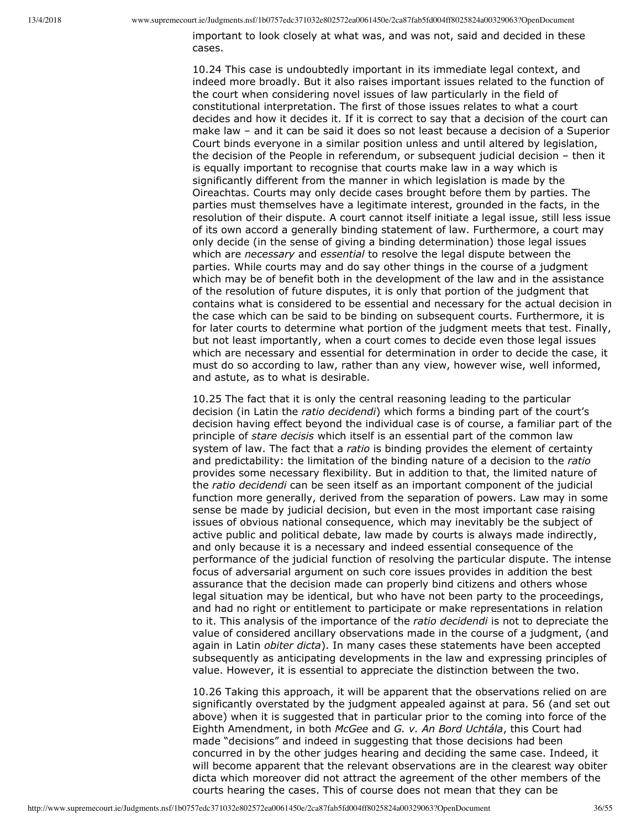important to look closely at what was, and was not, said and decided in these cases.

10.24 This case is undoubtedly important in its immediate legal context, and indeed more broadly. But it also raises important issues related to the function of the court when considering novel issues of law particularly in the field of constitutional interpretation. The first of those issues relates to what a court decides and how it decides it. If it is correct to say that a decision of the court can make law – and it can be said it does so not least because a decision of a Superior Court binds everyone in a similar position unless and until altered by legislation, the decision of the People in referendum, or subsequent judicial decision – then it is equally important to recognise that courts make law in a way which is significantly different from the manner in which legislation is made by the Oireachtas. Courts may only decide cases brought before them by parties. The parties must themselves have a legitimate interest, grounded in the facts, in the resolution of their dispute. A court cannot itself initiate a legal issue, still less issue of its own accord a generally binding statement of law. Furthermore, a court may only decide (in the sense of giving a binding determination) those legal issues which are *necessary* and *essential* to resolve the legal dispute between the parties. While courts may and do say other things in the course of a judgment which may be of benefit both in the development of the law and in the assistance of the resolution of future disputes, it is only that portion of the judgment that contains what is considered to be essential and necessary for the actual decision in the case which can be said to be binding on subsequent courts. Furthermore, it is for later courts to determine what portion of the judgment meets that test. Finally, but not least importantly, when a court comes to decide even those legal issues which are necessary and essential for determination in order to decide the case, it must do so according to law, rather than any view, however wise, well informed, and astute, as to what is desirable.

10.25 The fact that it is only the central reasoning leading to the particular decision (in Latin the *ratio decidendi*) which forms a binding part of the court's decision having effect beyond the individual case is of course, a familiar part of the principle of *stare decisis* which itself is an essential part of the common law system of law. The fact that a *ratio* is binding provides the element of certainty and predictability: the limitation of the binding nature of a decision to the *ratio* provides some necessary flexibility. But in addition to that, the limited nature of the *ratio decidendi* can be seen itself as an important component of the judicial function more generally, derived from the separation of powers. Law may in some sense be made by judicial decision, but even in the most important case raising issues of obvious national consequence, which may inevitably be the subject of active public and political debate, law made by courts is always made indirectly, and only because it is a necessary and indeed essential consequence of the performance of the judicial function of resolving the particular dispute. The intense focus of adversarial argument on such core issues provides in addition the best assurance that the decision made can properly bind citizens and others whose legal situation may be identical, but who have not been party to the proceedings, and had no right or entitlement to participate or make representations in relation to it. This analysis of the importance of the *ratio decidendi* is not to depreciate the value of considered ancillary observations made in the course of a judgment, (and again in Latin *obiter dicta*). In many cases these statements have been accepted subsequently as anticipating developments in the law and expressing principles of value. However, it is essential to appreciate the distinction between the two.

10.26 Taking this approach, it will be apparent that the observations relied on are significantly overstated by the judgment appealed against at para. 56 (and set out above) when it is suggested that in particular prior to the coming into force of the Eighth Amendment, in both *McGee* and *G. v. An Bord Uchtála*, this Court had made "decisions" and indeed in suggesting that those decisions had been concurred in by the other judges hearing and deciding the same case. Indeed, it will become apparent that the relevant observations are in the clearest way obiter dicta which moreover did not attract the agreement of the other members of the courts hearing the cases. This of course does not mean that they can be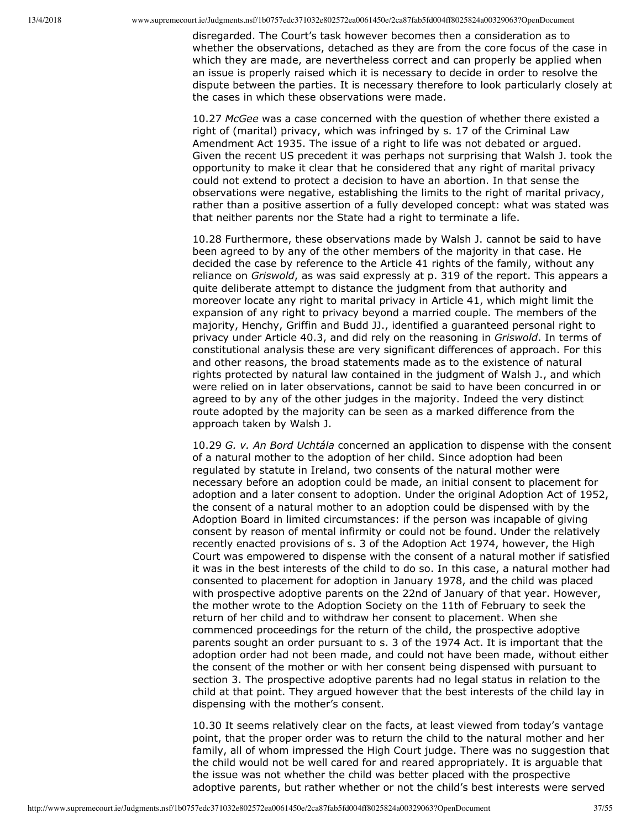disregarded. The Court's task however becomes then a consideration as to whether the observations, detached as they are from the core focus of the case in which they are made, are nevertheless correct and can properly be applied when an issue is properly raised which it is necessary to decide in order to resolve the dispute between the parties. It is necessary therefore to look particularly closely at the cases in which these observations were made.

10.27 *McGee* was a case concerned with the question of whether there existed a right of (marital) privacy, which was infringed by s. 17 of the Criminal Law Amendment Act 1935. The issue of a right to life was not debated or argued. Given the recent US precedent it was perhaps not surprising that Walsh J. took the opportunity to make it clear that he considered that any right of marital privacy could not extend to protect a decision to have an abortion. In that sense the observations were negative, establishing the limits to the right of marital privacy, rather than a positive assertion of a fully developed concept: what was stated was that neither parents nor the State had a right to terminate a life.

10.28 Furthermore, these observations made by Walsh J. cannot be said to have been agreed to by any of the other members of the majority in that case. He decided the case by reference to the Article 41 rights of the family, without any reliance on *Griswold*, as was said expressly at p. 319 of the report. This appears a quite deliberate attempt to distance the judgment from that authority and moreover locate any right to marital privacy in Article 41, which might limit the expansion of any right to privacy beyond a married couple. The members of the majority, Henchy, Griffin and Budd JJ., identified a guaranteed personal right to privacy under Article 40.3, and did rely on the reasoning in *Griswold*. In terms of constitutional analysis these are very significant differences of approach. For this and other reasons, the broad statements made as to the existence of natural rights protected by natural law contained in the judgment of Walsh J., and which were relied on in later observations, cannot be said to have been concurred in or agreed to by any of the other judges in the majority. Indeed the very distinct route adopted by the majority can be seen as a marked difference from the approach taken by Walsh J.

10.29 *G. v. An Bord Uchtála* concerned an application to dispense with the consent of a natural mother to the adoption of her child. Since adoption had been regulated by statute in Ireland, two consents of the natural mother were necessary before an adoption could be made, an initial consent to placement for adoption and a later consent to adoption. Under the original Adoption Act of 1952, the consent of a natural mother to an adoption could be dispensed with by the Adoption Board in limited circumstances: if the person was incapable of giving consent by reason of mental infirmity or could not be found. Under the relatively recently enacted provisions of s. 3 of the Adoption Act 1974, however, the High Court was empowered to dispense with the consent of a natural mother if satisfied it was in the best interests of the child to do so. In this case, a natural mother had consented to placement for adoption in January 1978, and the child was placed with prospective adoptive parents on the 22nd of January of that year. However, the mother wrote to the Adoption Society on the 11th of February to seek the return of her child and to withdraw her consent to placement. When she commenced proceedings for the return of the child, the prospective adoptive parents sought an order pursuant to s. 3 of the 1974 Act. It is important that the adoption order had not been made, and could not have been made, without either the consent of the mother or with her consent being dispensed with pursuant to section 3. The prospective adoptive parents had no legal status in relation to the child at that point. They argued however that the best interests of the child lay in dispensing with the mother's consent.

10.30 It seems relatively clear on the facts, at least viewed from today's vantage point, that the proper order was to return the child to the natural mother and her family, all of whom impressed the High Court judge. There was no suggestion that the child would not be well cared for and reared appropriately. It is arguable that the issue was not whether the child was better placed with the prospective adoptive parents, but rather whether or not the child's best interests were served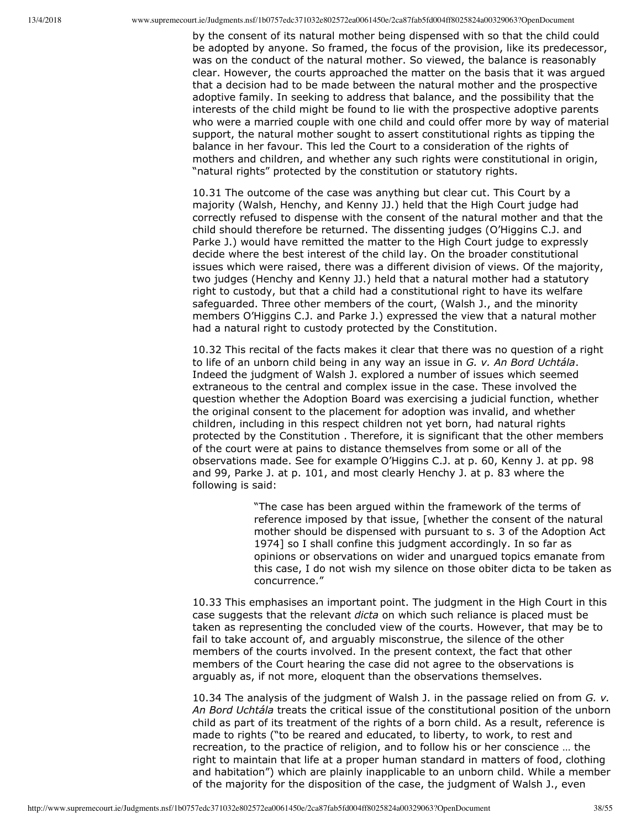by the consent of its natural mother being dispensed with so that the child could be adopted by anyone. So framed, the focus of the provision, like its predecessor, was on the conduct of the natural mother. So viewed, the balance is reasonably clear. However, the courts approached the matter on the basis that it was argued that a decision had to be made between the natural mother and the prospective adoptive family. In seeking to address that balance, and the possibility that the interests of the child might be found to lie with the prospective adoptive parents who were a married couple with one child and could offer more by way of material support, the natural mother sought to assert constitutional rights as tipping the balance in her favour. This led the Court to a consideration of the rights of mothers and children, and whether any such rights were constitutional in origin, "natural rights" protected by the constitution or statutory rights.

10.31 The outcome of the case was anything but clear cut. This Court by a majority (Walsh, Henchy, and Kenny JJ.) held that the High Court judge had correctly refused to dispense with the consent of the natural mother and that the child should therefore be returned. The dissenting judges (O'Higgins C.J. and Parke J.) would have remitted the matter to the High Court judge to expressly decide where the best interest of the child lay. On the broader constitutional issues which were raised, there was a different division of views. Of the majority, two judges (Henchy and Kenny JJ.) held that a natural mother had a statutory right to custody, but that a child had a constitutional right to have its welfare safeguarded. Three other members of the court, (Walsh J., and the minority members O'Higgins C.J. and Parke J.) expressed the view that a natural mother had a natural right to custody protected by the Constitution.

10.32 This recital of the facts makes it clear that there was no question of a right to life of an unborn child being in any way an issue in *G. v. An Bord Uchtála*. Indeed the judgment of Walsh J. explored a number of issues which seemed extraneous to the central and complex issue in the case. These involved the question whether the Adoption Board was exercising a judicial function, whether the original consent to the placement for adoption was invalid, and whether children, including in this respect children not yet born, had natural rights protected by the Constitution . Therefore, it is significant that the other members of the court were at pains to distance themselves from some or all of the observations made. See for example O'Higgins C.J. at p. 60, Kenny J. at pp. 98 and 99, Parke J. at p. 101, and most clearly Henchy J. at p. 83 where the following is said:

> "The case has been argued within the framework of the terms of reference imposed by that issue, [whether the consent of the natural mother should be dispensed with pursuant to s. 3 of the Adoption Act 1974] so I shall confine this judgment accordingly. In so far as opinions or observations on wider and unargued topics emanate from this case, I do not wish my silence on those obiter dicta to be taken as concurrence."

10.33 This emphasises an important point. The judgment in the High Court in this case suggests that the relevant *dicta* on which such reliance is placed must be taken as representing the concluded view of the courts. However, that may be to fail to take account of, and arguably misconstrue, the silence of the other members of the courts involved. In the present context, the fact that other members of the Court hearing the case did not agree to the observations is arguably as, if not more, eloquent than the observations themselves.

10.34 The analysis of the judgment of Walsh J. in the passage relied on from *G. v. An Bord Uchtála* treats the critical issue of the constitutional position of the unborn child as part of its treatment of the rights of a born child. As a result, reference is made to rights ("to be reared and educated, to liberty, to work, to rest and recreation, to the practice of religion, and to follow his or her conscience … the right to maintain that life at a proper human standard in matters of food, clothing and habitation") which are plainly inapplicable to an unborn child. While a member of the majority for the disposition of the case, the judgment of Walsh J., even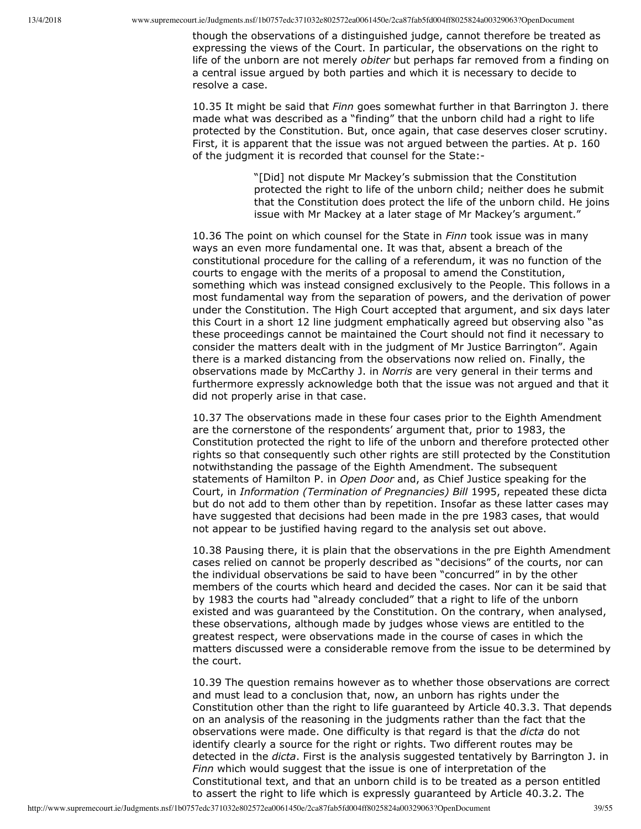though the observations of a distinguished judge, cannot therefore be treated as expressing the views of the Court. In particular, the observations on the right to life of the unborn are not merely *obiter* but perhaps far removed from a finding on a central issue argued by both parties and which it is necessary to decide to resolve a case.

10.35 It might be said that *Finn* goes somewhat further in that Barrington J. there made what was described as a "finding" that the unborn child had a right to life protected by the Constitution. But, once again, that case deserves closer scrutiny. First, it is apparent that the issue was not argued between the parties. At p. 160 of the judgment it is recorded that counsel for the State:

> "[Did] not dispute Mr Mackey's submission that the Constitution protected the right to life of the unborn child; neither does he submit that the Constitution does protect the life of the unborn child. He joins issue with Mr Mackey at a later stage of Mr Mackey's argument."

10.36 The point on which counsel for the State in *Finn* took issue was in many ways an even more fundamental one. It was that, absent a breach of the constitutional procedure for the calling of a referendum, it was no function of the courts to engage with the merits of a proposal to amend the Constitution, something which was instead consigned exclusively to the People. This follows in a most fundamental way from the separation of powers, and the derivation of power under the Constitution. The High Court accepted that argument, and six days later this Court in a short 12 line judgment emphatically agreed but observing also "as these proceedings cannot be maintained the Court should not find it necessary to consider the matters dealt with in the judgment of Mr Justice Barrington". Again there is a marked distancing from the observations now relied on. Finally, the observations made by McCarthy J. in *Norris* are very general in their terms and furthermore expressly acknowledge both that the issue was not argued and that it did not properly arise in that case.

10.37 The observations made in these four cases prior to the Eighth Amendment are the cornerstone of the respondents' argument that, prior to 1983, the Constitution protected the right to life of the unborn and therefore protected other rights so that consequently such other rights are still protected by the Constitution notwithstanding the passage of the Eighth Amendment. The subsequent statements of Hamilton P. in *Open Door* and, as Chief Justice speaking for the Court, in *Information (Termination of Pregnancies) Bill* 1995, repeated these dicta but do not add to them other than by repetition. Insofar as these latter cases may have suggested that decisions had been made in the pre 1983 cases, that would not appear to be justified having regard to the analysis set out above.

10.38 Pausing there, it is plain that the observations in the pre Eighth Amendment cases relied on cannot be properly described as "decisions" of the courts, nor can the individual observations be said to have been "concurred" in by the other members of the courts which heard and decided the cases. Nor can it be said that by 1983 the courts had "already concluded" that a right to life of the unborn existed and was guaranteed by the Constitution. On the contrary, when analysed, these observations, although made by judges whose views are entitled to the greatest respect, were observations made in the course of cases in which the matters discussed were a considerable remove from the issue to be determined by the court.

10.39 The question remains however as to whether those observations are correct and must lead to a conclusion that, now, an unborn has rights under the Constitution other than the right to life guaranteed by Article 40.3.3. That depends on an analysis of the reasoning in the judgments rather than the fact that the observations were made. One difficulty is that regard is that the *dicta* do not identify clearly a source for the right or rights. Two different routes may be detected in the *dicta*. First is the analysis suggested tentatively by Barrington J. in *Finn* which would suggest that the issue is one of interpretation of the Constitutional text, and that an unborn child is to be treated as a person entitled to assert the right to life which is expressly guaranteed by Article 40.3.2. The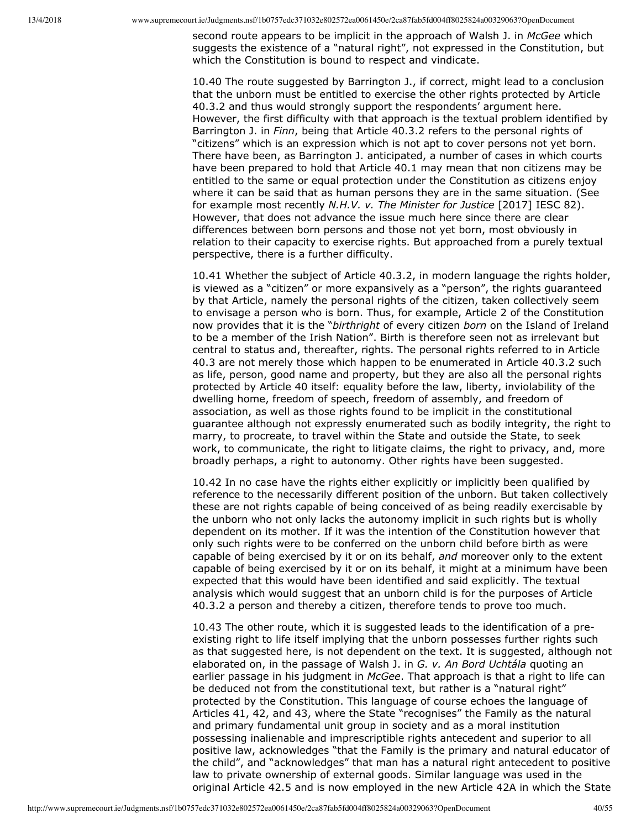second route appears to be implicit in the approach of Walsh J. in *McGee* which suggests the existence of a "natural right", not expressed in the Constitution, but which the Constitution is bound to respect and vindicate.

10.40 The route suggested by Barrington J., if correct, might lead to a conclusion that the unborn must be entitled to exercise the other rights protected by Article 40.3.2 and thus would strongly support the respondents' argument here. However, the first difficulty with that approach is the textual problem identified by Barrington J. in *Finn*, being that Article 40.3.2 refers to the personal rights of "citizens" which is an expression which is not apt to cover persons not yet born. There have been, as Barrington J. anticipated, a number of cases in which courts have been prepared to hold that Article 40.1 may mean that non citizens may be entitled to the same or equal protection under the Constitution as citizens enjoy where it can be said that as human persons they are in the same situation. (See for example most recently *N.H.V. v. The Minister for Justice* [2017] IESC 82). However, that does not advance the issue much here since there are clear differences between born persons and those not yet born, most obviously in relation to their capacity to exercise rights. But approached from a purely textual perspective, there is a further difficulty.

10.41 Whether the subject of Article 40.3.2, in modern language the rights holder, is viewed as a "citizen" or more expansively as a "person", the rights guaranteed by that Article, namely the personal rights of the citizen, taken collectively seem to envisage a person who is born. Thus, for example, Article 2 of the Constitution now provides that it is the "*birthright* of every citizen *born* on the Island of Ireland to be a member of the Irish Nation". Birth is therefore seen not as irrelevant but central to status and, thereafter, rights. The personal rights referred to in Article 40.3 are not merely those which happen to be enumerated in Article 40.3.2 such as life, person, good name and property, but they are also all the personal rights protected by Article 40 itself: equality before the law, liberty, inviolability of the dwelling home, freedom of speech, freedom of assembly, and freedom of association, as well as those rights found to be implicit in the constitutional guarantee although not expressly enumerated such as bodily integrity, the right to marry, to procreate, to travel within the State and outside the State, to seek work, to communicate, the right to litigate claims, the right to privacy, and, more broadly perhaps, a right to autonomy. Other rights have been suggested.

10.42 In no case have the rights either explicitly or implicitly been qualified by reference to the necessarily different position of the unborn. But taken collectively these are not rights capable of being conceived of as being readily exercisable by the unborn who not only lacks the autonomy implicit in such rights but is wholly dependent on its mother. If it was the intention of the Constitution however that only such rights were to be conferred on the unborn child before birth as were capable of being exercised by it or on its behalf, *and* moreover only to the extent capable of being exercised by it or on its behalf, it might at a minimum have been expected that this would have been identified and said explicitly. The textual analysis which would suggest that an unborn child is for the purposes of Article 40.3.2 a person and thereby a citizen, therefore tends to prove too much.

10.43 The other route, which it is suggested leads to the identification of a preexisting right to life itself implying that the unborn possesses further rights such as that suggested here, is not dependent on the text. It is suggested, although not elaborated on, in the passage of Walsh J. in *G. v. An Bord Uchtála* quoting an earlier passage in his judgment in *McGee*. That approach is that a right to life can be deduced not from the constitutional text, but rather is a "natural right" protected by the Constitution. This language of course echoes the language of Articles 41, 42, and 43, where the State "recognises" the Family as the natural and primary fundamental unit group in society and as a moral institution possessing inalienable and imprescriptible rights antecedent and superior to all positive law, acknowledges "that the Family is the primary and natural educator of the child", and "acknowledges" that man has a natural right antecedent to positive law to private ownership of external goods. Similar language was used in the original Article 42.5 and is now employed in the new Article 42A in which the State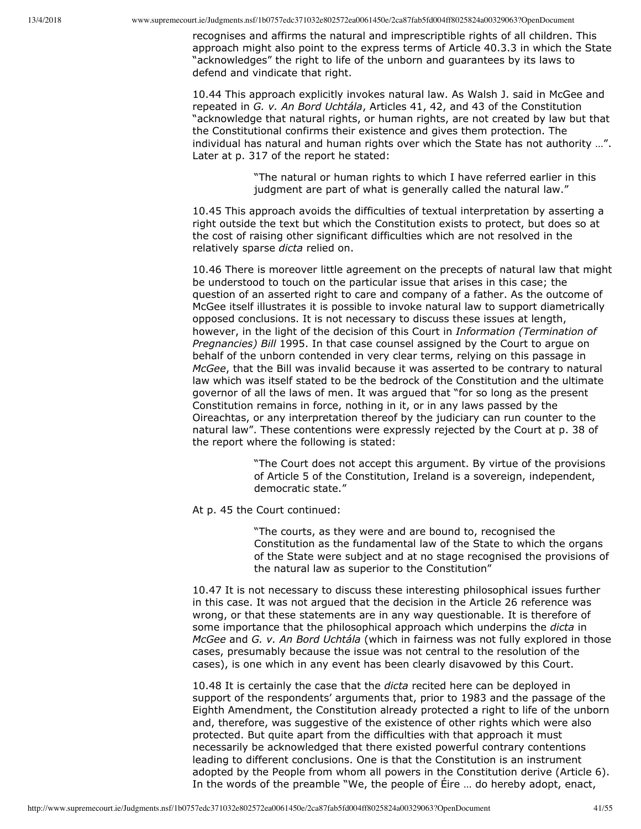recognises and affirms the natural and imprescriptible rights of all children. This approach might also point to the express terms of Article 40.3.3 in which the State "acknowledges" the right to life of the unborn and guarantees by its laws to defend and vindicate that right.

10.44 This approach explicitly invokes natural law. As Walsh J. said in McGee and repeated in *G. v. An Bord Uchtála*, Articles 41, 42, and 43 of the Constitution "acknowledge that natural rights, or human rights, are not created by law but that the Constitutional confirms their existence and gives them protection. The individual has natural and human rights over which the State has not authority …". Later at p. 317 of the report he stated:

> "The natural or human rights to which I have referred earlier in this judgment are part of what is generally called the natural law."

10.45 This approach avoids the difficulties of textual interpretation by asserting a right outside the text but which the Constitution exists to protect, but does so at the cost of raising other significant difficulties which are not resolved in the relatively sparse *dicta* relied on.

10.46 There is moreover little agreement on the precepts of natural law that might be understood to touch on the particular issue that arises in this case; the question of an asserted right to care and company of a father. As the outcome of McGee itself illustrates it is possible to invoke natural law to support diametrically opposed conclusions. It is not necessary to discuss these issues at length, however, in the light of the decision of this Court in *Information (Termination of Pregnancies) Bill* 1995. In that case counsel assigned by the Court to argue on behalf of the unborn contended in very clear terms, relying on this passage in *McGee*, that the Bill was invalid because it was asserted to be contrary to natural law which was itself stated to be the bedrock of the Constitution and the ultimate governor of all the laws of men. It was argued that "for so long as the present Constitution remains in force, nothing in it, or in any laws passed by the Oireachtas, or any interpretation thereof by the judiciary can run counter to the natural law". These contentions were expressly rejected by the Court at p. 38 of the report where the following is stated:

> "The Court does not accept this argument. By virtue of the provisions of Article 5 of the Constitution, Ireland is a sovereign, independent, democratic state."

At p. 45 the Court continued:

"The courts, as they were and are bound to, recognised the Constitution as the fundamental law of the State to which the organs of the State were subject and at no stage recognised the provisions of the natural law as superior to the Constitution"

10.47 It is not necessary to discuss these interesting philosophical issues further in this case. It was not argued that the decision in the Article 26 reference was wrong, or that these statements are in any way questionable. It is therefore of some importance that the philosophical approach which underpins the *dicta* in *McGee* and *G. v. An Bord Uchtála* (which in fairness was not fully explored in those cases, presumably because the issue was not central to the resolution of the cases), is one which in any event has been clearly disavowed by this Court.

10.48 It is certainly the case that the *dicta* recited here can be deployed in support of the respondents' arguments that, prior to 1983 and the passage of the Eighth Amendment, the Constitution already protected a right to life of the unborn and, therefore, was suggestive of the existence of other rights which were also protected. But quite apart from the difficulties with that approach it must necessarily be acknowledged that there existed powerful contrary contentions leading to different conclusions. One is that the Constitution is an instrument adopted by the People from whom all powers in the Constitution derive (Article 6). In the words of the preamble "We, the people of Éire … do hereby adopt, enact,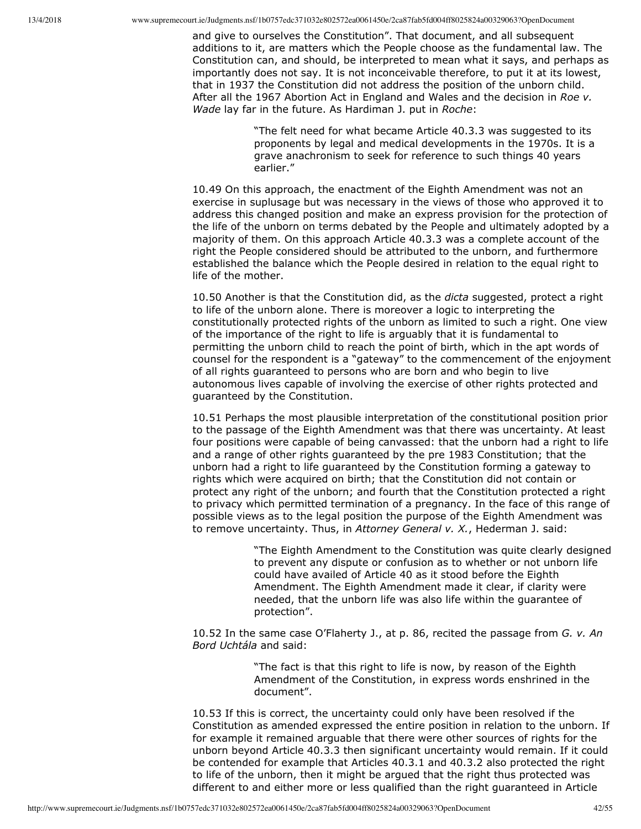and give to ourselves the Constitution". That document, and all subsequent additions to it, are matters which the People choose as the fundamental law. The Constitution can, and should, be interpreted to mean what it says, and perhaps as importantly does not say. It is not inconceivable therefore, to put it at its lowest, that in 1937 the Constitution did not address the position of the unborn child. After all the 1967 Abortion Act in England and Wales and the decision in *Roe v. Wade* lay far in the future. As Hardiman J. put in *Roche*:

> "The felt need for what became Article 40.3.3 was suggested to its proponents by legal and medical developments in the 1970s. It is a grave anachronism to seek for reference to such things 40 years earlier."

10.49 On this approach, the enactment of the Eighth Amendment was not an exercise in suplusage but was necessary in the views of those who approved it to address this changed position and make an express provision for the protection of the life of the unborn on terms debated by the People and ultimately adopted by a majority of them. On this approach Article 40.3.3 was a complete account of the right the People considered should be attributed to the unborn, and furthermore established the balance which the People desired in relation to the equal right to life of the mother.

10.50 Another is that the Constitution did, as the *dicta* suggested, protect a right to life of the unborn alone. There is moreover a logic to interpreting the constitutionally protected rights of the unborn as limited to such a right. One view of the importance of the right to life is arguably that it is fundamental to permitting the unborn child to reach the point of birth, which in the apt words of counsel for the respondent is a "gateway" to the commencement of the enjoyment of all rights guaranteed to persons who are born and who begin to live autonomous lives capable of involving the exercise of other rights protected and guaranteed by the Constitution.

10.51 Perhaps the most plausible interpretation of the constitutional position prior to the passage of the Eighth Amendment was that there was uncertainty. At least four positions were capable of being canvassed: that the unborn had a right to life and a range of other rights guaranteed by the pre 1983 Constitution; that the unborn had a right to life guaranteed by the Constitution forming a gateway to rights which were acquired on birth; that the Constitution did not contain or protect any right of the unborn; and fourth that the Constitution protected a right to privacy which permitted termination of a pregnancy. In the face of this range of possible views as to the legal position the purpose of the Eighth Amendment was to remove uncertainty. Thus, in *Attorney General v. X.*, Hederman J. said:

> "The Eighth Amendment to the Constitution was quite clearly designed to prevent any dispute or confusion as to whether or not unborn life could have availed of Article 40 as it stood before the Eighth Amendment. The Eighth Amendment made it clear, if clarity were needed, that the unborn life was also life within the guarantee of protection".

10.52 In the same case O'Flaherty J., at p. 86, recited the passage from *G. v. An Bord Uchtála* and said:

> "The fact is that this right to life is now, by reason of the Eighth Amendment of the Constitution, in express words enshrined in the document".

10.53 If this is correct, the uncertainty could only have been resolved if the Constitution as amended expressed the entire position in relation to the unborn. If for example it remained arguable that there were other sources of rights for the unborn beyond Article 40.3.3 then significant uncertainty would remain. If it could be contended for example that Articles 40.3.1 and 40.3.2 also protected the right to life of the unborn, then it might be argued that the right thus protected was different to and either more or less qualified than the right guaranteed in Article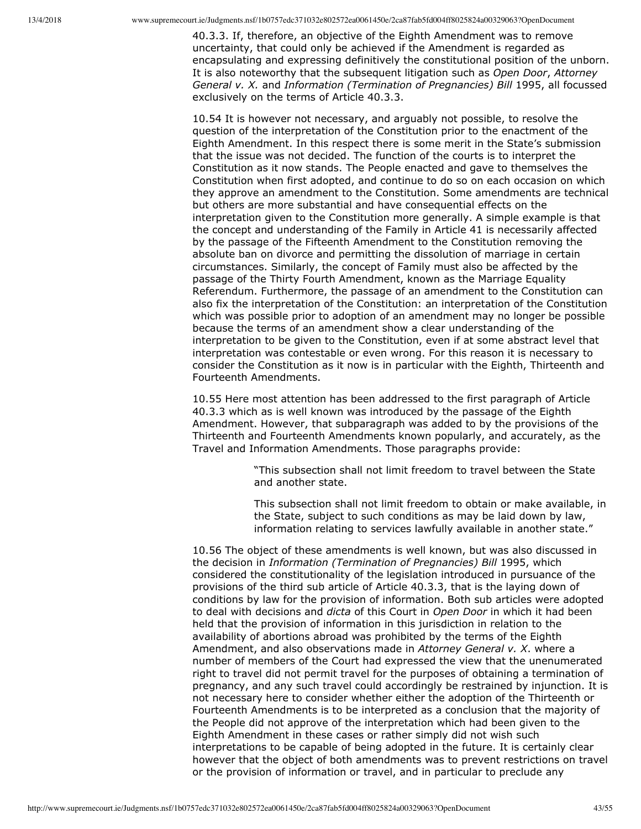40.3.3. If, therefore, an objective of the Eighth Amendment was to remove uncertainty, that could only be achieved if the Amendment is regarded as encapsulating and expressing definitively the constitutional position of the unborn. It is also noteworthy that the subsequent litigation such as *Open Door*, *Attorney General v. X.* and *Information (Termination of Pregnancies) Bill* 1995, all focussed exclusively on the terms of Article 40.3.3.

10.54 It is however not necessary, and arguably not possible, to resolve the question of the interpretation of the Constitution prior to the enactment of the Eighth Amendment. In this respect there is some merit in the State's submission that the issue was not decided. The function of the courts is to interpret the Constitution as it now stands. The People enacted and gave to themselves the Constitution when first adopted, and continue to do so on each occasion on which they approve an amendment to the Constitution. Some amendments are technical but others are more substantial and have consequential effects on the interpretation given to the Constitution more generally. A simple example is that the concept and understanding of the Family in Article 41 is necessarily affected by the passage of the Fifteenth Amendment to the Constitution removing the absolute ban on divorce and permitting the dissolution of marriage in certain circumstances. Similarly, the concept of Family must also be affected by the passage of the Thirty Fourth Amendment, known as the Marriage Equality Referendum. Furthermore, the passage of an amendment to the Constitution can also fix the interpretation of the Constitution: an interpretation of the Constitution which was possible prior to adoption of an amendment may no longer be possible because the terms of an amendment show a clear understanding of the interpretation to be given to the Constitution, even if at some abstract level that interpretation was contestable or even wrong. For this reason it is necessary to consider the Constitution as it now is in particular with the Eighth, Thirteenth and Fourteenth Amendments.

10.55 Here most attention has been addressed to the first paragraph of Article 40.3.3 which as is well known was introduced by the passage of the Eighth Amendment. However, that subparagraph was added to by the provisions of the Thirteenth and Fourteenth Amendments known popularly, and accurately, as the Travel and Information Amendments. Those paragraphs provide:

> "This subsection shall not limit freedom to travel between the State and another state.

This subsection shall not limit freedom to obtain or make available, in the State, subject to such conditions as may be laid down by law, information relating to services lawfully available in another state."

10.56 The object of these amendments is well known, but was also discussed in the decision in *Information (Termination of Pregnancies) Bill* 1995, which considered the constitutionality of the legislation introduced in pursuance of the provisions of the third sub article of Article 40.3.3, that is the laying down of conditions by law for the provision of information. Both sub articles were adopted to deal with decisions and *dicta* of this Court in *Open Door* in which it had been held that the provision of information in this jurisdiction in relation to the availability of abortions abroad was prohibited by the terms of the Eighth Amendment, and also observations made in *Attorney General v. X*. where a number of members of the Court had expressed the view that the unenumerated right to travel did not permit travel for the purposes of obtaining a termination of pregnancy, and any such travel could accordingly be restrained by injunction. It is not necessary here to consider whether either the adoption of the Thirteenth or Fourteenth Amendments is to be interpreted as a conclusion that the majority of the People did not approve of the interpretation which had been given to the Eighth Amendment in these cases or rather simply did not wish such interpretations to be capable of being adopted in the future. It is certainly clear however that the object of both amendments was to prevent restrictions on travel or the provision of information or travel, and in particular to preclude any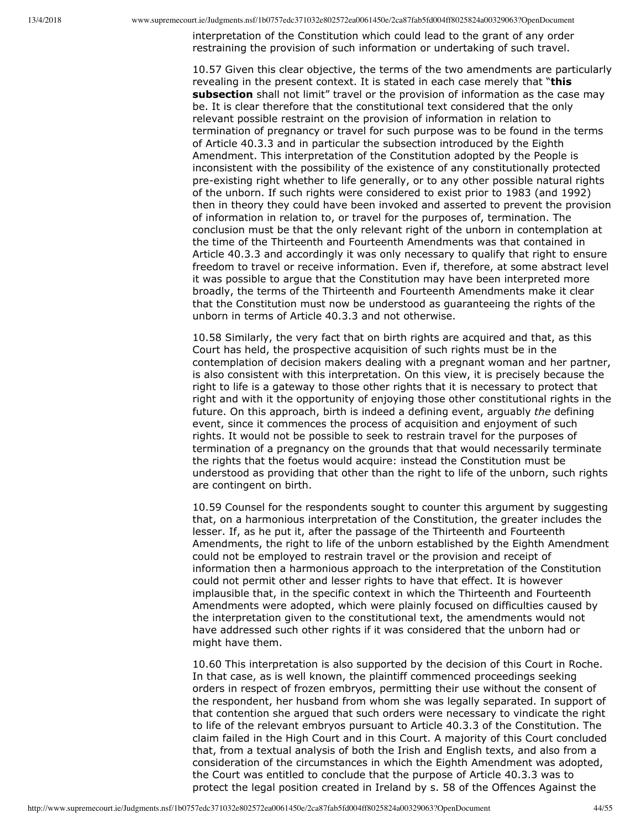interpretation of the Constitution which could lead to the grant of any order restraining the provision of such information or undertaking of such travel.

10.57 Given this clear objective, the terms of the two amendments are particularly revealing in the present context. It is stated in each case merely that "**this subsection** shall not limit" travel or the provision of information as the case may be. It is clear therefore that the constitutional text considered that the only relevant possible restraint on the provision of information in relation to termination of pregnancy or travel for such purpose was to be found in the terms of Article 40.3.3 and in particular the subsection introduced by the Eighth Amendment. This interpretation of the Constitution adopted by the People is inconsistent with the possibility of the existence of any constitutionally protected pre-existing right whether to life generally, or to any other possible natural rights of the unborn. If such rights were considered to exist prior to 1983 (and 1992) then in theory they could have been invoked and asserted to prevent the provision of information in relation to, or travel for the purposes of, termination. The conclusion must be that the only relevant right of the unborn in contemplation at the time of the Thirteenth and Fourteenth Amendments was that contained in Article 40.3.3 and accordingly it was only necessary to qualify that right to ensure freedom to travel or receive information. Even if, therefore, at some abstract level it was possible to argue that the Constitution may have been interpreted more broadly, the terms of the Thirteenth and Fourteenth Amendments make it clear that the Constitution must now be understood as guaranteeing the rights of the unborn in terms of Article 40.3.3 and not otherwise.

10.58 Similarly, the very fact that on birth rights are acquired and that, as this Court has held, the prospective acquisition of such rights must be in the contemplation of decision makers dealing with a pregnant woman and her partner, is also consistent with this interpretation. On this view, it is precisely because the right to life is a gateway to those other rights that it is necessary to protect that right and with it the opportunity of enjoying those other constitutional rights in the future. On this approach, birth is indeed a defining event, arguably *the* defining event, since it commences the process of acquisition and enjoyment of such rights. It would not be possible to seek to restrain travel for the purposes of termination of a pregnancy on the grounds that that would necessarily terminate the rights that the foetus would acquire: instead the Constitution must be understood as providing that other than the right to life of the unborn, such rights are contingent on birth.

10.59 Counsel for the respondents sought to counter this argument by suggesting that, on a harmonious interpretation of the Constitution, the greater includes the lesser. If, as he put it, after the passage of the Thirteenth and Fourteenth Amendments, the right to life of the unborn established by the Eighth Amendment could not be employed to restrain travel or the provision and receipt of information then a harmonious approach to the interpretation of the Constitution could not permit other and lesser rights to have that effect. It is however implausible that, in the specific context in which the Thirteenth and Fourteenth Amendments were adopted, which were plainly focused on difficulties caused by the interpretation given to the constitutional text, the amendments would not have addressed such other rights if it was considered that the unborn had or might have them.

10.60 This interpretation is also supported by the decision of this Court in Roche. In that case, as is well known, the plaintiff commenced proceedings seeking orders in respect of frozen embryos, permitting their use without the consent of the respondent, her husband from whom she was legally separated. In support of that contention she argued that such orders were necessary to vindicate the right to life of the relevant embryos pursuant to Article 40.3.3 of the Constitution. The claim failed in the High Court and in this Court. A majority of this Court concluded that, from a textual analysis of both the Irish and English texts, and also from a consideration of the circumstances in which the Eighth Amendment was adopted, the Court was entitled to conclude that the purpose of Article 40.3.3 was to protect the legal position created in Ireland by s. 58 of the Offences Against the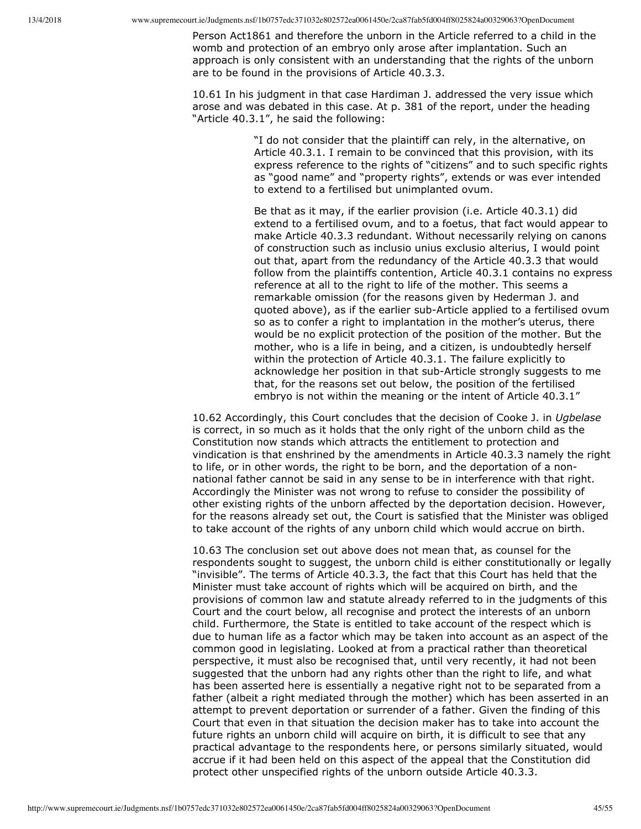Person Act1861 and therefore the unborn in the Article referred to a child in the womb and protection of an embryo only arose after implantation. Such an approach is only consistent with an understanding that the rights of the unborn are to be found in the provisions of Article 40.3.3.

10.61 In his judgment in that case Hardiman J. addressed the very issue which arose and was debated in this case. At p. 381 of the report, under the heading "Article 40.3.1", he said the following:

> "I do not consider that the plaintiff can rely, in the alternative, on Article 40.3.1. I remain to be convinced that this provision, with its express reference to the rights of "citizens" and to such specific rights as "good name" and "property rights", extends or was ever intended to extend to a fertilised but unimplanted ovum.

Be that as it may, if the earlier provision (i.e. Article 40.3.1) did extend to a fertilised ovum, and to a foetus, that fact would appear to make Article 40.3.3 redundant. Without necessarily relying on canons of construction such as inclusio unius exclusio alterius, I would point out that, apart from the redundancy of the Article 40.3.3 that would follow from the plaintiffs contention, Article 40.3.1 contains no express reference at all to the right to life of the mother. This seems a remarkable omission (for the reasons given by Hederman J. and quoted above), as if the earlier sub-Article applied to a fertilised ovum so as to confer a right to implantation in the mother's uterus, there would be no explicit protection of the position of the mother. But the mother, who is a life in being, and a citizen, is undoubtedly herself within the protection of Article 40.3.1. The failure explicitly to acknowledge her position in that sub-Article strongly suggests to me that, for the reasons set out below, the position of the fertilised embryo is not within the meaning or the intent of Article 40.3.1"

10.62 Accordingly, this Court concludes that the decision of Cooke J. in *Ugbelase* is correct, in so much as it holds that the only right of the unborn child as the Constitution now stands which attracts the entitlement to protection and vindication is that enshrined by the amendments in Article 40.3.3 namely the right to life, or in other words, the right to be born, and the deportation of a nonnational father cannot be said in any sense to be in interference with that right. Accordingly the Minister was not wrong to refuse to consider the possibility of other existing rights of the unborn affected by the deportation decision. However, for the reasons already set out, the Court is satisfied that the Minister was obliged to take account of the rights of any unborn child which would accrue on birth.

10.63 The conclusion set out above does not mean that, as counsel for the respondents sought to suggest, the unborn child is either constitutionally or legally "invisible". The terms of Article 40.3.3, the fact that this Court has held that the Minister must take account of rights which will be acquired on birth, and the provisions of common law and statute already referred to in the judgments of this Court and the court below, all recognise and protect the interests of an unborn child. Furthermore, the State is entitled to take account of the respect which is due to human life as a factor which may be taken into account as an aspect of the common good in legislating. Looked at from a practical rather than theoretical perspective, it must also be recognised that, until very recently, it had not been suggested that the unborn had any rights other than the right to life, and what has been asserted here is essentially a negative right not to be separated from a father (albeit a right mediated through the mother) which has been asserted in an attempt to prevent deportation or surrender of a father. Given the finding of this Court that even in that situation the decision maker has to take into account the future rights an unborn child will acquire on birth, it is difficult to see that any practical advantage to the respondents here, or persons similarly situated, would accrue if it had been held on this aspect of the appeal that the Constitution did protect other unspecified rights of the unborn outside Article 40.3.3.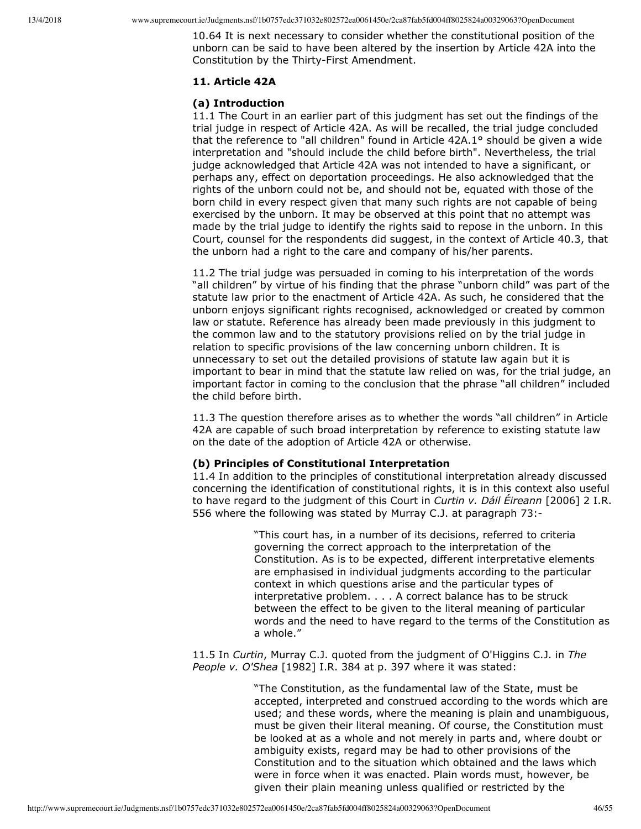10.64 It is next necessary to consider whether the constitutional position of the unborn can be said to have been altered by the insertion by Article 42A into the Constitution by the Thirty-First Amendment.

# **11. Article 42A**

# **(a) Introduction**

11.1 The Court in an earlier part of this judgment has set out the findings of the trial judge in respect of Article 42A. As will be recalled, the trial judge concluded that the reference to "all children" found in Article 42A.1° should be given a wide interpretation and "should include the child before birth". Nevertheless, the trial judge acknowledged that Article 42A was not intended to have a significant, or perhaps any, effect on deportation proceedings. He also acknowledged that the rights of the unborn could not be, and should not be, equated with those of the born child in every respect given that many such rights are not capable of being exercised by the unborn. It may be observed at this point that no attempt was made by the trial judge to identify the rights said to repose in the unborn. In this Court, counsel for the respondents did suggest, in the context of Article 40.3, that the unborn had a right to the care and company of his/her parents.

11.2 The trial judge was persuaded in coming to his interpretation of the words "all children" by virtue of his finding that the phrase "unborn child" was part of the statute law prior to the enactment of Article 42A. As such, he considered that the unborn enjoys significant rights recognised, acknowledged or created by common law or statute. Reference has already been made previously in this judgment to the common law and to the statutory provisions relied on by the trial judge in relation to specific provisions of the law concerning unborn children. It is unnecessary to set out the detailed provisions of statute law again but it is important to bear in mind that the statute law relied on was, for the trial judge, an important factor in coming to the conclusion that the phrase "all children" included the child before birth.

11.3 The question therefore arises as to whether the words "all children" in Article 42A are capable of such broad interpretation by reference to existing statute law on the date of the adoption of Article 42A or otherwise.

## **(b) Principles of Constitutional Interpretation**

11.4 In addition to the principles of constitutional interpretation already discussed concerning the identification of constitutional rights, it is in this context also useful to have regard to the judgment of this Court in *Curtin v. Dáil Éireann* [2006] 2 I.R. 556 where the following was stated by Murray C.J. at paragraph 73:

> "This court has, in a number of its decisions, referred to criteria governing the correct approach to the interpretation of the Constitution. As is to be expected, different interpretative elements are emphasised in individual judgments according to the particular context in which questions arise and the particular types of interpretative problem. . . . A correct balance has to be struck between the effect to be given to the literal meaning of particular words and the need to have regard to the terms of the Constitution as a whole."

11.5 In *Curtin*, Murray C.J. quoted from the judgment of O'Higgins C.J. in *The People v. O'Shea* [1982] I.R. 384 at p. 397 where it was stated:

> "The Constitution, as the fundamental law of the State, must be accepted, interpreted and construed according to the words which are used; and these words, where the meaning is plain and unambiguous, must be given their literal meaning. Of course, the Constitution must be looked at as a whole and not merely in parts and, where doubt or ambiguity exists, regard may be had to other provisions of the Constitution and to the situation which obtained and the laws which were in force when it was enacted. Plain words must, however, be given their plain meaning unless qualified or restricted by the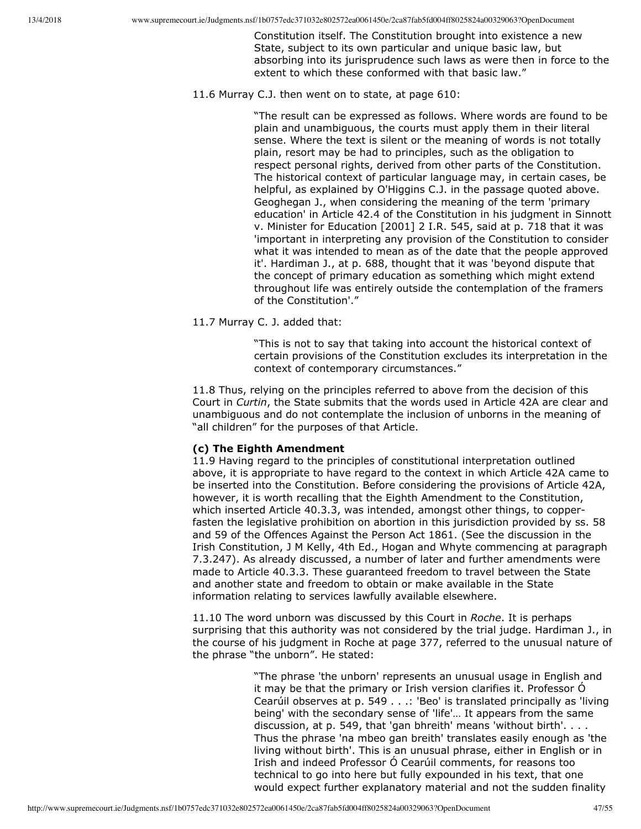Constitution itself. The Constitution brought into existence a new State, subject to its own particular and unique basic law, but absorbing into its jurisprudence such laws as were then in force to the extent to which these conformed with that basic law."

11.6 Murray C.J. then went on to state, at page 610:

"The result can be expressed as follows. Where words are found to be plain and unambiguous, the courts must apply them in their literal sense. Where the text is silent or the meaning of words is not totally plain, resort may be had to principles, such as the obligation to respect personal rights, derived from other parts of the Constitution. The historical context of particular language may, in certain cases, be helpful, as explained by O'Higgins C.J. in the passage quoted above. Geoghegan J., when considering the meaning of the term 'primary education' in Article 42.4 of the Constitution in his judgment in Sinnott v. Minister for Education [2001] 2 I.R. 545, said at p. 718 that it was 'important in interpreting any provision of the Constitution to consider what it was intended to mean as of the date that the people approved it'. Hardiman J., at p. 688, thought that it was 'beyond dispute that the concept of primary education as something which might extend throughout life was entirely outside the contemplation of the framers of the Constitution'."

11.7 Murray C. J. added that:

"This is not to say that taking into account the historical context of certain provisions of the Constitution excludes its interpretation in the context of contemporary circumstances."

11.8 Thus, relying on the principles referred to above from the decision of this Court in *Curtin*, the State submits that the words used in Article 42A are clear and unambiguous and do not contemplate the inclusion of unborns in the meaning of "all children" for the purposes of that Article.

# **(c) The Eighth Amendment**

11.9 Having regard to the principles of constitutional interpretation outlined above, it is appropriate to have regard to the context in which Article 42A came to be inserted into the Constitution. Before considering the provisions of Article 42A, however, it is worth recalling that the Eighth Amendment to the Constitution, which inserted Article 40.3.3, was intended, amongst other things, to copperfasten the legislative prohibition on abortion in this jurisdiction provided by ss. 58 and 59 of the Offences Against the Person Act 1861. (See the discussion in the Irish Constitution, J M Kelly, 4th Ed., Hogan and Whyte commencing at paragraph 7.3.247). As already discussed, a number of later and further amendments were made to Article 40.3.3. These guaranteed freedom to travel between the State and another state and freedom to obtain or make available in the State information relating to services lawfully available elsewhere.

11.10 The word unborn was discussed by this Court in *Roche*. It is perhaps surprising that this authority was not considered by the trial judge. Hardiman J., in the course of his judgment in Roche at page 377, referred to the unusual nature of the phrase "the unborn". He stated:

> "The phrase 'the unborn' represents an unusual usage in English and it may be that the primary or Irish version clarifies it. Professor Ó Cearúil observes at p. 549 . . .: 'Beo' is translated principally as 'living being' with the secondary sense of 'life'… It appears from the same discussion, at p. 549, that 'gan bhreith' means 'without birth'. . . . Thus the phrase 'na mbeo gan breith' translates easily enough as 'the living without birth'. This is an unusual phrase, either in English or in Irish and indeed Professor Ó Cearúil comments, for reasons too technical to go into here but fully expounded in his text, that one would expect further explanatory material and not the sudden finality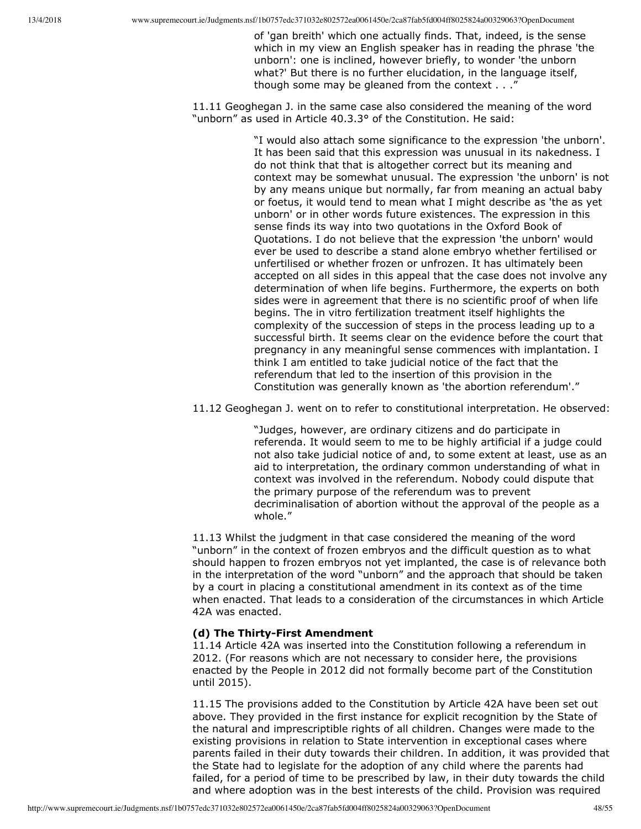of 'gan breith' which one actually finds. That, indeed, is the sense which in my view an English speaker has in reading the phrase 'the unborn': one is inclined, however briefly, to wonder 'the unborn what?' But there is no further elucidation, in the language itself, though some may be gleaned from the context . . ."

11.11 Geoghegan J. in the same case also considered the meaning of the word "unborn" as used in Article 40.3.3° of the Constitution. He said:

> "I would also attach some significance to the expression 'the unborn'. It has been said that this expression was unusual in its nakedness. I do not think that that is altogether correct but its meaning and context may be somewhat unusual. The expression 'the unborn' is not by any means unique but normally, far from meaning an actual baby or foetus, it would tend to mean what I might describe as 'the as yet unborn' or in other words future existences. The expression in this sense finds its way into two quotations in the Oxford Book of Quotations. I do not believe that the expression 'the unborn' would ever be used to describe a stand alone embryo whether fertilised or unfertilised or whether frozen or unfrozen. It has ultimately been accepted on all sides in this appeal that the case does not involve any determination of when life begins. Furthermore, the experts on both sides were in agreement that there is no scientific proof of when life begins. The in vitro fertilization treatment itself highlights the complexity of the succession of steps in the process leading up to a successful birth. It seems clear on the evidence before the court that pregnancy in any meaningful sense commences with implantation. I think I am entitled to take judicial notice of the fact that the referendum that led to the insertion of this provision in the Constitution was generally known as 'the abortion referendum'."

11.12 Geoghegan J. went on to refer to constitutional interpretation. He observed:

"Judges, however, are ordinary citizens and do participate in referenda. It would seem to me to be highly artificial if a judge could not also take judicial notice of and, to some extent at least, use as an aid to interpretation, the ordinary common understanding of what in context was involved in the referendum. Nobody could dispute that the primary purpose of the referendum was to prevent decriminalisation of abortion without the approval of the people as a whole."

11.13 Whilst the judgment in that case considered the meaning of the word "unborn" in the context of frozen embryos and the difficult question as to what should happen to frozen embryos not yet implanted, the case is of relevance both in the interpretation of the word "unborn" and the approach that should be taken by a court in placing a constitutional amendment in its context as of the time when enacted. That leads to a consideration of the circumstances in which Article 42A was enacted.

## (d) The Thirty-First Amendment

11.14 Article 42A was inserted into the Constitution following a referendum in 2012. (For reasons which are not necessary to consider here, the provisions enacted by the People in 2012 did not formally become part of the Constitution until 2015).

11.15 The provisions added to the Constitution by Article 42A have been set out above. They provided in the first instance for explicit recognition by the State of the natural and imprescriptible rights of all children. Changes were made to the existing provisions in relation to State intervention in exceptional cases where parents failed in their duty towards their children. In addition, it was provided that the State had to legislate for the adoption of any child where the parents had failed, for a period of time to be prescribed by law, in their duty towards the child and where adoption was in the best interests of the child. Provision was required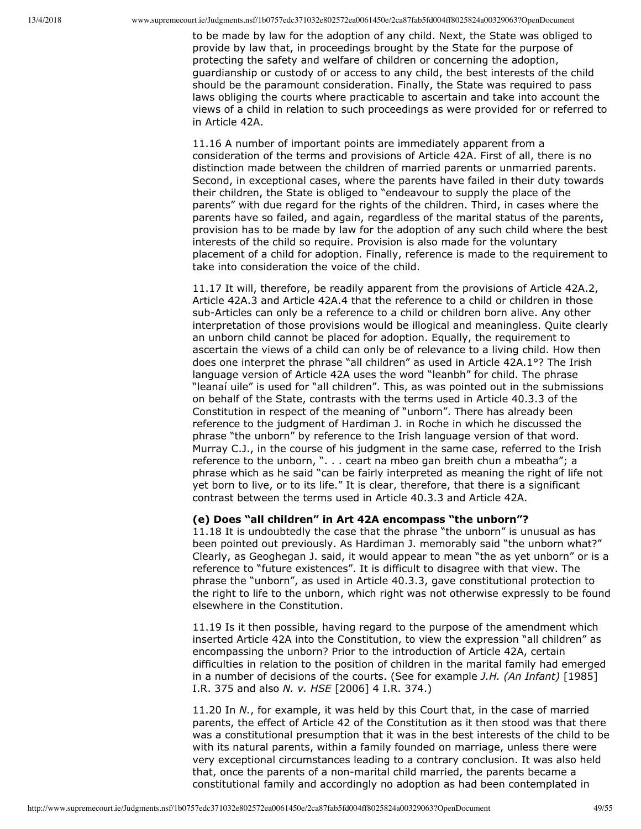to be made by law for the adoption of any child. Next, the State was obliged to provide by law that, in proceedings brought by the State for the purpose of protecting the safety and welfare of children or concerning the adoption, guardianship or custody of or access to any child, the best interests of the child should be the paramount consideration. Finally, the State was required to pass laws obliging the courts where practicable to ascertain and take into account the views of a child in relation to such proceedings as were provided for or referred to in Article 42A.

11.16 A number of important points are immediately apparent from a consideration of the terms and provisions of Article 42A. First of all, there is no distinction made between the children of married parents or unmarried parents. Second, in exceptional cases, where the parents have failed in their duty towards their children, the State is obliged to "endeavour to supply the place of the parents" with due regard for the rights of the children. Third, in cases where the parents have so failed, and again, regardless of the marital status of the parents, provision has to be made by law for the adoption of any such child where the best interests of the child so require. Provision is also made for the voluntary placement of a child for adoption. Finally, reference is made to the requirement to take into consideration the voice of the child.

11.17 It will, therefore, be readily apparent from the provisions of Article 42A.2, Article 42A.3 and Article 42A.4 that the reference to a child or children in those sub-Articles can only be a reference to a child or children born alive. Any other interpretation of those provisions would be illogical and meaningless. Quite clearly an unborn child cannot be placed for adoption. Equally, the requirement to ascertain the views of a child can only be of relevance to a living child. How then does one interpret the phrase "all children" as used in Article 42A.1°? The Irish language version of Article 42A uses the word "leanbh" for child. The phrase "leanaí uile" is used for "all children". This, as was pointed out in the submissions on behalf of the State, contrasts with the terms used in Article 40.3.3 of the Constitution in respect of the meaning of "unborn". There has already been reference to the judgment of Hardiman J. in Roche in which he discussed the phrase "the unborn" by reference to the Irish language version of that word. Murray C.J., in the course of his judgment in the same case, referred to the Irish reference to the unborn, ". . . ceart na mbeo gan breith chun a mbeatha"; a phrase which as he said "can be fairly interpreted as meaning the right of life not yet born to live, or to its life." It is clear, therefore, that there is a significant contrast between the terms used in Article 40.3.3 and Article 42A.

#### **(e) Does "all children" in Art 42A encompass "the unborn"?**

11.18 It is undoubtedly the case that the phrase "the unborn" is unusual as has been pointed out previously. As Hardiman J. memorably said "the unborn what?" Clearly, as Geoghegan J. said, it would appear to mean "the as yet unborn" or is a reference to "future existences". It is difficult to disagree with that view. The phrase the "unborn", as used in Article 40.3.3, gave constitutional protection to the right to life to the unborn, which right was not otherwise expressly to be found elsewhere in the Constitution.

11.19 Is it then possible, having regard to the purpose of the amendment which inserted Article 42A into the Constitution, to view the expression "all children" as encompassing the unborn? Prior to the introduction of Article 42A, certain difficulties in relation to the position of children in the marital family had emerged in a number of decisions of the courts. (See for example *J.H. (An Infant)* [1985] I.R. 375 and also *N. v. HSE* [2006] 4 I.R. 374.)

11.20 In *N.*, for example, it was held by this Court that, in the case of married parents, the effect of Article 42 of the Constitution as it then stood was that there was a constitutional presumption that it was in the best interests of the child to be with its natural parents, within a family founded on marriage, unless there were very exceptional circumstances leading to a contrary conclusion. It was also held that, once the parents of a non-marital child married, the parents became a constitutional family and accordingly no adoption as had been contemplated in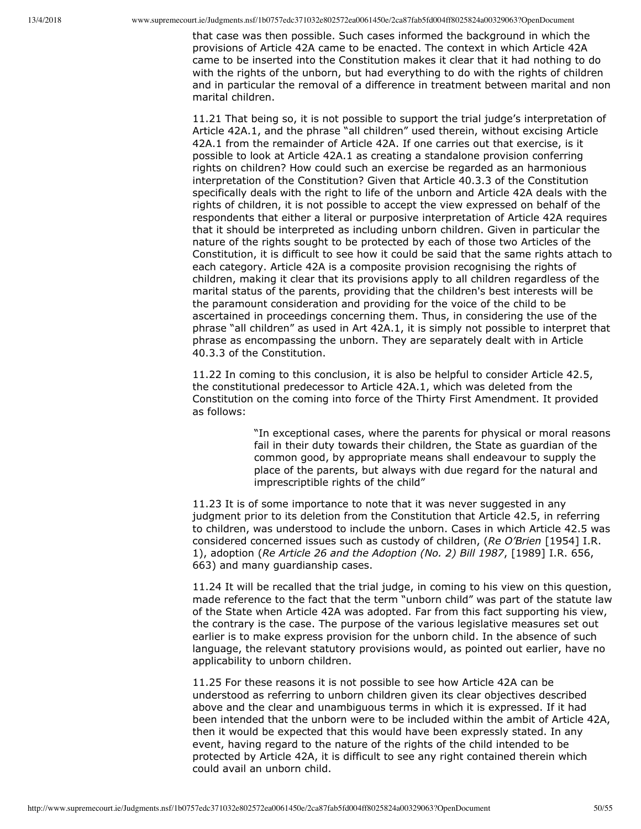that case was then possible. Such cases informed the background in which the provisions of Article 42A came to be enacted. The context in which Article 42A came to be inserted into the Constitution makes it clear that it had nothing to do with the rights of the unborn, but had everything to do with the rights of children and in particular the removal of a difference in treatment between marital and non marital children.

11.21 That being so, it is not possible to support the trial judge's interpretation of Article 42A.1, and the phrase "all children" used therein, without excising Article 42A.1 from the remainder of Article 42A. If one carries out that exercise, is it possible to look at Article 42A.1 as creating a standalone provision conferring rights on children? How could such an exercise be regarded as an harmonious interpretation of the Constitution? Given that Article 40.3.3 of the Constitution specifically deals with the right to life of the unborn and Article 42A deals with the rights of children, it is not possible to accept the view expressed on behalf of the respondents that either a literal or purposive interpretation of Article 42A requires that it should be interpreted as including unborn children. Given in particular the nature of the rights sought to be protected by each of those two Articles of the Constitution, it is difficult to see how it could be said that the same rights attach to each category. Article 42A is a composite provision recognising the rights of children, making it clear that its provisions apply to all children regardless of the marital status of the parents, providing that the children's best interests will be the paramount consideration and providing for the voice of the child to be ascertained in proceedings concerning them. Thus, in considering the use of the phrase "all children" as used in Art 42A.1, it is simply not possible to interpret that phrase as encompassing the unborn. They are separately dealt with in Article 40.3.3 of the Constitution.

11.22 In coming to this conclusion, it is also be helpful to consider Article 42.5, the constitutional predecessor to Article 42A.1, which was deleted from the Constitution on the coming into force of the Thirty First Amendment. It provided as follows:

> "In exceptional cases, where the parents for physical or moral reasons fail in their duty towards their children, the State as guardian of the common good, by appropriate means shall endeavour to supply the place of the parents, but always with due regard for the natural and imprescriptible rights of the child"

11.23 It is of some importance to note that it was never suggested in any judgment prior to its deletion from the Constitution that Article 42.5, in referring to children, was understood to include the unborn. Cases in which Article 42.5 was considered concerned issues such as custody of children, (*Re O'Brien* [1954] I.R. 1), adoption (*Re Article 26 and the Adoption (No. 2) Bill 1987*, [1989] I.R. 656, 663) and many guardianship cases.

11.24 It will be recalled that the trial judge, in coming to his view on this question, made reference to the fact that the term "unborn child" was part of the statute law of the State when Article 42A was adopted. Far from this fact supporting his view, the contrary is the case. The purpose of the various legislative measures set out earlier is to make express provision for the unborn child. In the absence of such language, the relevant statutory provisions would, as pointed out earlier, have no applicability to unborn children.

11.25 For these reasons it is not possible to see how Article 42A can be understood as referring to unborn children given its clear objectives described above and the clear and unambiguous terms in which it is expressed. If it had been intended that the unborn were to be included within the ambit of Article 42A, then it would be expected that this would have been expressly stated. In any event, having regard to the nature of the rights of the child intended to be protected by Article 42A, it is difficult to see any right contained therein which could avail an unborn child.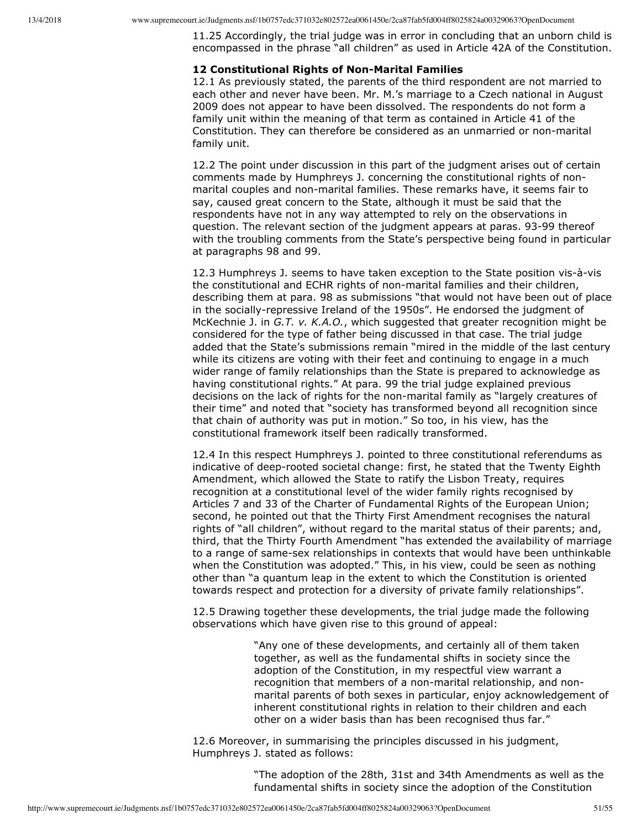11.25 Accordingly, the trial judge was in error in concluding that an unborn child is encompassed in the phrase "all children" as used in Article 42A of the Constitution.

### **12 Constitutional Rights of Non-Marital Families**

12.1 As previously stated, the parents of the third respondent are not married to each other and never have been. Mr. M.'s marriage to a Czech national in August 2009 does not appear to have been dissolved. The respondents do not form a family unit within the meaning of that term as contained in Article 41 of the Constitution. They can therefore be considered as an unmarried or non-marital family unit.

12.2 The point under discussion in this part of the judgment arises out of certain comments made by Humphreys J. concerning the constitutional rights of nonmarital couples and non-marital families. These remarks have, it seems fair to say, caused great concern to the State, although it must be said that the respondents have not in any way attempted to rely on the observations in question. The relevant section of the judgment appears at paras. 93-99 thereof with the troubling comments from the State's perspective being found in particular at paragraphs 98 and 99.

12.3 Humphreys J. seems to have taken exception to the State position vis-à-vis the constitutional and ECHR rights of non-marital families and their children, describing them at para. 98 as submissions "that would not have been out of place in the socially-repressive Ireland of the 1950s". He endorsed the judgment of McKechnie J. in *G.T. v. K.A.O.*, which suggested that greater recognition might be considered for the type of father being discussed in that case. The trial judge added that the State's submissions remain "mired in the middle of the last century while its citizens are voting with their feet and continuing to engage in a much wider range of family relationships than the State is prepared to acknowledge as having constitutional rights." At para. 99 the trial judge explained previous decisions on the lack of rights for the non-marital family as "largely creatures of their time" and noted that "society has transformed beyond all recognition since that chain of authority was put in motion." So too, in his view, has the constitutional framework itself been radically transformed.

12.4 In this respect Humphreys J. pointed to three constitutional referendums as indicative of deep-rooted societal change: first, he stated that the Twenty Eighth Amendment, which allowed the State to ratify the Lisbon Treaty, requires recognition at a constitutional level of the wider family rights recognised by Articles 7 and 33 of the Charter of Fundamental Rights of the European Union; second, he pointed out that the Thirty First Amendment recognises the natural rights of "all children", without regard to the marital status of their parents; and, third, that the Thirty Fourth Amendment "has extended the availability of marriage to a range of same-sex relationships in contexts that would have been unthinkable when the Constitution was adopted." This, in his view, could be seen as nothing other than "a quantum leap in the extent to which the Constitution is oriented towards respect and protection for a diversity of private family relationships".

12.5 Drawing together these developments, the trial judge made the following observations which have given rise to this ground of appeal:

> "Any one of these developments, and certainly all of them taken together, as well as the fundamental shifts in society since the adoption of the Constitution, in my respectful view warrant a recognition that members of a non-marital relationship, and nonmarital parents of both sexes in particular, enjoy acknowledgement of inherent constitutional rights in relation to their children and each other on a wider basis than has been recognised thus far."

12.6 Moreover, in summarising the principles discussed in his judgment, Humphreys J. stated as follows:

> "The adoption of the 28th, 31st and 34th Amendments as well as the fundamental shifts in society since the adoption of the Constitution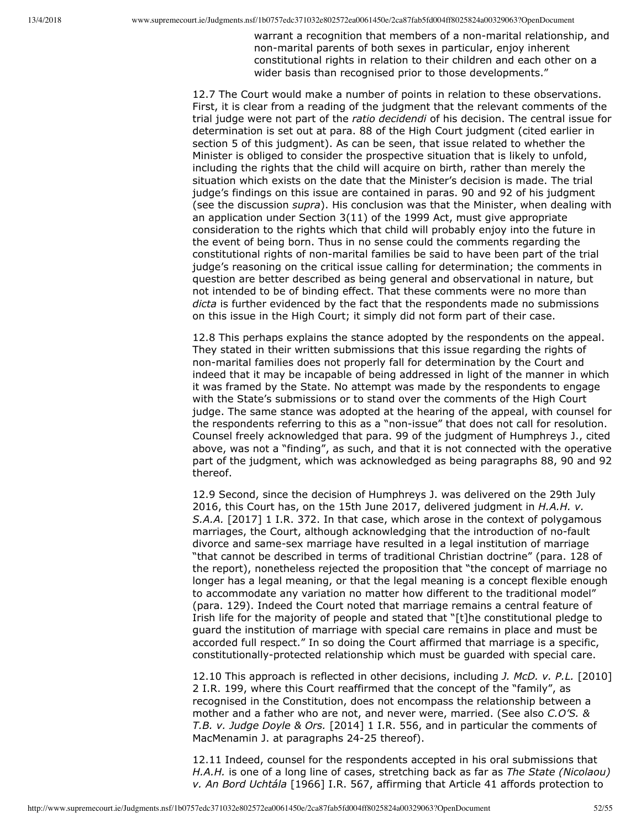warrant a recognition that members of a non-marital relationship, and non-marital parents of both sexes in particular, enjoy inherent constitutional rights in relation to their children and each other on a wider basis than recognised prior to those developments."

12.7 The Court would make a number of points in relation to these observations. First, it is clear from a reading of the judgment that the relevant comments of the trial judge were not part of the *ratio decidendi* of his decision. The central issue for determination is set out at para. 88 of the High Court judgment (cited earlier in section 5 of this judgment). As can be seen, that issue related to whether the Minister is obliged to consider the prospective situation that is likely to unfold, including the rights that the child will acquire on birth, rather than merely the situation which exists on the date that the Minister's decision is made. The trial judge's findings on this issue are contained in paras. 90 and 92 of his judgment (see the discussion *supra*). His conclusion was that the Minister, when dealing with an application under Section 3(11) of the 1999 Act, must give appropriate consideration to the rights which that child will probably enjoy into the future in the event of being born. Thus in no sense could the comments regarding the constitutional rights of non-marital families be said to have been part of the trial judge's reasoning on the critical issue calling for determination; the comments in question are better described as being general and observational in nature, but not intended to be of binding effect. That these comments were no more than *dicta* is further evidenced by the fact that the respondents made no submissions on this issue in the High Court; it simply did not form part of their case.

12.8 This perhaps explains the stance adopted by the respondents on the appeal. They stated in their written submissions that this issue regarding the rights of non-marital families does not properly fall for determination by the Court and indeed that it may be incapable of being addressed in light of the manner in which it was framed by the State. No attempt was made by the respondents to engage with the State's submissions or to stand over the comments of the High Court judge. The same stance was adopted at the hearing of the appeal, with counsel for the respondents referring to this as a "non-issue" that does not call for resolution. Counsel freely acknowledged that para. 99 of the judgment of Humphreys J., cited above, was not a "finding", as such, and that it is not connected with the operative part of the judgment, which was acknowledged as being paragraphs 88, 90 and 92 thereof.

12.9 Second, since the decision of Humphreys J. was delivered on the 29th July 2016, this Court has, on the 15th June 2017, delivered judgment in *H.A.H. v. S.A.A.* [2017] 1 I.R. 372. In that case, which arose in the context of polygamous marriages, the Court, although acknowledging that the introduction of no-fault divorce and same-sex marriage have resulted in a legal institution of marriage "that cannot be described in terms of traditional Christian doctrine" (para. 128 of the report), nonetheless rejected the proposition that "the concept of marriage no longer has a legal meaning, or that the legal meaning is a concept flexible enough to accommodate any variation no matter how different to the traditional model" (para. 129). Indeed the Court noted that marriage remains a central feature of Irish life for the majority of people and stated that "[t]he constitutional pledge to guard the institution of marriage with special care remains in place and must be accorded full respect." In so doing the Court affirmed that marriage is a specific, constitutionally-protected relationship which must be guarded with special care.

12.10 This approach is reflected in other decisions, including *J. McD. v. P.L.* [2010] 2 I.R. 199, where this Court reaffirmed that the concept of the "family", as recognised in the Constitution, does not encompass the relationship between a mother and a father who are not, and never were, married. (See also *C.O'S. & T.B. v. Judge Doyle & Ors.* [2014] 1 I.R. 556, and in particular the comments of MacMenamin J. at paragraphs 24-25 thereof).

12.11 Indeed, counsel for the respondents accepted in his oral submissions that *H.A.H.* is one of a long line of cases, stretching back as far as *The State (Nicolaou) v. An Bord Uchtála* [1966] I.R. 567, affirming that Article 41 affords protection to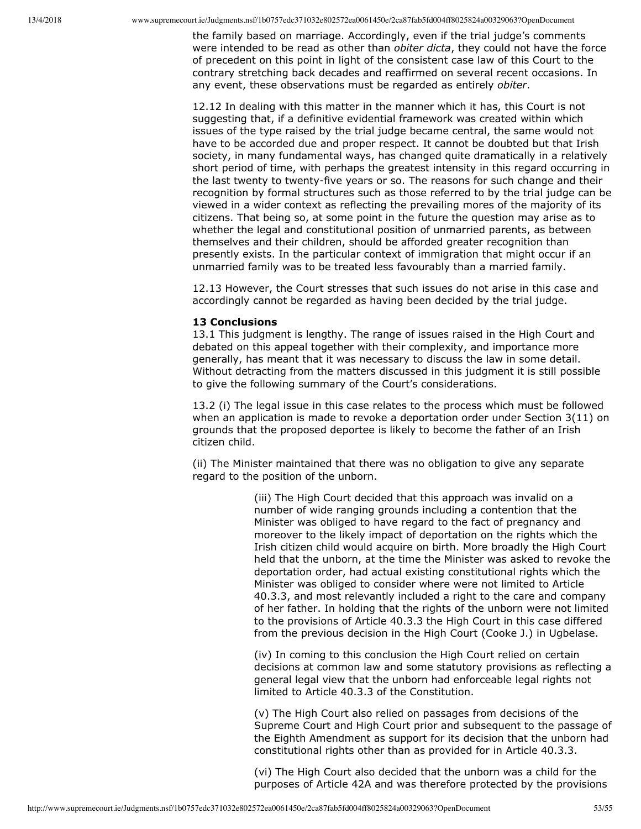the family based on marriage. Accordingly, even if the trial judge's comments were intended to be read as other than *obiter dicta*, they could not have the force of precedent on this point in light of the consistent case law of this Court to the contrary stretching back decades and reaffirmed on several recent occasions. In any event, these observations must be regarded as entirely *obiter*.

12.12 In dealing with this matter in the manner which it has, this Court is not suggesting that, if a definitive evidential framework was created within which issues of the type raised by the trial judge became central, the same would not have to be accorded due and proper respect. It cannot be doubted but that Irish society, in many fundamental ways, has changed quite dramatically in a relatively short period of time, with perhaps the greatest intensity in this regard occurring in the last twenty to twenty-five years or so. The reasons for such change and their recognition by formal structures such as those referred to by the trial judge can be viewed in a wider context as reflecting the prevailing mores of the majority of its citizens. That being so, at some point in the future the question may arise as to whether the legal and constitutional position of unmarried parents, as between themselves and their children, should be afforded greater recognition than presently exists. In the particular context of immigration that might occur if an unmarried family was to be treated less favourably than a married family.

12.13 However, the Court stresses that such issues do not arise in this case and accordingly cannot be regarded as having been decided by the trial judge.

#### **13 Conclusions**

13.1 This judgment is lengthy. The range of issues raised in the High Court and debated on this appeal together with their complexity, and importance more generally, has meant that it was necessary to discuss the law in some detail. Without detracting from the matters discussed in this judgment it is still possible to give the following summary of the Court's considerations.

13.2 (i) The legal issue in this case relates to the process which must be followed when an application is made to revoke a deportation order under Section 3(11) on grounds that the proposed deportee is likely to become the father of an Irish citizen child.

(ii) The Minister maintained that there was no obligation to give any separate regard to the position of the unborn.

> (iii) The High Court decided that this approach was invalid on a number of wide ranging grounds including a contention that the Minister was obliged to have regard to the fact of pregnancy and moreover to the likely impact of deportation on the rights which the Irish citizen child would acquire on birth. More broadly the High Court held that the unborn, at the time the Minister was asked to revoke the deportation order, had actual existing constitutional rights which the Minister was obliged to consider where were not limited to Article 40.3.3, and most relevantly included a right to the care and company of her father. In holding that the rights of the unborn were not limited to the provisions of Article 40.3.3 the High Court in this case differed from the previous decision in the High Court (Cooke J.) in Ugbelase.

> (iv) In coming to this conclusion the High Court relied on certain decisions at common law and some statutory provisions as reflecting a general legal view that the unborn had enforceable legal rights not limited to Article 40.3.3 of the Constitution.

> (v) The High Court also relied on passages from decisions of the Supreme Court and High Court prior and subsequent to the passage of the Eighth Amendment as support for its decision that the unborn had constitutional rights other than as provided for in Article 40.3.3.

(vi) The High Court also decided that the unborn was a child for the purposes of Article 42A and was therefore protected by the provisions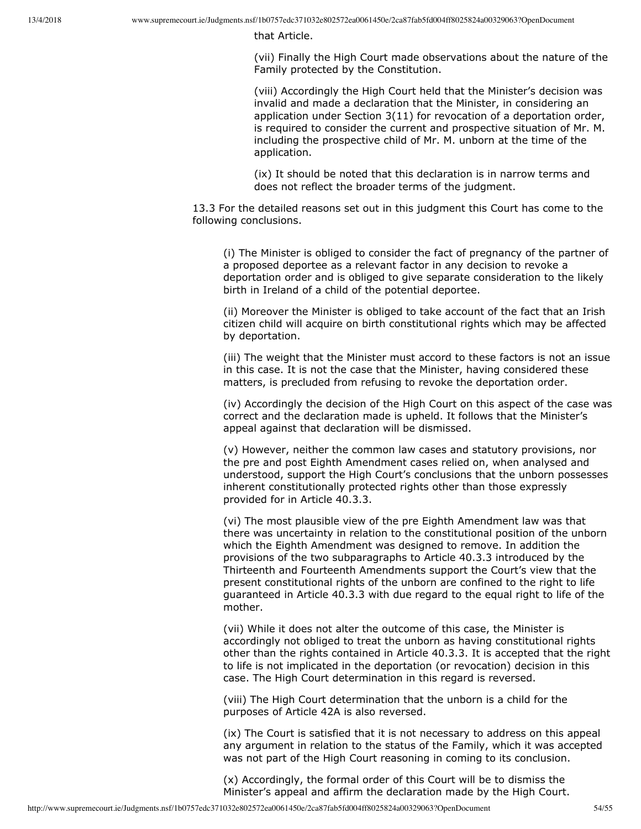that Article.

(vii) Finally the High Court made observations about the nature of the Family protected by the Constitution.

(viii) Accordingly the High Court held that the Minister's decision was invalid and made a declaration that the Minister, in considering an application under Section 3(11) for revocation of a deportation order, is required to consider the current and prospective situation of Mr. M. including the prospective child of Mr. M. unborn at the time of the application.

(ix) It should be noted that this declaration is in narrow terms and does not reflect the broader terms of the judgment.

13.3 For the detailed reasons set out in this judgment this Court has come to the following conclusions.

(i) The Minister is obliged to consider the fact of pregnancy of the partner of a proposed deportee as a relevant factor in any decision to revoke a deportation order and is obliged to give separate consideration to the likely birth in Ireland of a child of the potential deportee.

(ii) Moreover the Minister is obliged to take account of the fact that an Irish citizen child will acquire on birth constitutional rights which may be affected by deportation.

(iii) The weight that the Minister must accord to these factors is not an issue in this case. It is not the case that the Minister, having considered these matters, is precluded from refusing to revoke the deportation order.

(iv) Accordingly the decision of the High Court on this aspect of the case was correct and the declaration made is upheld. It follows that the Minister's appeal against that declaration will be dismissed.

(v) However, neither the common law cases and statutory provisions, nor the pre and post Eighth Amendment cases relied on, when analysed and understood, support the High Court's conclusions that the unborn possesses inherent constitutionally protected rights other than those expressly provided for in Article 40.3.3.

(vi) The most plausible view of the pre Eighth Amendment law was that there was uncertainty in relation to the constitutional position of the unborn which the Eighth Amendment was designed to remove. In addition the provisions of the two subparagraphs to Article 40.3.3 introduced by the Thirteenth and Fourteenth Amendments support the Court's view that the present constitutional rights of the unborn are confined to the right to life guaranteed in Article 40.3.3 with due regard to the equal right to life of the mother.

(vii) While it does not alter the outcome of this case, the Minister is accordingly not obliged to treat the unborn as having constitutional rights other than the rights contained in Article 40.3.3. It is accepted that the right to life is not implicated in the deportation (or revocation) decision in this case. The High Court determination in this regard is reversed.

(viii) The High Court determination that the unborn is a child for the purposes of Article 42A is also reversed.

(ix) The Court is satisfied that it is not necessary to address on this appeal any argument in relation to the status of the Family, which it was accepted was not part of the High Court reasoning in coming to its conclusion.

(x) Accordingly, the formal order of this Court will be to dismiss the Minister's appeal and affirm the declaration made by the High Court.